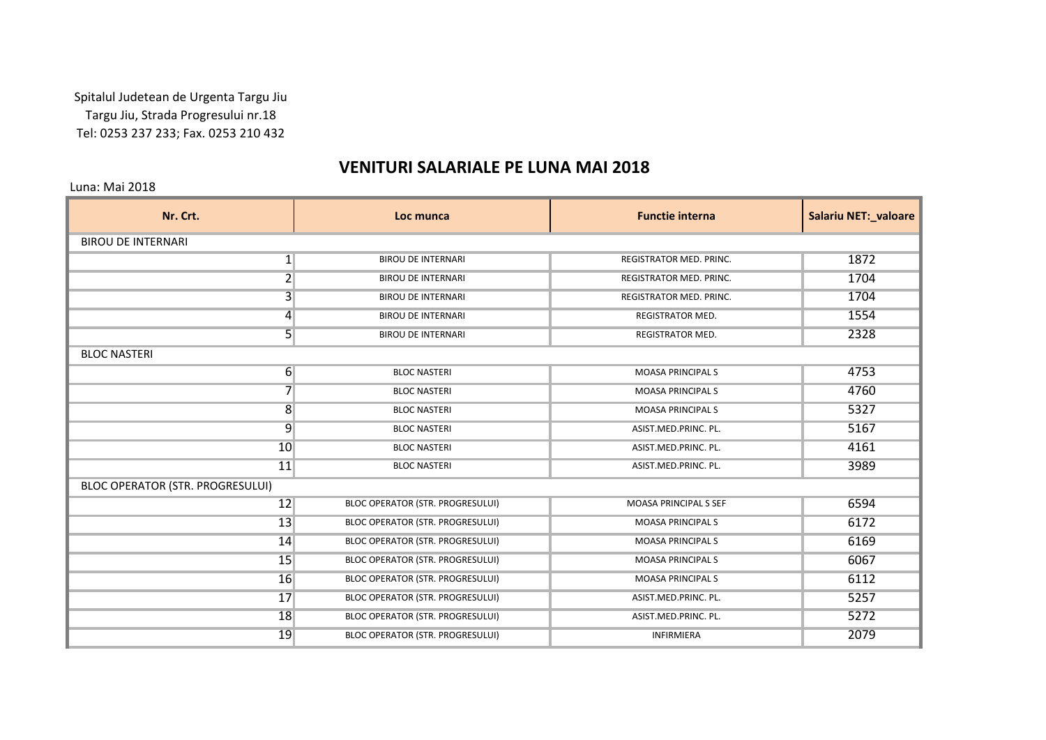Spitalul Judetean de Urgenta Targu Jiu Targu Jiu, Strada Progresului nr.18 Tel: 0253 237 233; Fax. 0253 210 432

## **VENITURI SALARIALE PE LUNA MAI 2018**

Luna: Mai 2018

| Nr. Crt.                                | Loc munca                               | <b>Functie interna</b>         | Salariu NET:_valoare |
|-----------------------------------------|-----------------------------------------|--------------------------------|----------------------|
| <b>BIROU DE INTERNARI</b>               |                                         |                                |                      |
| 1                                       | <b>BIROU DE INTERNARI</b>               | <b>REGISTRATOR MED. PRINC.</b> | 1872                 |
| $\overline{2}$                          | <b>BIROU DE INTERNARI</b>               | REGISTRATOR MED. PRINC.        | 1704                 |
| $\overline{3}$                          | <b>BIROU DE INTERNARI</b>               | <b>REGISTRATOR MED. PRINC.</b> | 1704                 |
| $\vert 4 \vert$                         | <b>BIROU DE INTERNARI</b>               | REGISTRATOR MED.               | 1554                 |
| $\overline{5}$                          | <b>BIROU DE INTERNARI</b>               | <b>REGISTRATOR MED.</b>        | 2328                 |
| <b>BLOC NASTERI</b>                     |                                         |                                |                      |
| $6 \overline{6}$                        | <b>BLOC NASTERI</b>                     | <b>MOASA PRINCIPALS</b>        | 4753                 |
| $\overline{7}$                          | <b>BLOC NASTERI</b>                     | <b>MOASA PRINCIPALS</b>        | 4760                 |
| $\overline{8}$                          | <b>BLOC NASTERI</b>                     | <b>MOASA PRINCIPALS</b>        | 5327                 |
| $\overline{9}$                          | <b>BLOC NASTERI</b>                     | ASIST.MED.PRINC. PL.           | 5167                 |
| 10                                      | <b>BLOC NASTERI</b>                     | ASIST.MED.PRINC. PL.           | 4161                 |
| 11                                      | <b>BLOC NASTERI</b>                     | ASIST.MED.PRINC. PL.           | 3989                 |
| <b>BLOC OPERATOR (STR. PROGRESULUI)</b> |                                         |                                |                      |
| 12                                      | BLOC OPERATOR (STR. PROGRESULUI)        | MOASA PRINCIPAL S SEF          | 6594                 |
| 13                                      | <b>BLOC OPERATOR (STR. PROGRESULUI)</b> | <b>MOASA PRINCIPALS</b>        | 6172                 |
| 14                                      | BLOC OPERATOR (STR. PROGRESULUI)        | <b>MOASA PRINCIPALS</b>        | 6169                 |
| 15                                      | BLOC OPERATOR (STR. PROGRESULUI)        | <b>MOASA PRINCIPALS</b>        | 6067                 |
| 16                                      | BLOC OPERATOR (STR. PROGRESULUI)        | <b>MOASA PRINCIPALS</b>        | 6112                 |
| 17                                      | BLOC OPERATOR (STR. PROGRESULUI)        | ASIST.MED.PRINC. PL.           | 5257                 |
| 18                                      | <b>BLOC OPERATOR (STR. PROGRESULUI)</b> | ASIST.MED.PRINC. PL.           | 5272                 |
| 19                                      | <b>BLOC OPERATOR (STR. PROGRESULUI)</b> | <b>INFIRMIERA</b>              | 2079                 |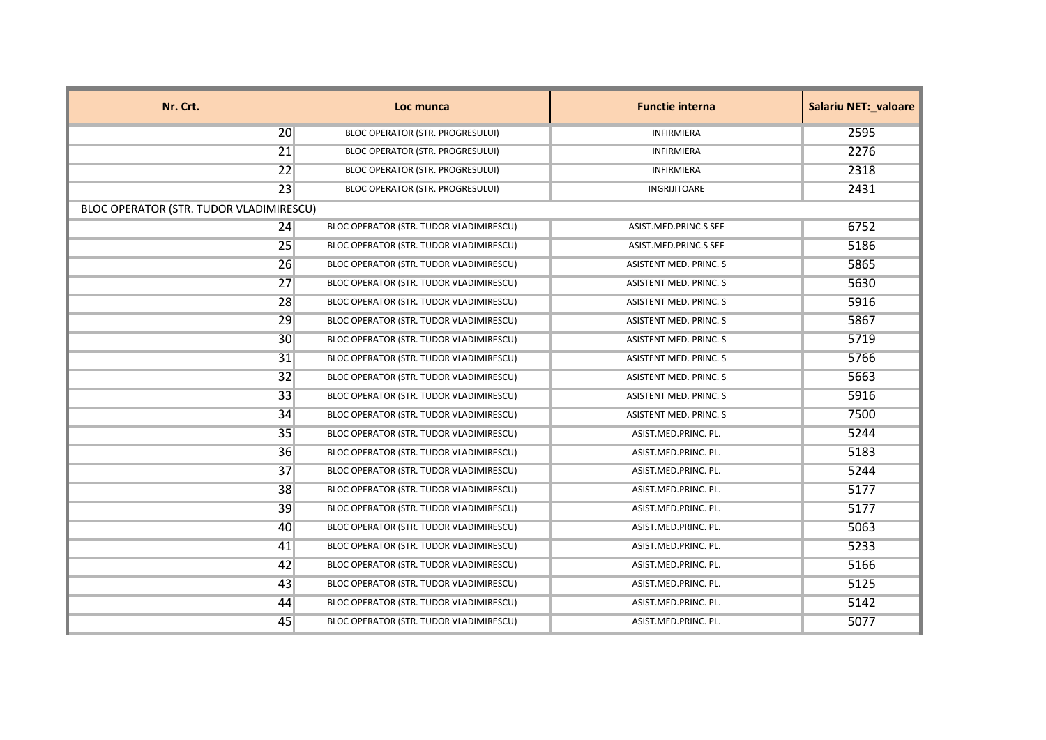| Nr. Crt.                                | Loc munca                                      | <b>Functie interna</b> | <b>Salariu NET: valoare</b> |
|-----------------------------------------|------------------------------------------------|------------------------|-----------------------------|
| 20                                      | <b>BLOC OPERATOR (STR. PROGRESULUI)</b>        | <b>INFIRMIERA</b>      | 2595                        |
| 21                                      | <b>BLOC OPERATOR (STR. PROGRESULUI)</b>        | <b>INFIRMIERA</b>      | 2276                        |
| 22                                      | <b>BLOC OPERATOR (STR. PROGRESULUI)</b>        | <b>INFIRMIERA</b>      | 2318                        |
| 23                                      | BLOC OPERATOR (STR. PROGRESULUI)               | INGRIJITOARE           | 2431                        |
| BLOC OPERATOR (STR. TUDOR VLADIMIRESCU) |                                                |                        |                             |
| 24                                      | BLOC OPERATOR (STR. TUDOR VLADIMIRESCU)        | ASIST.MED.PRINC.S SEF  | 6752                        |
| 25                                      | BLOC OPERATOR (STR. TUDOR VLADIMIRESCU)        | ASIST.MED.PRINC.S SEF  | 5186                        |
| 26                                      | BLOC OPERATOR (STR. TUDOR VLADIMIRESCU)        | ASISTENT MED. PRINC. S | 5865                        |
| 27                                      | BLOC OPERATOR (STR. TUDOR VLADIMIRESCU)        | ASISTENT MED. PRINC. S | 5630                        |
| 28                                      | BLOC OPERATOR (STR. TUDOR VLADIMIRESCU)        | ASISTENT MED. PRINC. S | 5916                        |
| 29                                      | BLOC OPERATOR (STR. TUDOR VLADIMIRESCU)        | ASISTENT MED. PRINC. S | 5867                        |
| 30                                      | BLOC OPERATOR (STR. TUDOR VLADIMIRESCU)        | ASISTENT MED. PRINC. S | 5719                        |
| 31                                      | BLOC OPERATOR (STR. TUDOR VLADIMIRESCU)        | ASISTENT MED. PRINC. S | 5766                        |
| 32                                      | BLOC OPERATOR (STR. TUDOR VLADIMIRESCU)        | ASISTENT MED. PRINC. S | 5663                        |
| 33                                      | BLOC OPERATOR (STR. TUDOR VLADIMIRESCU)        | ASISTENT MED. PRINC. S | 5916                        |
| 34                                      | BLOC OPERATOR (STR. TUDOR VLADIMIRESCU)        | ASISTENT MED. PRINC. S | 7500                        |
| 35                                      | BLOC OPERATOR (STR. TUDOR VLADIMIRESCU)        | ASIST.MED.PRINC. PL.   | 5244                        |
| 36                                      | BLOC OPERATOR (STR. TUDOR VLADIMIRESCU)        | ASIST.MED.PRINC. PL.   | 5183                        |
| 37                                      | BLOC OPERATOR (STR. TUDOR VLADIMIRESCU)        | ASIST.MED.PRINC. PL.   | 5244                        |
| 38                                      | <b>BLOC OPERATOR (STR. TUDOR VLADIMIRESCU)</b> | ASIST.MED.PRINC. PL.   | 5177                        |
| 39                                      | BLOC OPERATOR (STR. TUDOR VLADIMIRESCU)        | ASIST.MED.PRINC. PL.   | 5177                        |
| 40                                      | BLOC OPERATOR (STR. TUDOR VLADIMIRESCU)        | ASIST.MED.PRINC. PL.   | 5063                        |
| 41                                      | BLOC OPERATOR (STR. TUDOR VLADIMIRESCU)        | ASIST.MED.PRINC. PL.   | 5233                        |
| 42                                      | BLOC OPERATOR (STR. TUDOR VLADIMIRESCU)        | ASIST.MED.PRINC. PL.   | 5166                        |
| 43                                      | BLOC OPERATOR (STR. TUDOR VLADIMIRESCU)        | ASIST.MED.PRINC. PL.   | 5125                        |
| 44                                      | BLOC OPERATOR (STR. TUDOR VLADIMIRESCU)        | ASIST.MED.PRINC. PL.   | 5142                        |
| 45                                      | BLOC OPERATOR (STR. TUDOR VLADIMIRESCU)        | ASIST.MED.PRINC. PL.   | 5077                        |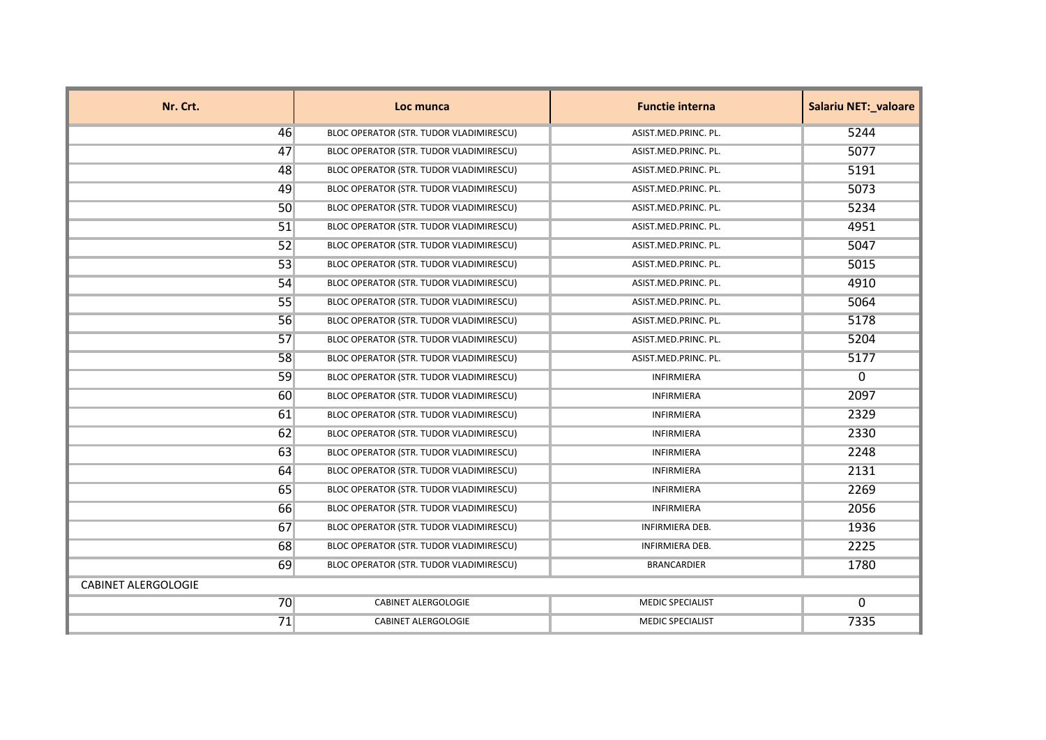| Nr. Crt.                   | Loc munca                               | <b>Functie interna</b>  | <b>Salariu NET: valoare</b> |
|----------------------------|-----------------------------------------|-------------------------|-----------------------------|
| 46                         | BLOC OPERATOR (STR. TUDOR VLADIMIRESCU) | ASIST.MED.PRINC. PL.    | 5244                        |
| 47                         | BLOC OPERATOR (STR. TUDOR VLADIMIRESCU) | ASIST.MED.PRINC. PL.    | 5077                        |
| 48                         | BLOC OPERATOR (STR. TUDOR VLADIMIRESCU) | ASIST.MED.PRINC. PL.    | 5191                        |
| 49                         | BLOC OPERATOR (STR. TUDOR VLADIMIRESCU) | ASIST.MED.PRINC. PL.    | 5073                        |
| 50                         | BLOC OPERATOR (STR. TUDOR VLADIMIRESCU) | ASIST.MED.PRINC. PL.    | 5234                        |
| 51                         | BLOC OPERATOR (STR. TUDOR VLADIMIRESCU) | ASIST.MED.PRINC. PL.    | 4951                        |
| 52                         | BLOC OPERATOR (STR. TUDOR VLADIMIRESCU) | ASIST.MED.PRINC. PL.    | 5047                        |
| 53                         | BLOC OPERATOR (STR. TUDOR VLADIMIRESCU) | ASIST.MED.PRINC. PL.    | 5015                        |
| 54                         | BLOC OPERATOR (STR. TUDOR VLADIMIRESCU) | ASIST.MED.PRINC. PL.    | 4910                        |
| 55                         | BLOC OPERATOR (STR. TUDOR VLADIMIRESCU) | ASIST.MED.PRINC. PL.    | 5064                        |
| 56                         | BLOC OPERATOR (STR. TUDOR VLADIMIRESCU) | ASIST.MED.PRINC. PL.    | 5178                        |
| 57                         | BLOC OPERATOR (STR. TUDOR VLADIMIRESCU) | ASIST.MED.PRINC. PL.    | 5204                        |
| 58                         | BLOC OPERATOR (STR. TUDOR VLADIMIRESCU) | ASIST.MED.PRINC. PL.    | 5177                        |
| 59                         | BLOC OPERATOR (STR. TUDOR VLADIMIRESCU) | INFIRMIERA              | 0                           |
| <b>60</b>                  | BLOC OPERATOR (STR. TUDOR VLADIMIRESCU) | INFIRMIERA              | 2097                        |
| 61                         | BLOC OPERATOR (STR. TUDOR VLADIMIRESCU) | <b>INFIRMIERA</b>       | 2329                        |
| 62                         | BLOC OPERATOR (STR. TUDOR VLADIMIRESCU) | <b>INFIRMIERA</b>       | 2330                        |
| 63                         | BLOC OPERATOR (STR. TUDOR VLADIMIRESCU) | INFIRMIERA              | 2248                        |
| 64                         | BLOC OPERATOR (STR. TUDOR VLADIMIRESCU) | <b>INFIRMIERA</b>       | 2131                        |
| 65                         | BLOC OPERATOR (STR. TUDOR VLADIMIRESCU) | <b>INFIRMIERA</b>       | 2269                        |
| 66                         | BLOC OPERATOR (STR. TUDOR VLADIMIRESCU) | INFIRMIERA              | 2056                        |
| 67                         | BLOC OPERATOR (STR. TUDOR VLADIMIRESCU) | INFIRMIERA DEB.         | 1936                        |
| <b>68</b>                  | BLOC OPERATOR (STR. TUDOR VLADIMIRESCU) | <b>INFIRMIERA DEB.</b>  | 2225                        |
| 69                         | BLOC OPERATOR (STR. TUDOR VLADIMIRESCU) | <b>BRANCARDIER</b>      | 1780                        |
| <b>CABINET ALERGOLOGIE</b> |                                         |                         |                             |
| 70                         | <b>CABINET ALERGOLOGIE</b>              | <b>MEDIC SPECIALIST</b> | $\mathbf{0}$                |
| 71                         | <b>CABINET ALERGOLOGIE</b>              | <b>MEDIC SPECIALIST</b> | 7335                        |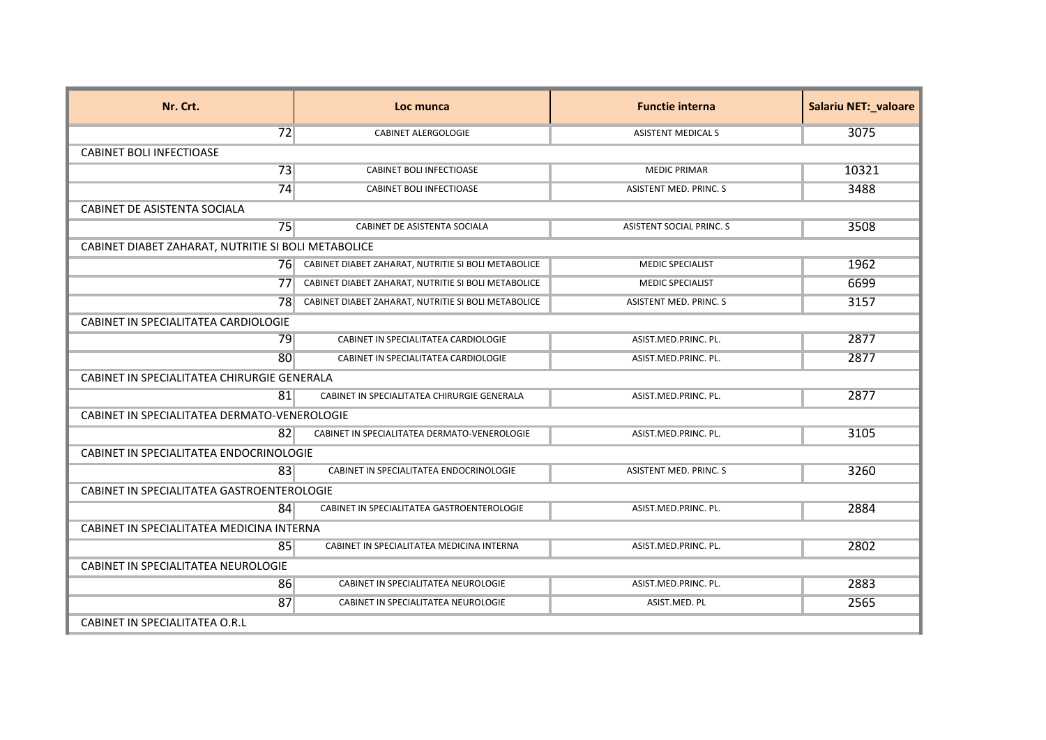| Nr. Crt.                                            | Loc munca                                           | <b>Functie interna</b>          | <b>Salariu NET:_valoare</b> |
|-----------------------------------------------------|-----------------------------------------------------|---------------------------------|-----------------------------|
| 72                                                  | <b>CABINET ALERGOLOGIE</b>                          | <b>ASISTENT MEDICAL S</b>       | 3075                        |
| <b>CABINET BOLI INFECTIOASE</b>                     |                                                     |                                 |                             |
| 73                                                  | <b>CABINET BOLI INFECTIOASE</b>                     | <b>MEDIC PRIMAR</b>             | 10321                       |
| 74                                                  | <b>CABINET BOLI INFECTIOASE</b>                     | <b>ASISTENT MED. PRINC. S</b>   | 3488                        |
| CABINET DE ASISTENTA SOCIALA                        |                                                     |                                 |                             |
| 75                                                  | CABINET DE ASISTENTA SOCIALA                        | <b>ASISTENT SOCIAL PRINC. S</b> | 3508                        |
| CABINET DIABET ZAHARAT, NUTRITIE SI BOLI METABOLICE |                                                     |                                 |                             |
| 761                                                 | CABINET DIABET ZAHARAT, NUTRITIE SI BOLI METABOLICE | <b>MEDIC SPECIALIST</b>         | 1962                        |
| 771                                                 | CABINET DIABET ZAHARAT, NUTRITIE SI BOLI METABOLICE | <b>MEDIC SPECIALIST</b>         | 6699                        |
| 781                                                 | CABINET DIABET ZAHARAT, NUTRITIE SI BOLI METABOLICE | <b>ASISTENT MED. PRINC. S</b>   | 3157                        |
| CABINET IN SPECIALITATEA CARDIOLOGIE                |                                                     |                                 |                             |
| 79                                                  | CABINET IN SPECIALITATEA CARDIOLOGIE                | ASIST.MED.PRINC. PL.            | 2877                        |
| 80                                                  | CABINET IN SPECIALITATEA CARDIOLOGIE                | ASIST.MED.PRINC. PL.            | 2877                        |
| CABINET IN SPECIALITATEA CHIRURGIE GENERALA         |                                                     |                                 |                             |
| 81                                                  | CABINET IN SPECIALITATEA CHIRURGIE GENERALA         | ASIST.MED.PRINC. PL.            | 2877                        |
| CABINET IN SPECIALITATEA DERMATO-VENEROLOGIE        |                                                     |                                 |                             |
| 82                                                  | CABINET IN SPECIALITATEA DERMATO-VENEROLOGIE        | ASIST.MED.PRINC. PL.            | 3105                        |
| CABINET IN SPECIALITATEA ENDOCRINOLOGIE             |                                                     |                                 |                             |
| 83                                                  | CABINET IN SPECIALITATEA ENDOCRINOLOGIE             | <b>ASISTENT MED. PRINC. S</b>   | 3260                        |
| CABINET IN SPECIALITATEA GASTROENTEROLOGIE          |                                                     |                                 |                             |
| 84                                                  | CABINET IN SPECIALITATEA GASTROENTEROLOGIE          | ASIST.MED.PRINC. PL.            | 2884                        |
| CABINET IN SPECIALITATEA MEDICINA INTERNA           |                                                     |                                 |                             |
| 85                                                  | CABINET IN SPECIALITATEA MEDICINA INTERNA           | ASIST.MED.PRINC. PL.            | 2802                        |
| CABINET IN SPECIALITATEA NEUROLOGIE                 |                                                     |                                 |                             |
| 86                                                  | CABINET IN SPECIALITATEA NEUROLOGIE                 | ASIST.MED.PRINC. PL.            | 2883                        |
| 87                                                  | CABINET IN SPECIALITATEA NEUROLOGIE                 | ASIST.MED. PL                   | 2565                        |
| CABINET IN SPECIALITATEA O.R.L                      |                                                     |                                 |                             |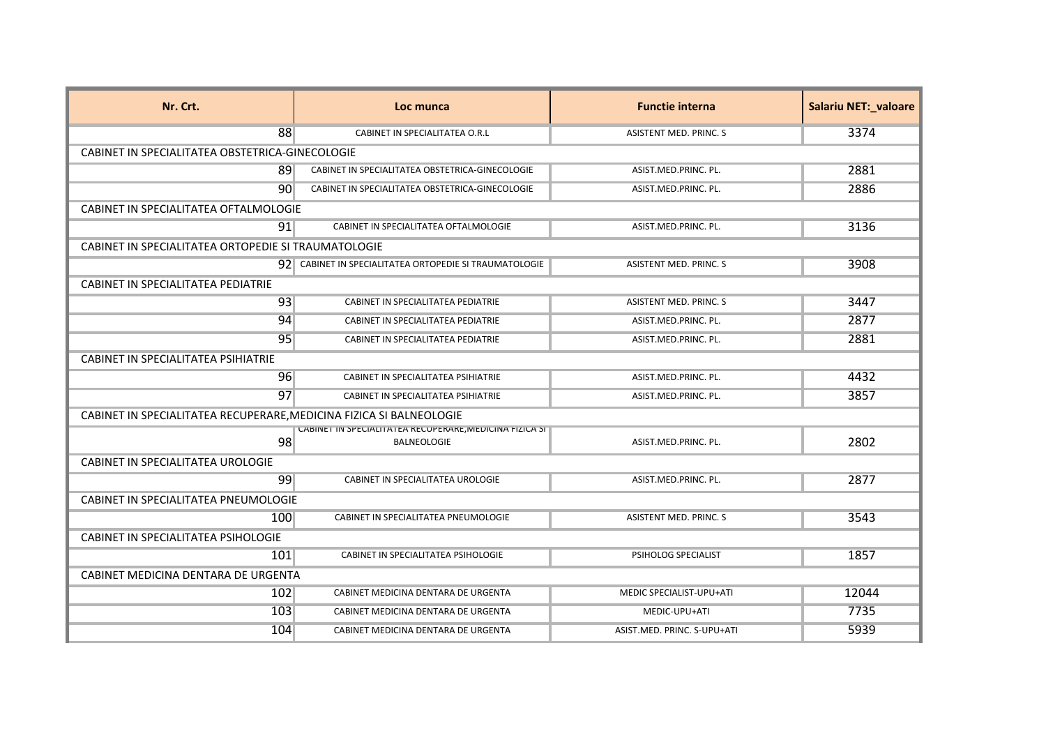| Nr. Crt.                                                            | Loc munca                                                              | <b>Functie interna</b>        | <b>Salariu NET:_valoare</b> |
|---------------------------------------------------------------------|------------------------------------------------------------------------|-------------------------------|-----------------------------|
| 88                                                                  | CABINET IN SPECIALITATEA O.R.L                                         | <b>ASISTENT MED. PRINC. S</b> | 3374                        |
| CABINET IN SPECIALITATEA OBSTETRICA-GINECOLOGIE                     |                                                                        |                               |                             |
| 89                                                                  | CABINET IN SPECIALITATEA OBSTETRICA-GINECOLOGIE                        | ASIST.MED.PRINC. PL.          | 2881                        |
| 90 <sup>1</sup>                                                     | CABINET IN SPECIALITATEA OBSTETRICA-GINECOLOGIE                        | ASIST.MED.PRINC. PL.          | 2886                        |
| CABINET IN SPECIALITATEA OFTALMOLOGIE                               |                                                                        |                               |                             |
| 91                                                                  | CABINET IN SPECIALITATEA OFTALMOLOGIE                                  | ASIST.MED.PRINC. PL.          | 3136                        |
| CABINET IN SPECIALITATEA ORTOPEDIE SI TRAUMATOLOGIE                 |                                                                        |                               |                             |
|                                                                     | 92 CABINET IN SPECIALITATEA ORTOPEDIE SI TRAUMATOLOGIE                 | ASISTENT MED. PRINC. S        | 3908                        |
| CABINET IN SPECIALITATEA PEDIATRIE                                  |                                                                        |                               |                             |
| 93                                                                  | CABINET IN SPECIALITATEA PEDIATRIE                                     | ASISTENT MED. PRINC. S        | 3447                        |
| 94                                                                  | CABINET IN SPECIALITATEA PEDIATRIE                                     | ASIST.MED.PRINC. PL.          | 2877                        |
| 95                                                                  | CABINET IN SPECIALITATEA PEDIATRIE                                     | ASIST.MED.PRINC. PL.          | 2881                        |
| CABINET IN SPECIALITATEA PSIHIATRIE                                 |                                                                        |                               |                             |
| 96                                                                  | CABINET IN SPECIALITATEA PSIHIATRIE                                    | ASIST.MED.PRINC. PL.          | 4432                        |
| 97                                                                  | CABINET IN SPECIALITATEA PSIHIATRIE                                    | ASIST.MED.PRINC. PL.          | 3857                        |
| CABINET IN SPECIALITATEA RECUPERARE, MEDICINA FIZICA SI BALNEOLOGIE |                                                                        |                               |                             |
| 98                                                                  | CABINET IN SPECIALITATEA RECOPERARE, MEDICINA FIZICA SI<br>BALNEOLOGIE | ASIST.MED.PRINC. PL.          | 2802                        |
| CABINET IN SPECIALITATEA UROLOGIE                                   |                                                                        |                               |                             |
| 99                                                                  | CABINET IN SPECIALITATEA UROLOGIE                                      | ASIST.MED.PRINC. PL.          | 2877                        |
| CABINET IN SPECIALITATEA PNEUMOLOGIE                                |                                                                        |                               |                             |
| 100                                                                 | CABINET IN SPECIALITATEA PNEUMOLOGIE                                   | ASISTENT MED. PRINC. S        | 3543                        |
| CABINET IN SPECIALITATEA PSIHOLOGIE                                 |                                                                        |                               |                             |
| 101                                                                 | CABINET IN SPECIALITATEA PSIHOLOGIE                                    | PSIHOLOG SPECIALIST           | 1857                        |
| CABINET MEDICINA DENTARA DE URGENTA                                 |                                                                        |                               |                             |
| 102                                                                 | CABINET MEDICINA DENTARA DE URGENTA                                    | MEDIC SPECIALIST-UPU+ATI      | 12044                       |
| 103                                                                 | CABINET MEDICINA DENTARA DE URGENTA                                    | MEDIC-UPU+ATI                 | 7735                        |
| 104                                                                 | CABINET MEDICINA DENTARA DE URGENTA                                    | ASIST.MED. PRINC. S-UPU+ATI   | 5939                        |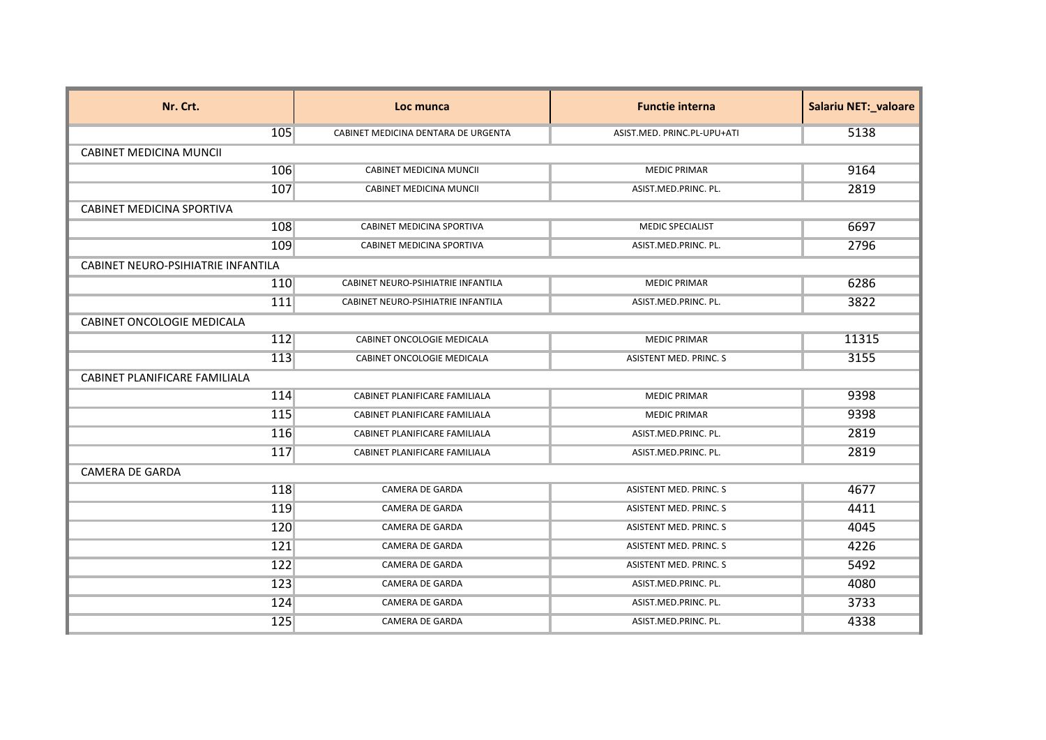| Nr. Crt.                           | Loc munca                           | <b>Functie interna</b>        | Salariu NET:_valoare |
|------------------------------------|-------------------------------------|-------------------------------|----------------------|
| 105                                | CABINET MEDICINA DENTARA DE URGENTA | ASIST.MED. PRINC.PL-UPU+ATI   | 5138                 |
| <b>CABINET MEDICINA MUNCII</b>     |                                     |                               |                      |
| 106                                | <b>CABINET MEDICINA MUNCIL</b>      | <b>MEDIC PRIMAR</b>           | 9164                 |
| 107                                | <b>CABINET MEDICINA MUNCII</b>      | ASIST.MED.PRINC. PL.          | 2819                 |
| <b>CABINET MEDICINA SPORTIVA</b>   |                                     |                               |                      |
| 108                                | CABINET MEDICINA SPORTIVA           | MEDIC SPECIALIST              | 6697                 |
| 109                                | CABINET MEDICINA SPORTIVA           | ASIST.MED.PRINC. PL.          | 2796                 |
| CABINET NEURO-PSIHIATRIE INFANTILA |                                     |                               |                      |
| 110                                | CABINET NEURO-PSIHIATRIE INFANTILA  | <b>MEDIC PRIMAR</b>           | 6286                 |
| 111                                | CABINET NEURO-PSIHIATRIE INFANTILA  | ASIST.MED.PRINC. PL.          | 3822                 |
| <b>CABINET ONCOLOGIE MEDICALA</b>  |                                     |                               |                      |
| 112                                | CABINET ONCOLOGIE MEDICALA          | <b>MEDIC PRIMAR</b>           | 11315                |
| 113                                | CABINET ONCOLOGIE MEDICALA          | <b>ASISTENT MED. PRINC. S</b> | 3155                 |
| CABINET PLANIFICARE FAMILIALA      |                                     |                               |                      |
| 114                                | CABINET PLANIFICARE FAMILIALA       | <b>MEDIC PRIMAR</b>           | 9398                 |
| 115                                | CABINET PLANIFICARE FAMILIALA       | <b>MEDIC PRIMAR</b>           | 9398                 |
| 116                                | CABINET PLANIFICARE FAMILIALA       | ASIST.MED.PRINC. PL.          | 2819                 |
| 117                                | CABINET PLANIFICARE FAMILIALA       | ASIST.MED.PRINC. PL.          | 2819                 |
| <b>CAMERA DE GARDA</b>             |                                     |                               |                      |
| 118                                | <b>CAMERA DE GARDA</b>              | ASISTENT MED. PRINC. S        | 4677                 |
| 119                                | CAMERA DE GARDA                     | <b>ASISTENT MED. PRINC. S</b> | 4411                 |
| 120                                | <b>CAMERA DE GARDA</b>              | <b>ASISTENT MED. PRINC. S</b> | 4045                 |
| 121                                | <b>CAMERA DE GARDA</b>              | <b>ASISTENT MED. PRINC. S</b> | 4226                 |
| 122                                | CAMERA DE GARDA                     | ASISTENT MED. PRINC. S        | 5492                 |
| 123                                | CAMERA DE GARDA                     | ASIST.MED.PRINC. PL.          | 4080                 |
| 124                                | CAMERA DE GARDA                     | ASIST.MED.PRINC. PL.          | 3733                 |
| 125                                | <b>CAMERA DE GARDA</b>              | ASIST.MED.PRINC. PL.          | 4338                 |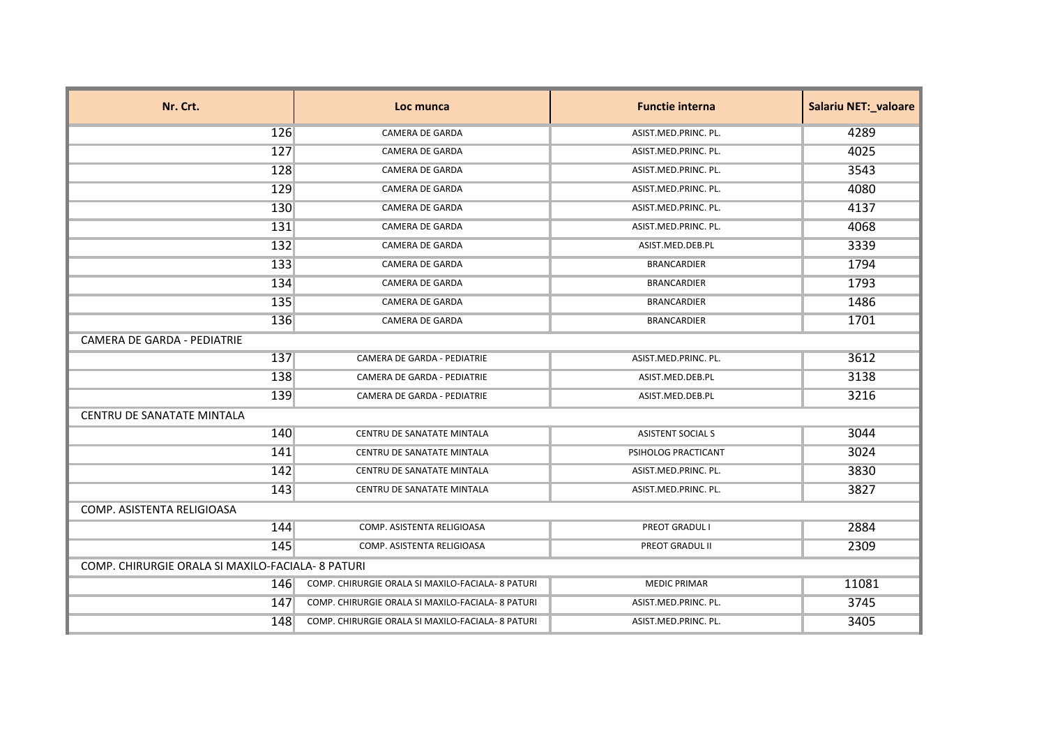| Nr. Crt.                    | Loc munca                                         | <b>Functie interna</b>   | <b>Salariu NET:_valoare</b> |  |
|-----------------------------|---------------------------------------------------|--------------------------|-----------------------------|--|
| 126                         | <b>CAMERA DE GARDA</b>                            | ASIST.MED.PRINC. PL.     | 4289                        |  |
| 127                         | <b>CAMERA DE GARDA</b>                            | ASIST.MED.PRINC. PL.     | 4025                        |  |
| 128                         | <b>CAMERA DE GARDA</b>                            | ASIST.MED.PRINC. PL.     | 3543                        |  |
| 129                         | <b>CAMERA DE GARDA</b>                            | ASIST.MED.PRINC. PL.     | 4080                        |  |
| 130                         | <b>CAMERA DE GARDA</b>                            | ASIST.MED.PRINC. PL.     | 4137                        |  |
| 131                         | <b>CAMERA DE GARDA</b>                            | ASIST.MED.PRINC. PL.     | 4068                        |  |
| 132                         | <b>CAMERA DE GARDA</b>                            | ASIST.MED.DEB.PL         | 3339                        |  |
| 133                         | CAMERA DE GARDA                                   | <b>BRANCARDIER</b>       | 1794                        |  |
| 134                         | CAMERA DE GARDA                                   | <b>BRANCARDIER</b>       | 1793                        |  |
| 135                         | <b>CAMERA DE GARDA</b>                            | <b>BRANCARDIER</b>       | 1486                        |  |
| 136                         | <b>CAMERA DE GARDA</b>                            | <b>BRANCARDIER</b>       | 1701                        |  |
| CAMERA DE GARDA - PEDIATRIE |                                                   |                          |                             |  |
| 137                         | CAMERA DE GARDA - PEDIATRIE                       | ASIST.MED.PRINC. PL.     | 3612                        |  |
| 138                         | CAMERA DE GARDA - PEDIATRIE                       | ASIST.MED.DEB.PL         | 3138                        |  |
| 139                         | <b>CAMERA DE GARDA - PEDIATRIE</b>                | ASIST.MED.DEB.PL         | 3216                        |  |
| CENTRU DE SANATATE MINTALA  |                                                   |                          |                             |  |
| 140                         | CENTRU DE SANATATE MINTALA                        | <b>ASISTENT SOCIAL S</b> | 3044                        |  |
| 141                         | CENTRU DE SANATATE MINTALA                        | PSIHOLOG PRACTICANT      | 3024                        |  |
| 142                         | CENTRU DE SANATATE MINTALA                        | ASIST.MED.PRINC. PL.     | 3830                        |  |
| 143                         | CENTRU DE SANATATE MINTALA                        | ASIST.MED.PRINC. PL.     | 3827                        |  |
| COMP. ASISTENTA RELIGIOASA  |                                                   |                          |                             |  |
| 144                         | COMP. ASISTENTA RELIGIOASA                        | <b>PREOT GRADUL I</b>    | 2884                        |  |
| 145                         | COMP. ASISTENTA RELIGIOASA                        | PREOT GRADUL II          | 2309                        |  |
|                             | COMP. CHIRURGIE ORALA SI MAXILO-FACIALA- 8 PATURI |                          |                             |  |
| 146                         | COMP. CHIRURGIE ORALA SI MAXILO-FACIALA- 8 PATURI | <b>MEDIC PRIMAR</b>      | 11081                       |  |
| 147                         | COMP. CHIRURGIE ORALA SI MAXILO-FACIALA- 8 PATURI | ASIST.MED.PRINC. PL.     | 3745                        |  |
| 148                         | COMP. CHIRURGIE ORALA SI MAXILO-FACIALA- 8 PATURI | ASIST.MED.PRINC. PL.     | 3405                        |  |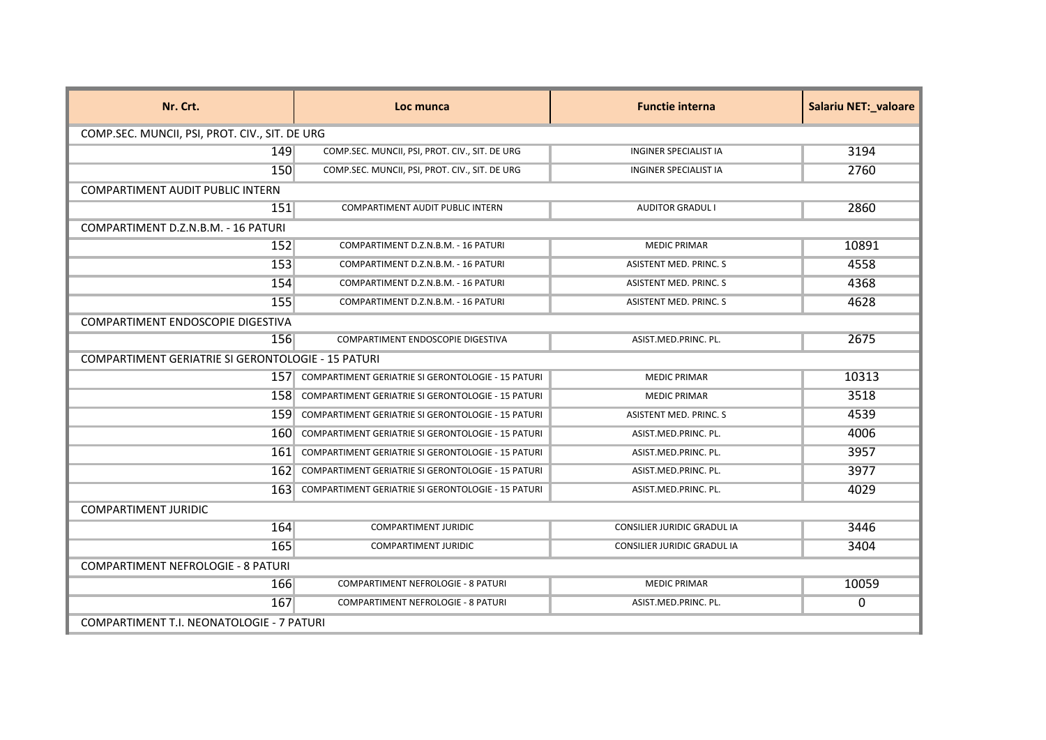| Nr. Crt.                                           | Loc munca                                              | <b>Functie interna</b>             | <b>Salariu NET: valoare</b> |  |
|----------------------------------------------------|--------------------------------------------------------|------------------------------------|-----------------------------|--|
|                                                    | COMP.SEC. MUNCII, PSI, PROT. CIV., SIT. DE URG         |                                    |                             |  |
| 149                                                | COMP.SEC. MUNCII, PSI, PROT. CIV., SIT. DE URG         | <b>INGINER SPECIALIST IA</b>       | 3194                        |  |
| 150                                                | COMP.SEC. MUNCII, PSI, PROT. CIV., SIT. DE URG         | <b>INGINER SPECIALIST IA</b>       | 2760                        |  |
| <b>COMPARTIMENT AUDIT PUBLIC INTERN</b>            |                                                        |                                    |                             |  |
| 151                                                | COMPARTIMENT AUDIT PUBLIC INTERN                       | <b>AUDITOR GRADUL I</b>            | 2860                        |  |
| COMPARTIMENT D.Z.N.B.M. - 16 PATURI                |                                                        |                                    |                             |  |
| 152                                                | COMPARTIMENT D.Z.N.B.M. - 16 PATURI                    | <b>MEDIC PRIMAR</b>                | 10891                       |  |
| 153                                                | COMPARTIMENT D.Z.N.B.M. - 16 PATURI                    | <b>ASISTENT MED. PRINC. S</b>      | 4558                        |  |
| 154                                                | COMPARTIMENT D.Z.N.B.M. - 16 PATURI                    | <b>ASISTENT MED. PRINC. S</b>      | 4368                        |  |
| 155                                                | COMPARTIMENT D.Z.N.B.M. - 16 PATURI                    | ASISTENT MED. PRINC. S             | 4628                        |  |
| COMPARTIMENT ENDOSCOPIE DIGESTIVA                  |                                                        |                                    |                             |  |
| 156                                                | COMPARTIMENT ENDOSCOPIE DIGESTIVA                      | ASIST.MED.PRINC. PL.               | 2675                        |  |
| COMPARTIMENT GERIATRIE SI GERONTOLOGIE - 15 PATURI |                                                        |                                    |                             |  |
|                                                    | 157 COMPARTIMENT GERIATRIE SI GERONTOLOGIE - 15 PATURI | <b>MEDIC PRIMAR</b>                | 10313                       |  |
| 1581                                               | COMPARTIMENT GERIATRIE SI GERONTOLOGIE - 15 PATURI     | <b>MEDIC PRIMAR</b>                | 3518                        |  |
| 159                                                | COMPARTIMENT GERIATRIE SI GERONTOLOGIE - 15 PATURI     | <b>ASISTENT MED. PRINC. S</b>      | 4539                        |  |
| 160                                                | COMPARTIMENT GERIATRIE SI GERONTOLOGIE - 15 PATURI     | ASIST.MED.PRINC. PL.               | 4006                        |  |
| 161.                                               | COMPARTIMENT GERIATRIE SI GERONTOLOGIE - 15 PATURI     | ASIST.MED.PRINC. PL.               | 3957                        |  |
|                                                    | 162 COMPARTIMENT GERIATRIE SI GERONTOLOGIE - 15 PATURI | ASIST.MED.PRINC. PL.               | 3977                        |  |
| 163                                                | COMPARTIMENT GERIATRIE SI GERONTOLOGIE - 15 PATURI     | ASIST.MED.PRINC. PL.               | 4029                        |  |
| <b>COMPARTIMENT JURIDIC</b>                        |                                                        |                                    |                             |  |
| 164                                                | <b>COMPARTIMENT JURIDIC</b>                            | <b>CONSILIER JURIDIC GRADUL IA</b> | 3446                        |  |
| 165                                                | <b>COMPARTIMENT JURIDIC</b>                            | <b>CONSILIER JURIDIC GRADUL IA</b> | 3404                        |  |
| <b>COMPARTIMENT NEFROLOGIE - 8 PATURI</b>          |                                                        |                                    |                             |  |
| 166                                                | <b>COMPARTIMENT NEFROLOGIE - 8 PATURI</b>              | <b>MEDIC PRIMAR</b>                | 10059                       |  |
| 167                                                | COMPARTIMENT NEFROLOGIE - 8 PATURI                     | ASIST.MED.PRINC. PL.               | 0                           |  |
| COMPARTIMENT T.I. NEONATOLOGIE - 7 PATURI          |                                                        |                                    |                             |  |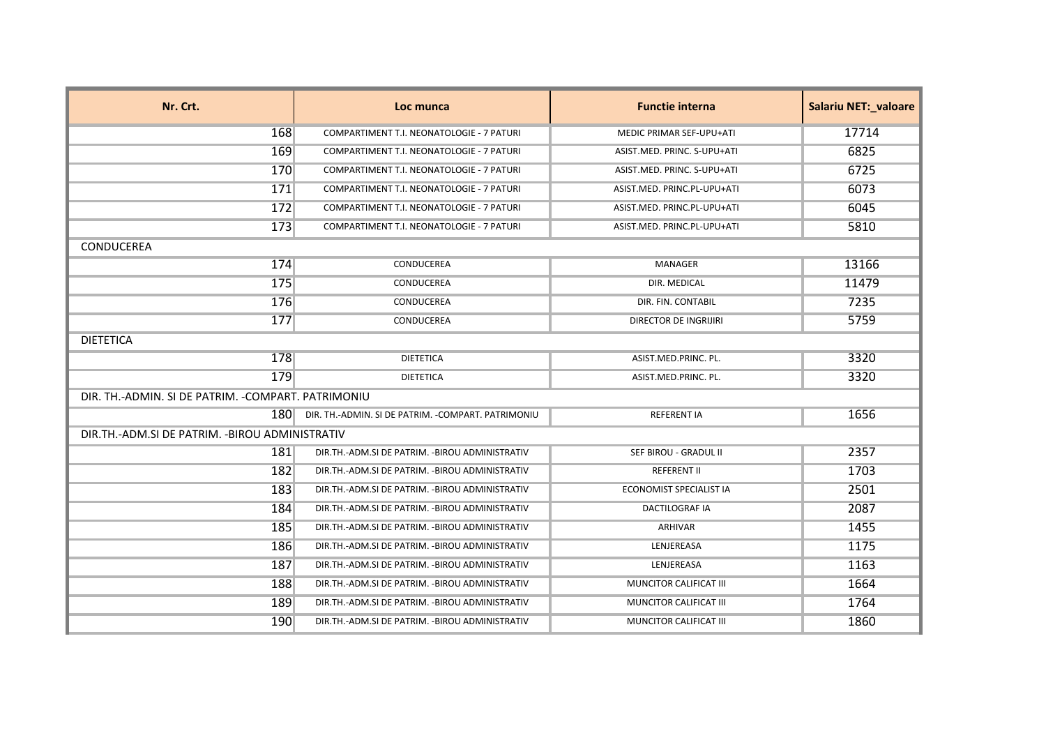| Nr. Crt.                                            | Loc munca                                           | <b>Functie interna</b>      | <b>Salariu NET:_valoare</b> |
|-----------------------------------------------------|-----------------------------------------------------|-----------------------------|-----------------------------|
| 168                                                 | COMPARTIMENT T.I. NEONATOLOGIE - 7 PATURI           | MEDIC PRIMAR SEF-UPU+ATI    | 17714                       |
| 169                                                 | COMPARTIMENT T.I. NEONATOLOGIE - 7 PATURI           | ASIST.MED. PRINC. S-UPU+ATI | 6825                        |
| 170                                                 | COMPARTIMENT T.I. NEONATOLOGIE - 7 PATURI           | ASIST.MED. PRINC. S-UPU+ATI | 6725                        |
| 171                                                 | COMPARTIMENT T.I. NEONATOLOGIE - 7 PATURI           | ASIST.MED. PRINC.PL-UPU+ATI | 6073                        |
| 172                                                 | COMPARTIMENT T.I. NEONATOLOGIE - 7 PATURI           | ASIST.MED. PRINC.PL-UPU+ATI | 6045                        |
| 173                                                 | COMPARTIMENT T.I. NEONATOLOGIE - 7 PATURI           | ASIST.MED. PRINC.PL-UPU+ATI | 5810                        |
| CONDUCEREA                                          |                                                     |                             |                             |
| 174                                                 | CONDUCEREA                                          | MANAGER                     | 13166                       |
| 175                                                 | CONDUCEREA                                          | DIR. MEDICAL                | 11479                       |
| 176                                                 | CONDUCEREA                                          | DIR. FIN. CONTABIL          | 7235                        |
| 177                                                 | CONDUCEREA                                          | DIRECTOR DE INGRIJIRI       | 5759                        |
| <b>DIETETICA</b>                                    |                                                     |                             |                             |
| 178                                                 | <b>DIETETICA</b>                                    | ASIST.MED.PRINC. PL.        | 3320                        |
| 179                                                 | <b>DIETETICA</b>                                    | ASIST.MED.PRINC. PL.        | 3320                        |
| DIR. TH.-ADMIN. SI DE PATRIM. - COMPART. PATRIMONIU |                                                     |                             |                             |
| 1801                                                | DIR. TH.-ADMIN. SI DE PATRIM. - COMPART. PATRIMONIU | <b>REFERENT IA</b>          | 1656                        |
| DIR.TH.-ADM.SI DE PATRIM. - BIROU ADMINISTRATIV     |                                                     |                             |                             |
| 181                                                 | DIR.TH.-ADM.SI DE PATRIM. - BIROU ADMINISTRATIV     | SEF BIROU - GRADUL II       | 2357                        |
| 182                                                 | DIR.TH.-ADM.SI DE PATRIM. - BIROU ADMINISTRATIV     | <b>REFERENT II</b>          | 1703                        |
| 183                                                 | DIR.TH.-ADM.SI DE PATRIM. - BIROU ADMINISTRATIV     | ECONOMIST SPECIALIST IA     | 2501                        |
| 184                                                 | DIR.TH.-ADM.SI DE PATRIM. - BIROU ADMINISTRATIV     | <b>DACTILOGRAF IA</b>       | 2087                        |
| 185                                                 | DIR.TH.-ADM.SI DE PATRIM. - BIROU ADMINISTRATIV     | ARHIVAR                     | 1455                        |
| 186                                                 | DIR.TH.-ADM.SI DE PATRIM. - BIROU ADMINISTRATIV     | LENJEREASA                  | 1175                        |
| 187                                                 | DIR.TH.-ADM.SI DE PATRIM. - BIROU ADMINISTRATIV     | LENJEREASA                  | 1163                        |
| 188                                                 | DIR.TH.-ADM.SI DE PATRIM. - BIROU ADMINISTRATIV     | MUNCITOR CALIFICAT III      | 1664                        |
| 189                                                 | DIR.TH.-ADM.SI DE PATRIM. - BIROU ADMINISTRATIV     | MUNCITOR CALIFICAT III      | 1764                        |
| 190                                                 | DIR.TH.-ADM.SI DE PATRIM. - BIROU ADMINISTRATIV     | MUNCITOR CALIFICAT III      | 1860                        |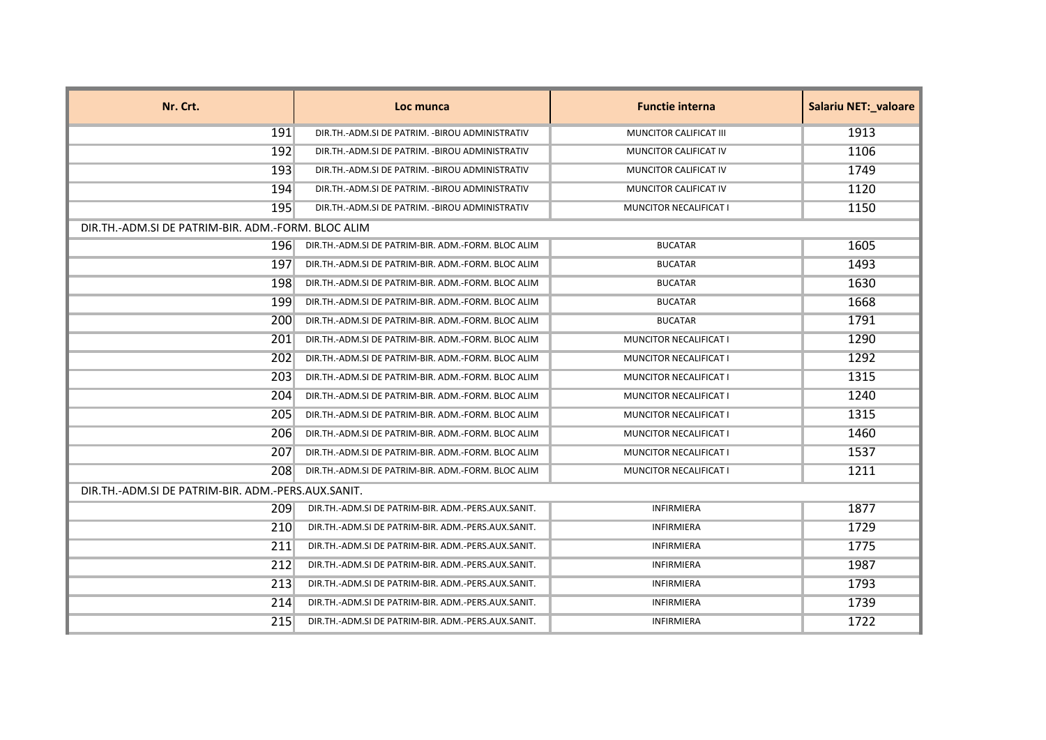| Nr. Crt.                                           | Loc munca                                                | <b>Functie interna</b>        | <b>Salariu NET: valoare</b> |
|----------------------------------------------------|----------------------------------------------------------|-------------------------------|-----------------------------|
| 191                                                | DIR.TH.-ADM.SI DE PATRIM. - BIROU ADMINISTRATIV          | MUNCITOR CALIFICAT III        | 1913                        |
| 192                                                | DIR. TH. - ADM. SI DE PATRIM. - BIROU ADMINISTRATIV      | MUNCITOR CALIFICAT IV         | 1106                        |
| <b>193</b>                                         | DIR.TH.-ADM.SI DE PATRIM. - BIROU ADMINISTRATIV          | MUNCITOR CALIFICAT IV         | 1749                        |
| 194                                                | DIR.TH.-ADM.SI DE PATRIM. - BIROU ADMINISTRATIV          | MUNCITOR CALIFICAT IV         | 1120                        |
| 195                                                | DIR.TH.-ADM.SI DE PATRIM. - BIROU ADMINISTRATIV          | MUNCITOR NECALIFICAT I        | 1150                        |
| DIR.TH.-ADM.SI DE PATRIM-BIR. ADM.-FORM. BLOC ALIM |                                                          |                               |                             |
| 1961                                               | DIR. TH. - ADM. SI DE PATRIM-BIR. ADM. - FORM. BLOC ALIM | <b>BUCATAR</b>                | 1605                        |
| 197                                                | DIR.TH.-ADM.SI DE PATRIM-BIR. ADM.-FORM. BLOC ALIM       | <b>BUCATAR</b>                | 1493                        |
| 198                                                | DIR. TH. - ADM. SI DE PATRIM-BIR. ADM. - FORM. BLOC ALIM | <b>BUCATAR</b>                | 1630                        |
| 199                                                | DIR.TH.-ADM.SI DE PATRIM-BIR. ADM.-FORM. BLOC ALIM       | <b>BUCATAR</b>                | 1668                        |
| 200                                                | DIR.TH.-ADM.SI DE PATRIM-BIR. ADM.-FORM. BLOC ALIM       | <b>BUCATAR</b>                | 1791                        |
| <b>201</b>                                         | DIR.TH.-ADM.SI DE PATRIM-BIR. ADM.-FORM. BLOC ALIM       | MUNCITOR NECALIFICAT I        | 1290                        |
| 202                                                | DIR.TH.-ADM.SI DE PATRIM-BIR. ADM.-FORM. BLOC ALIM       | MUNCITOR NECALIFICAT I        | 1292                        |
| 203                                                | DIR.TH.-ADM.SI DE PATRIM-BIR. ADM.-FORM. BLOC ALIM       | MUNCITOR NECALIFICAT I        | 1315                        |
| 204                                                | DIR. TH. - ADM. SI DE PATRIM-BIR. ADM. - FORM. BLOC ALIM | <b>MUNCITOR NECALIFICAT I</b> | 1240                        |
| 205                                                | DIR.TH.-ADM.SI DE PATRIM-BIR. ADM.-FORM. BLOC ALIM       | <b>MUNCITOR NECALIFICAT I</b> | 1315                        |
| 206                                                | DIR.TH.-ADM.SI DE PATRIM-BIR. ADM.-FORM. BLOC ALIM       | MUNCITOR NECALIFICAT I        | 1460                        |
| 207                                                | DIR.TH.-ADM.SI DE PATRIM-BIR. ADM.-FORM. BLOC ALIM       | MUNCITOR NECALIFICAT I        | 1537                        |
| 208                                                | DIR.TH.-ADM.SI DE PATRIM-BIR. ADM.-FORM. BLOC ALIM       | MUNCITOR NECALIFICAT I        | 1211                        |
| DIR.TH.-ADM.SI DE PATRIM-BIR. ADM.-PERS.AUX.SANIT. |                                                          |                               |                             |
| 209                                                | DIR.TH.-ADM.SI DE PATRIM-BIR. ADM.-PERS.AUX.SANIT.       | <b>INFIRMIERA</b>             | 1877                        |
| 210                                                | DIR.TH.-ADM.SI DE PATRIM-BIR. ADM.-PERS.AUX.SANIT.       | <b>INFIRMIERA</b>             | 1729                        |
| 211                                                | DIR.TH.-ADM.SI DE PATRIM-BIR. ADM.-PERS.AUX.SANIT.       | INFIRMIERA                    | 1775                        |
| 212                                                | DIR.TH.-ADM.SI DE PATRIM-BIR. ADM.-PERS.AUX.SANIT.       | <b>INFIRMIERA</b>             | 1987                        |
| 213                                                | DIR.TH.-ADM.SI DE PATRIM-BIR. ADM.-PERS.AUX.SANIT.       | <b>INFIRMIERA</b>             | 1793                        |
| 214                                                | DIR.TH.-ADM.SI DE PATRIM-BIR. ADM.-PERS.AUX.SANIT.       | <b>INFIRMIERA</b>             | 1739                        |
| 215                                                | DIR.TH.-ADM.SI DE PATRIM-BIR. ADM.-PERS.AUX.SANIT.       | <b>INFIRMIERA</b>             | 1722                        |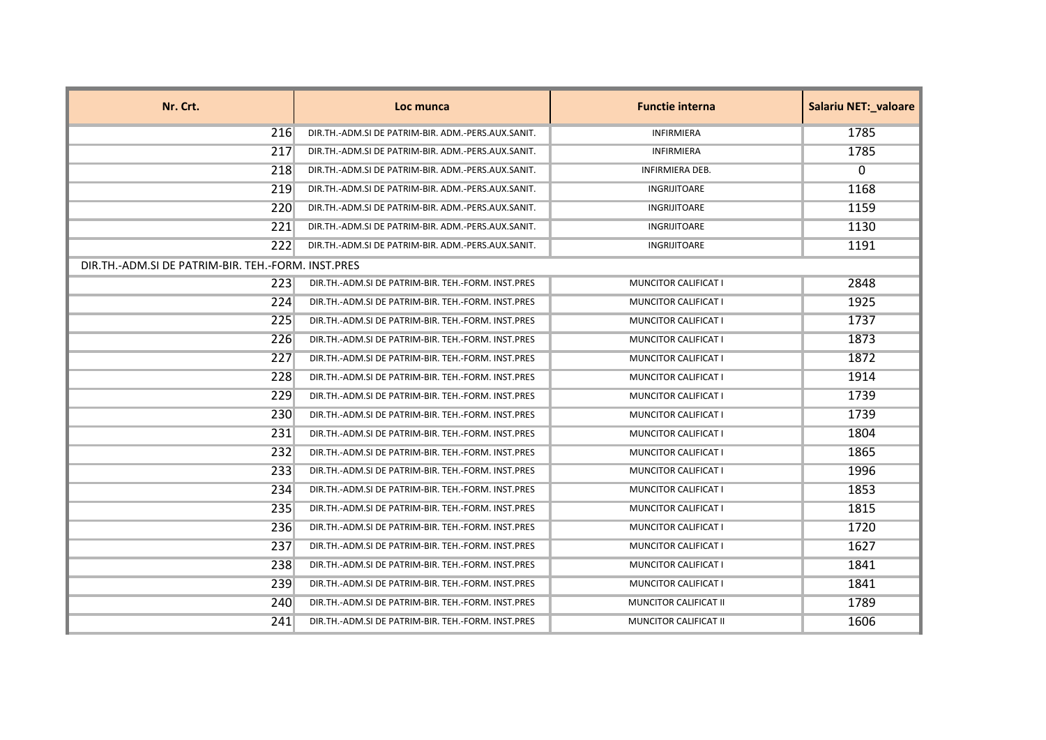| Nr. Crt.                                           | Loc munca                                          | <b>Functie interna</b>      | <b>Salariu NET: valoare</b> |
|----------------------------------------------------|----------------------------------------------------|-----------------------------|-----------------------------|
| 216                                                | DIR.TH.-ADM.SI DE PATRIM-BIR. ADM.-PERS.AUX.SANIT. | <b>INFIRMIERA</b>           | 1785                        |
| 217                                                | DIR.TH.-ADM.SI DE PATRIM-BIR. ADM.-PERS.AUX.SANIT. | <b>INFIRMIERA</b>           | 1785                        |
| 218                                                | DIR.TH.-ADM.SI DE PATRIM-BIR. ADM.-PERS.AUX.SANIT. | <b>INFIRMIERA DEB.</b>      | $\Omega$                    |
| 219                                                | DIR.TH.-ADM.SI DE PATRIM-BIR. ADM.-PERS.AUX.SANIT. | INGRIJITOARE                | 1168                        |
| 220                                                | DIR.TH.-ADM.SI DE PATRIM-BIR. ADM.-PERS.AUX.SANIT. | <b>INGRIJITOARE</b>         | 1159                        |
| 221                                                | DIR.TH.-ADM.SI DE PATRIM-BIR. ADM.-PERS.AUX.SANIT. | <b>INGRIJITOARE</b>         | 1130                        |
| 222                                                | DIR.TH.-ADM.SI DE PATRIM-BIR. ADM.-PERS.AUX.SANIT. | INGRIJITOARE                | 1191                        |
| DIR.TH.-ADM.SI DE PATRIM-BIR. TEH.-FORM. INST.PRES |                                                    |                             |                             |
| 223                                                | DIR.TH.-ADM.SI DE PATRIM-BIR. TEH.-FORM. INST.PRES | MUNCITOR CALIFICAT I        | 2848                        |
| 224                                                | DIR.TH.-ADM.SI DE PATRIM-BIR. TEH.-FORM. INST.PRES | <b>MUNCITOR CALIFICAT I</b> | 1925                        |
| 225                                                | DIR.TH.-ADM.SI DE PATRIM-BIR. TEH.-FORM. INST.PRES | MUNCITOR CALIFICAT I        | 1737                        |
| 226                                                | DIR.TH.-ADM.SI DE PATRIM-BIR. TEH.-FORM. INST.PRES | <b>MUNCITOR CALIFICAT I</b> | 1873                        |
| 227                                                | DIR.TH.-ADM.SI DE PATRIM-BIR. TEH.-FORM. INST.PRES | <b>MUNCITOR CALIFICAT I</b> | 1872                        |
| 228                                                | DIR.TH.-ADM.SI DE PATRIM-BIR. TEH.-FORM. INST.PRES | MUNCITOR CALIFICAT I        | 1914                        |
| 229                                                | DIR.TH.-ADM.SI DE PATRIM-BIR. TEH.-FORM. INST.PRES | <b>MUNCITOR CALIFICAT I</b> | 1739                        |
| 230                                                | DIR.TH.-ADM.SI DE PATRIM-BIR. TEH.-FORM. INST.PRES | <b>MUNCITOR CALIFICAT I</b> | 1739                        |
| 231                                                | DIR.TH.-ADM.SI DE PATRIM-BIR. TEH.-FORM. INST.PRES | MUNCITOR CALIFICAT I        | 1804                        |
| 232                                                | DIR.TH.-ADM.SI DE PATRIM-BIR. TEH.-FORM. INST.PRES | MUNCITOR CALIFICAT I        | 1865                        |
| 233                                                | DIR.TH.-ADM.SI DE PATRIM-BIR. TEH.-FORM. INST.PRES | <b>MUNCITOR CALIFICAT I</b> | 1996                        |
| 234                                                | DIR.TH.-ADM.SI DE PATRIM-BIR. TEH.-FORM. INST.PRES | MUNCITOR CALIFICAT I        | 1853                        |
| 235                                                | DIR.TH.-ADM.SI DE PATRIM-BIR. TEH.-FORM. INST.PRES | <b>MUNCITOR CALIFICAT I</b> | 1815                        |
| 236                                                | DIR.TH.-ADM.SI DE PATRIM-BIR. TEH.-FORM. INST.PRES | <b>MUNCITOR CALIFICAT I</b> | 1720                        |
| 237                                                | DIR.TH.-ADM.SI DE PATRIM-BIR. TEH.-FORM. INST.PRES | MUNCITOR CALIFICAT I        | 1627                        |
| 238                                                | DIR.TH.-ADM.SI DE PATRIM-BIR. TEH.-FORM. INST.PRES | <b>MUNCITOR CALIFICAT I</b> | 1841                        |
| 239                                                | DIR.TH.-ADM.SI DE PATRIM-BIR. TEH.-FORM. INST.PRES | MUNCITOR CALIFICAT I        | 1841                        |
| 240                                                | DIR.TH.-ADM.SI DE PATRIM-BIR. TEH.-FORM. INST.PRES | MUNCITOR CALIFICAT II       | 1789                        |
| 241                                                | DIR.TH.-ADM.SI DE PATRIM-BIR. TEH.-FORM. INST.PRES | MUNCITOR CALIFICAT II       | 1606                        |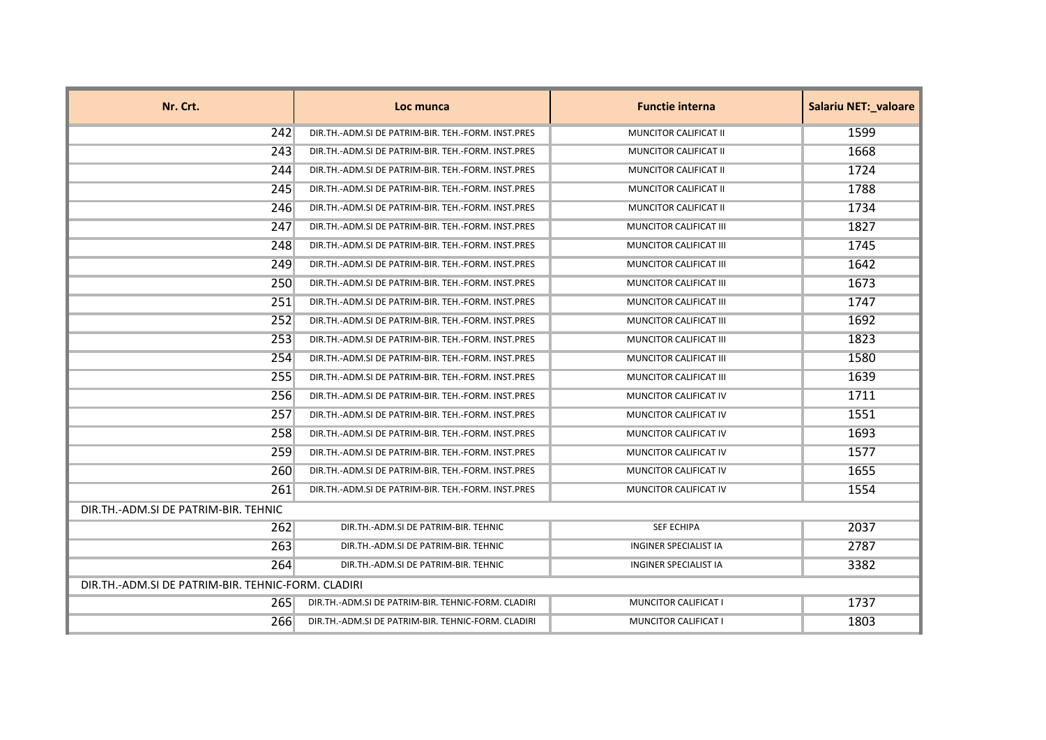| Nr. Crt.                                           | Loc munca                                          | <b>Functie interna</b>        | <b>Salariu NET: valoare</b> |
|----------------------------------------------------|----------------------------------------------------|-------------------------------|-----------------------------|
| 242                                                | DIR.TH.-ADM.SI DE PATRIM-BIR. TEH.-FORM. INST.PRES | MUNCITOR CALIFICAT II         | 1599                        |
| 243                                                | DIR.TH.-ADM.SI DE PATRIM-BIR. TEH.-FORM. INST.PRES | <b>MUNCITOR CALIFICAT II</b>  | 1668                        |
| 244                                                | DIR.TH.-ADM.SI DE PATRIM-BIR. TEH.-FORM. INST.PRES | MUNCITOR CALIFICAT II         | 1724                        |
| 245                                                | DIR.TH.-ADM.SI DE PATRIM-BIR. TEH.-FORM. INST.PRES | MUNCITOR CALIFICAT II         | 1788                        |
| 246                                                | DIR.TH.-ADM.SI DE PATRIM-BIR. TEH.-FORM. INST.PRES | MUNCITOR CALIFICAT II         | 1734                        |
| 247                                                | DIR.TH.-ADM.SI DE PATRIM-BIR. TEH.-FORM. INST.PRES | MUNCITOR CALIFICAT III        | 1827                        |
| 248                                                | DIR.TH.-ADM.SI DE PATRIM-BIR. TEH.-FORM. INST.PRES | MUNCITOR CALIFICAT III        | 1745                        |
| 249                                                | DIR.TH.-ADM.SI DE PATRIM-BIR. TEH.-FORM. INST.PRES | MUNCITOR CALIFICAT III        | 1642                        |
| 250                                                | DIR.TH.-ADM.SI DE PATRIM-BIR. TEH.-FORM. INST.PRES | MUNCITOR CALIFICAT III        | 1673                        |
| 251                                                | DIR.TH.-ADM.SI DE PATRIM-BIR. TEH.-FORM. INST.PRES | MUNCITOR CALIFICAT III        | 1747                        |
| 252                                                | DIR.TH.-ADM.SI DE PATRIM-BIR. TEH.-FORM. INST.PRES | MUNCITOR CALIFICAT III        | 1692                        |
| 253                                                | DIR.TH.-ADM.SI DE PATRIM-BIR. TEH.-FORM. INST.PRES | MUNCITOR CALIFICAT III        | 1823                        |
| 254                                                | DIR.TH.-ADM.SI DE PATRIM-BIR. TEH.-FORM. INST.PRES | <b>MUNCITOR CALIFICAT III</b> | 1580                        |
| 255                                                | DIR.TH.-ADM.SI DE PATRIM-BIR. TEH.-FORM. INST.PRES | MUNCITOR CALIFICAT III        | 1639                        |
| 256                                                | DIR.TH.-ADM.SI DE PATRIM-BIR. TEH.-FORM. INST.PRES | MUNCITOR CALIFICAT IV         | 1711                        |
| 257                                                | DIR.TH.-ADM.SI DE PATRIM-BIR. TEH.-FORM. INST.PRES | MUNCITOR CALIFICAT IV         | 1551                        |
| 258                                                | DIR.TH.-ADM.SI DE PATRIM-BIR. TEH.-FORM. INST.PRES | MUNCITOR CALIFICAT IV         | 1693                        |
| 259                                                | DIR.TH.-ADM.SI DE PATRIM-BIR. TEH.-FORM. INST.PRES | MUNCITOR CALIFICAT IV         | 1577                        |
| 260                                                | DIR.TH.-ADM.SI DE PATRIM-BIR. TEH.-FORM. INST.PRES | MUNCITOR CALIFICAT IV         | 1655                        |
| 261                                                | DIR.TH.-ADM.SI DE PATRIM-BIR. TEH.-FORM. INST.PRES | MUNCITOR CALIFICAT IV         | 1554                        |
| DIR.TH.-ADM.SI DE PATRIM-BIR. TEHNIC               |                                                    |                               |                             |
| 262                                                | DIR.TH.-ADM.SI DE PATRIM-BIR. TEHNIC               | <b>SEF ECHIPA</b>             | 2037                        |
| 263                                                | DIR.TH.-ADM.SI DE PATRIM-BIR. TEHNIC               | <b>INGINER SPECIALIST IA</b>  | 2787                        |
| 264                                                | DIR.TH.-ADM.SI DE PATRIM-BIR. TEHNIC               | <b>INGINER SPECIALIST IA</b>  | 3382                        |
| DIR.TH.-ADM.SI DE PATRIM-BIR. TEHNIC-FORM. CLADIRI |                                                    |                               |                             |
| 265                                                | DIR.TH.-ADM.SI DE PATRIM-BIR. TEHNIC-FORM. CLADIRI | <b>MUNCITOR CALIFICAT I</b>   | 1737                        |
| 266                                                | DIR.TH.-ADM.SI DE PATRIM-BIR. TEHNIC-FORM. CLADIRI | MUNCITOR CALIFICAT I          | 1803                        |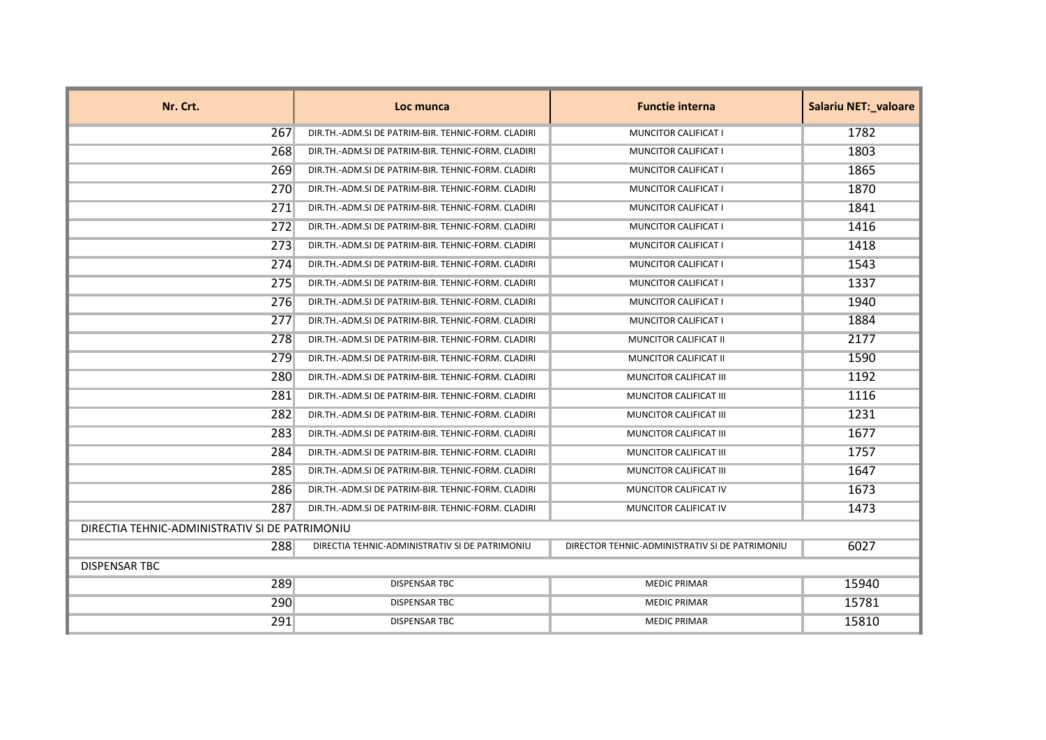| Nr. Crt.                                       | Loc munca                                          | <b>Functie interna</b>                         | Salariu NET:_valoare |
|------------------------------------------------|----------------------------------------------------|------------------------------------------------|----------------------|
| 267                                            | DIR.TH.-ADM.SI DE PATRIM-BIR. TEHNIC-FORM. CLADIRI | <b>MUNCITOR CALIFICAT I</b>                    | 1782                 |
| 268                                            | DIR.TH.-ADM.SI DE PATRIM-BIR. TEHNIC-FORM. CLADIRI | MUNCITOR CALIFICAT I                           | 1803                 |
| 269                                            | DIR.TH.-ADM.SI DE PATRIM-BIR. TEHNIC-FORM. CLADIRI | MUNCITOR CALIFICAT I                           | 1865                 |
| 270                                            | DIR.TH.-ADM.SI DE PATRIM-BIR. TEHNIC-FORM. CLADIRI | <b>MUNCITOR CALIFICAT I</b>                    | 1870                 |
| 271                                            | DIR.TH.-ADM.SI DE PATRIM-BIR. TEHNIC-FORM. CLADIRI | MUNCITOR CALIFICAT I                           | 1841                 |
| 272                                            | DIR.TH.-ADM.SI DE PATRIM-BIR. TEHNIC-FORM. CLADIRI | MUNCITOR CALIFICAT I                           | 1416                 |
| 273                                            | DIR.TH.-ADM.SI DE PATRIM-BIR. TEHNIC-FORM. CLADIRI | MUNCITOR CALIFICAT I                           | 1418                 |
| 274                                            | DIR.TH.-ADM.SI DE PATRIM-BIR. TEHNIC-FORM. CLADIRI | <b>MUNCITOR CALIFICAT I</b>                    | 1543                 |
| 275                                            | DIR.TH.-ADM.SI DE PATRIM-BIR. TEHNIC-FORM. CLADIRI | MUNCITOR CALIFICAT I                           | 1337                 |
| 276                                            | DIR.TH.-ADM.SI DE PATRIM-BIR. TEHNIC-FORM. CLADIRI | MUNCITOR CALIFICAT I                           | 1940                 |
| 277                                            | DIR.TH.-ADM.SI DE PATRIM-BIR. TEHNIC-FORM. CLADIRI | MUNCITOR CALIFICAT I                           | 1884                 |
| 278                                            | DIR.TH.-ADM.SI DE PATRIM-BIR. TEHNIC-FORM. CLADIRI | MUNCITOR CALIFICAT II                          | 2177                 |
| 279                                            | DIR.TH.-ADM.SI DE PATRIM-BIR. TEHNIC-FORM. CLADIRI | MUNCITOR CALIFICAT II                          | 1590                 |
| 280                                            | DIR.TH.-ADM.SI DE PATRIM-BIR. TEHNIC-FORM. CLADIRI | MUNCITOR CALIFICAT III                         | 1192                 |
| 281                                            | DIR.TH.-ADM.SI DE PATRIM-BIR. TEHNIC-FORM. CLADIRI | MUNCITOR CALIFICAT III                         | 1116                 |
| 282                                            | DIR.TH.-ADM.SI DE PATRIM-BIR. TEHNIC-FORM. CLADIRI | MUNCITOR CALIFICAT III                         | 1231                 |
| 283                                            | DIR.TH.-ADM.SI DE PATRIM-BIR. TEHNIC-FORM. CLADIRI | MUNCITOR CALIFICAT III                         | 1677                 |
| 284                                            | DIR.TH.-ADM.SI DE PATRIM-BIR. TEHNIC-FORM. CLADIRI | MUNCITOR CALIFICAT III                         | 1757                 |
| 285                                            | DIR.TH.-ADM.SI DE PATRIM-BIR. TEHNIC-FORM. CLADIRI | MUNCITOR CALIFICAT III                         | 1647                 |
| 286                                            | DIR.TH.-ADM.SI DE PATRIM-BIR. TEHNIC-FORM. CLADIRI | MUNCITOR CALIFICAT IV                          | 1673                 |
| 287                                            | DIR.TH.-ADM.SI DE PATRIM-BIR. TEHNIC-FORM. CLADIRI | MUNCITOR CALIFICAT IV                          | 1473                 |
| DIRECTIA TEHNIC-ADMINISTRATIV SI DE PATRIMONIU |                                                    |                                                |                      |
| 288                                            | DIRECTIA TEHNIC-ADMINISTRATIV SI DE PATRIMONIU     | DIRECTOR TEHNIC-ADMINISTRATIV SI DE PATRIMONIU | 6027                 |
| <b>DISPENSAR TBC</b>                           |                                                    |                                                |                      |
| 289                                            | <b>DISPENSAR TBC</b>                               | <b>MEDIC PRIMAR</b>                            | 15940                |
| 290                                            | <b>DISPENSAR TBC</b>                               | <b>MEDIC PRIMAR</b>                            | 15781                |
| 291                                            | <b>DISPENSAR TBC</b>                               | <b>MEDIC PRIMAR</b>                            | 15810                |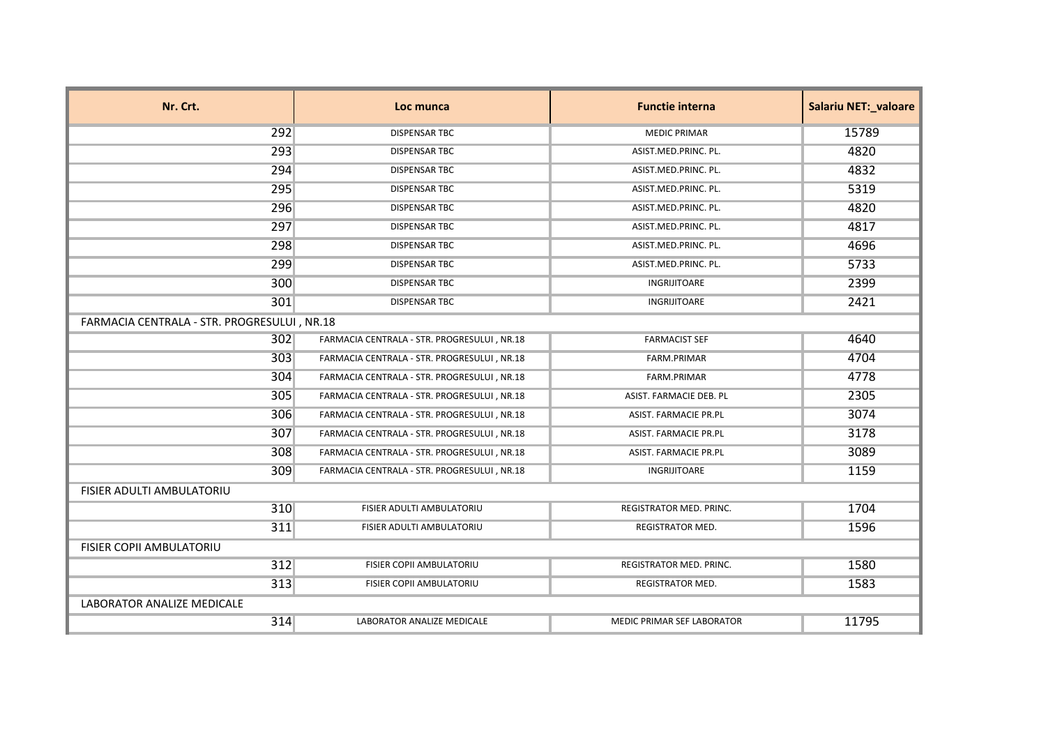| Nr. Crt.                         | Loc munca                                   | <b>Functie interna</b>            | <b>Salariu NET: valoare</b> |  |
|----------------------------------|---------------------------------------------|-----------------------------------|-----------------------------|--|
| 292                              | <b>DISPENSAR TBC</b>                        | <b>MEDIC PRIMAR</b>               | 15789                       |  |
| 293                              | <b>DISPENSAR TBC</b>                        | ASIST.MED.PRINC. PL.              | 4820                        |  |
| 294                              | <b>DISPENSAR TBC</b>                        | ASIST.MED.PRINC. PL.              | 4832                        |  |
| 295                              | <b>DISPENSAR TBC</b>                        | ASIST.MED.PRINC. PL.              | 5319                        |  |
| 296                              | <b>DISPENSAR TBC</b>                        | ASIST.MED.PRINC. PL.              | 4820                        |  |
| 297                              | <b>DISPENSAR TBC</b>                        | ASIST.MED.PRINC. PL.              | 4817                        |  |
| 298                              | <b>DISPENSAR TBC</b>                        | ASIST.MED.PRINC. PL.              | 4696                        |  |
| 299                              | <b>DISPENSAR TBC</b>                        | ASIST.MED.PRINC. PL.              | 5733                        |  |
| 300                              | <b>DISPENSAR TBC</b>                        | INGRIJITOARE                      | 2399                        |  |
| 301                              | <b>DISPENSAR TBC</b>                        | INGRIJITOARE                      | 2421                        |  |
|                                  | FARMACIA CENTRALA - STR. PROGRESULUI, NR.18 |                                   |                             |  |
| 302                              | FARMACIA CENTRALA - STR. PROGRESULUI, NR.18 | <b>FARMACIST SEF</b>              | 4640                        |  |
| 303                              | FARMACIA CENTRALA - STR. PROGRESULUI, NR.18 | FARM.PRIMAR                       | 4704                        |  |
| 304                              | FARMACIA CENTRALA - STR. PROGRESULUI, NR.18 | FARM.PRIMAR                       | 4778                        |  |
| 305                              | FARMACIA CENTRALA - STR. PROGRESULUI, NR.18 | ASIST. FARMACIE DEB. PL           | 2305                        |  |
| 306                              | FARMACIA CENTRALA - STR. PROGRESULUI, NR.18 | ASIST. FARMACIE PR.PL             | 3074                        |  |
| 307                              | FARMACIA CENTRALA - STR. PROGRESULUI, NR.18 | ASIST. FARMACIE PR.PL             | 3178                        |  |
| 308                              | FARMACIA CENTRALA - STR. PROGRESULUI, NR.18 | ASIST. FARMACIE PR.PL             | 3089                        |  |
| 309                              | FARMACIA CENTRALA - STR. PROGRESULUI, NR.18 | <b>INGRIJITOARE</b>               | 1159                        |  |
| <b>FISIER ADULTI AMBULATORIU</b> |                                             |                                   |                             |  |
| 310                              | FISIER ADULTI AMBULATORIU                   | REGISTRATOR MED. PRINC.           | 1704                        |  |
| 311                              | FISIER ADULTI AMBULATORIU                   | REGISTRATOR MED.                  | 1596                        |  |
| FISIER COPII AMBULATORIU         |                                             |                                   |                             |  |
| 312                              | FISIER COPII AMBULATORIU                    | <b>REGISTRATOR MED. PRINC.</b>    | 1580                        |  |
| 313                              | FISIER COPII AMBULATORIU                    | REGISTRATOR MED.                  | 1583                        |  |
| LABORATOR ANALIZE MEDICALE       |                                             |                                   |                             |  |
| 314                              | LABORATOR ANALIZE MEDICALE                  | <b>MEDIC PRIMAR SEF LABORATOR</b> | 11795                       |  |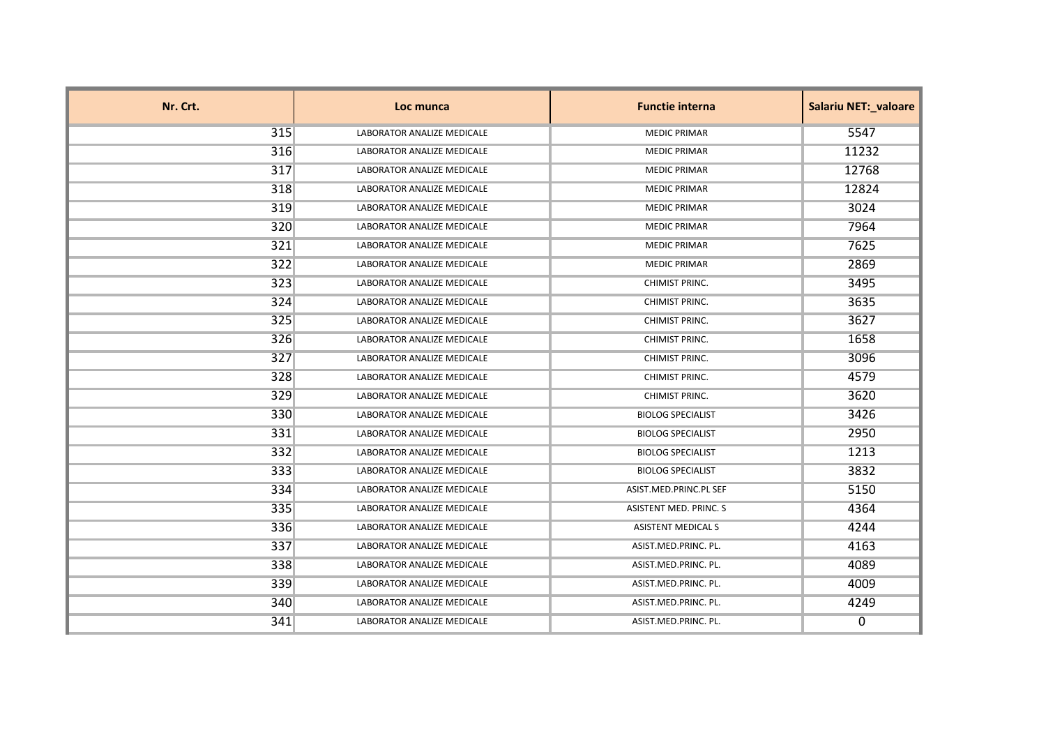| Nr. Crt. | Loc munca                         | <b>Functie interna</b>    | <b>Salariu NET: valoare</b> |
|----------|-----------------------------------|---------------------------|-----------------------------|
| 315      | <b>LABORATOR ANALIZE MEDICALE</b> | <b>MEDIC PRIMAR</b>       | 5547                        |
| 316      | LABORATOR ANALIZE MEDICALE        | <b>MEDIC PRIMAR</b>       | 11232                       |
| 317      | LABORATOR ANALIZE MEDICALE        | <b>MEDIC PRIMAR</b>       | 12768                       |
| 318      | LABORATOR ANALIZE MEDICALE        | <b>MEDIC PRIMAR</b>       | 12824                       |
| 319      | LABORATOR ANALIZE MEDICALE        | <b>MEDIC PRIMAR</b>       | 3024                        |
| 320      | LABORATOR ANALIZE MEDICALE        | <b>MEDIC PRIMAR</b>       | 7964                        |
| 321      | LABORATOR ANALIZE MEDICALE        | <b>MEDIC PRIMAR</b>       | 7625                        |
| 322      | LABORATOR ANALIZE MEDICALE        | <b>MEDIC PRIMAR</b>       | 2869                        |
| 323      | LABORATOR ANALIZE MEDICALE        | CHIMIST PRINC.            | 3495                        |
| 324      | LABORATOR ANALIZE MEDICALE        | CHIMIST PRINC.            | 3635                        |
| 325      | LABORATOR ANALIZE MEDICALE        | CHIMIST PRINC.            | 3627                        |
| 326      | LABORATOR ANALIZE MEDICALE        | CHIMIST PRINC.            | 1658                        |
| 327      | LABORATOR ANALIZE MEDICALE        | <b>CHIMIST PRINC.</b>     | 3096                        |
| 328      | LABORATOR ANALIZE MEDICALE        | CHIMIST PRINC.            | 4579                        |
| 329      | LABORATOR ANALIZE MEDICALE        | CHIMIST PRINC.            | 3620                        |
| 330      | LABORATOR ANALIZE MEDICALE        | <b>BIOLOG SPECIALIST</b>  | 3426                        |
| 331      | LABORATOR ANALIZE MEDICALE        | <b>BIOLOG SPECIALIST</b>  | 2950                        |
| 332      | <b>LABORATOR ANALIZE MEDICALE</b> | <b>BIOLOG SPECIALIST</b>  | 1213                        |
| $333$    | <b>LABORATOR ANALIZE MEDICALE</b> | <b>BIOLOG SPECIALIST</b>  | 3832                        |
| 334      | LABORATOR ANALIZE MEDICALE        | ASIST.MED.PRINC.PL SEF    | 5150                        |
| 335      | LABORATOR ANALIZE MEDICALE        | ASISTENT MED. PRINC. S    | 4364                        |
| 336      | LABORATOR ANALIZE MEDICALE        | <b>ASISTENT MEDICAL S</b> | 4244                        |
| 337      | LABORATOR ANALIZE MEDICALE        | ASIST.MED.PRINC. PL.      | 4163                        |
| 338      | LABORATOR ANALIZE MEDICALE        | ASIST.MED.PRINC. PL.      | 4089                        |
| 339      | <b>LABORATOR ANALIZE MEDICALE</b> | ASIST.MED.PRINC. PL.      | 4009                        |
| 340      | LABORATOR ANALIZE MEDICALE        | ASIST.MED.PRINC. PL.      | 4249                        |
| 341      | LABORATOR ANALIZE MEDICALE        | ASIST.MED.PRINC. PL.      | 0                           |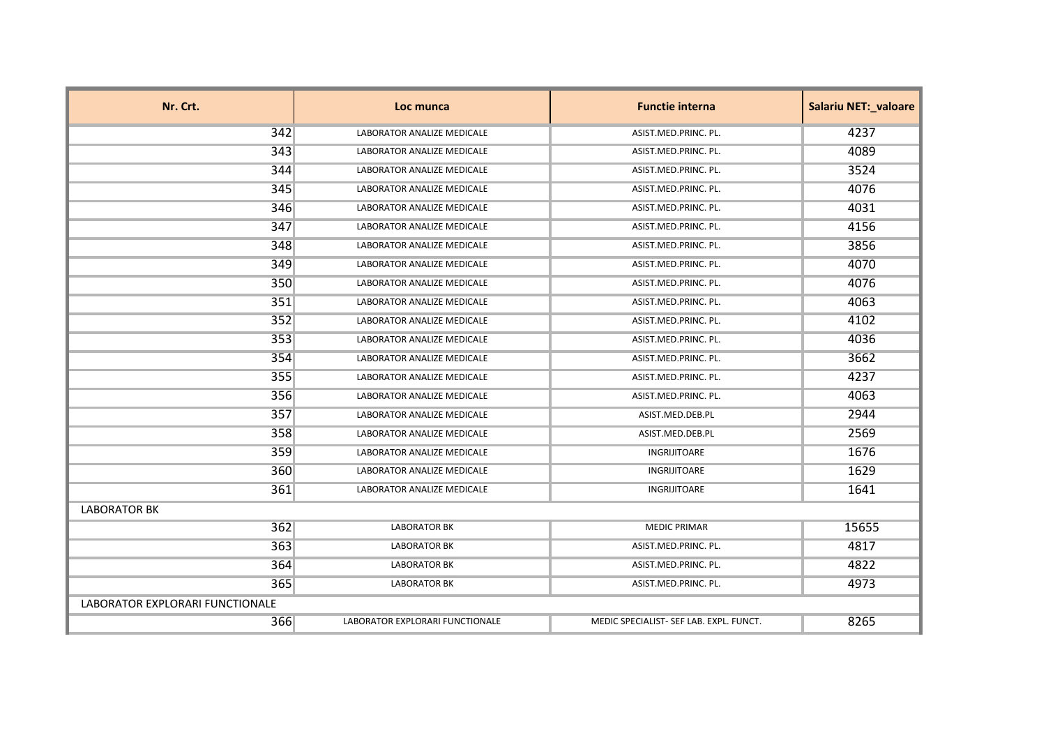| Nr. Crt.                        | Loc munca                         | <b>Functie interna</b>                  | <b>Salariu NET: valoare</b> |
|---------------------------------|-----------------------------------|-----------------------------------------|-----------------------------|
| 342                             | <b>LABORATOR ANALIZE MEDICALE</b> | ASIST.MED.PRINC. PL.                    | 4237                        |
| 343                             | LABORATOR ANALIZE MEDICALE        | ASIST.MED.PRINC. PL.                    | 4089                        |
| 344                             | LABORATOR ANALIZE MEDICALE        | ASIST.MED.PRINC. PL.                    | 3524                        |
| 345                             | <b>LABORATOR ANALIZE MEDICALE</b> | ASIST.MED.PRINC. PL.                    | 4076                        |
| 346                             | LABORATOR ANALIZE MEDICALE        | ASIST.MED.PRINC. PL.                    | 4031                        |
| 347                             | LABORATOR ANALIZE MEDICALE        | ASIST.MED.PRINC. PL.                    | 4156                        |
| 348                             | LABORATOR ANALIZE MEDICALE        | ASIST.MED.PRINC. PL.                    | 3856                        |
| 349                             | LABORATOR ANALIZE MEDICALE        | ASIST.MED.PRINC. PL.                    | 4070                        |
| 350                             | LABORATOR ANALIZE MEDICALE        | ASIST.MED.PRINC. PL.                    | 4076                        |
| 351                             | LABORATOR ANALIZE MEDICALE        | ASIST.MED.PRINC. PL.                    | 4063                        |
| 352                             | LABORATOR ANALIZE MEDICALE        | ASIST.MED.PRINC. PL.                    | 4102                        |
| 353                             | LABORATOR ANALIZE MEDICALE        | ASIST.MED.PRINC. PL.                    | 4036                        |
| 354                             | <b>LABORATOR ANALIZE MEDICALE</b> | ASIST.MED.PRINC. PL.                    | 3662                        |
| 355                             | LABORATOR ANALIZE MEDICALE        | ASIST.MED.PRINC. PL.                    | 4237                        |
| 356                             | LABORATOR ANALIZE MEDICALE        | ASIST.MED.PRINC. PL.                    | 4063                        |
| 357                             | LABORATOR ANALIZE MEDICALE        | ASIST.MED.DEB.PL                        | 2944                        |
| 358                             | LABORATOR ANALIZE MEDICALE        | ASIST.MED.DEB.PL                        | 2569                        |
| 359                             | LABORATOR ANALIZE MEDICALE        | INGRIJITOARE                            | 1676                        |
| 360                             | LABORATOR ANALIZE MEDICALE        | INGRIJITOARE                            | 1629                        |
| 361                             | LABORATOR ANALIZE MEDICALE        | INGRIJITOARE                            | 1641                        |
| <b>LABORATOR BK</b>             |                                   |                                         |                             |
| 362                             | <b>LABORATOR BK</b>               | <b>MEDIC PRIMAR</b>                     | 15655                       |
| 363                             | <b>LABORATOR BK</b>               | ASIST.MED.PRINC. PL.                    | 4817                        |
| 364                             | <b>LABORATOR BK</b>               | ASIST.MED.PRINC. PL.                    | 4822                        |
| 365                             | <b>LABORATOR BK</b>               | ASIST.MED.PRINC. PL.                    | 4973                        |
| LABORATOR EXPLORARI FUNCTIONALE |                                   |                                         |                             |
| 366                             | LABORATOR EXPLORARI FUNCTIONALE   | MEDIC SPECIALIST- SEF LAB. EXPL. FUNCT. | 8265                        |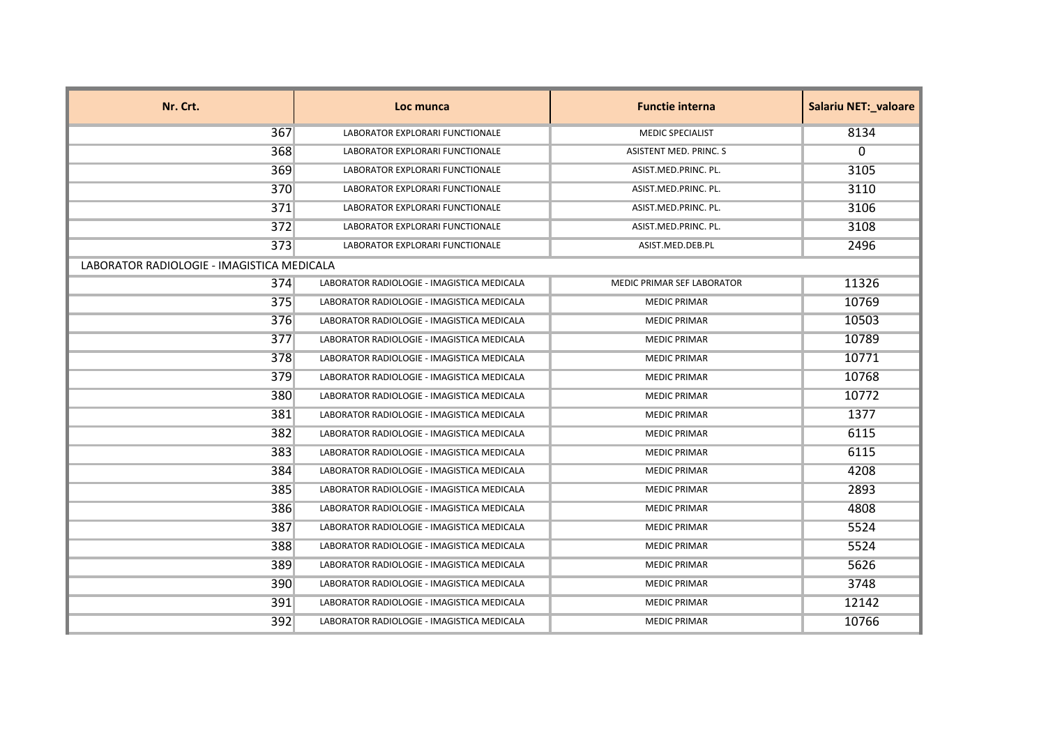| Nr. Crt.                                   | Loc munca                                  | <b>Functie interna</b>        | Salariu NET:_valoare |
|--------------------------------------------|--------------------------------------------|-------------------------------|----------------------|
| 367                                        | LABORATOR EXPLORARI FUNCTIONALE            | <b>MEDIC SPECIALIST</b>       | 8134                 |
| 368                                        | LABORATOR EXPLORARI FUNCTIONALE            | <b>ASISTENT MED. PRINC. S</b> | 0                    |
| 369                                        | LABORATOR EXPLORARI FUNCTIONALE            | ASIST.MED.PRINC. PL.          | 3105                 |
| 370                                        | LABORATOR EXPLORARI FUNCTIONALE            | ASIST.MED.PRINC. PL.          | 3110                 |
| 371                                        | LABORATOR EXPLORARI FUNCTIONALE            | ASIST.MED.PRINC. PL.          | 3106                 |
| 372                                        | LABORATOR EXPLORARI FUNCTIONALE            | ASIST.MED.PRINC. PL.          | 3108                 |
| 373                                        | LABORATOR EXPLORARI FUNCTIONALE            | ASIST.MED.DEB.PL              | 2496                 |
| LABORATOR RADIOLOGIE - IMAGISTICA MEDICALA |                                            |                               |                      |
| 374                                        | LABORATOR RADIOLOGIE - IMAGISTICA MEDICALA | MEDIC PRIMAR SEF LABORATOR    | 11326                |
| 375                                        | LABORATOR RADIOLOGIE - IMAGISTICA MEDICALA | <b>MEDIC PRIMAR</b>           | 10769                |
| 376                                        | LABORATOR RADIOLOGIE - IMAGISTICA MEDICALA | <b>MEDIC PRIMAR</b>           | 10503                |
| 377                                        | LABORATOR RADIOLOGIE - IMAGISTICA MEDICALA | <b>MEDIC PRIMAR</b>           | 10789                |
| 378                                        | LABORATOR RADIOLOGIE - IMAGISTICA MEDICALA | <b>MEDIC PRIMAR</b>           | 10771                |
| 379                                        | LABORATOR RADIOLOGIE - IMAGISTICA MEDICALA | <b>MEDIC PRIMAR</b>           | 10768                |
| 380                                        | LABORATOR RADIOLOGIE - IMAGISTICA MEDICALA | <b>MEDIC PRIMAR</b>           | 10772                |
| 381                                        | LABORATOR RADIOLOGIE - IMAGISTICA MEDICALA | <b>MEDIC PRIMAR</b>           | 1377                 |
| 382                                        | LABORATOR RADIOLOGIE - IMAGISTICA MEDICALA | <b>MEDIC PRIMAR</b>           | 6115                 |
| 383                                        | LABORATOR RADIOLOGIE - IMAGISTICA MEDICALA | <b>MEDIC PRIMAR</b>           | 6115                 |
| 384                                        | LABORATOR RADIOLOGIE - IMAGISTICA MEDICALA | <b>MEDIC PRIMAR</b>           | 4208                 |
| 385                                        | LABORATOR RADIOLOGIE - IMAGISTICA MEDICALA | <b>MEDIC PRIMAR</b>           | 2893                 |
| 386                                        | LABORATOR RADIOLOGIE - IMAGISTICA MEDICALA | <b>MEDIC PRIMAR</b>           | 4808                 |
| 387                                        | LABORATOR RADIOLOGIE - IMAGISTICA MEDICALA | <b>MEDIC PRIMAR</b>           | 5524                 |
| 388                                        | LABORATOR RADIOLOGIE - IMAGISTICA MEDICALA | <b>MEDIC PRIMAR</b>           | 5524                 |
| 389                                        | LABORATOR RADIOLOGIE - IMAGISTICA MEDICALA | <b>MEDIC PRIMAR</b>           | 5626                 |
| 390                                        | LABORATOR RADIOLOGIE - IMAGISTICA MEDICALA | <b>MEDIC PRIMAR</b>           | 3748                 |
| 391                                        | LABORATOR RADIOLOGIE - IMAGISTICA MEDICALA | <b>MEDIC PRIMAR</b>           | 12142                |
| 392                                        | LABORATOR RADIOLOGIE - IMAGISTICA MEDICALA | <b>MEDIC PRIMAR</b>           | 10766                |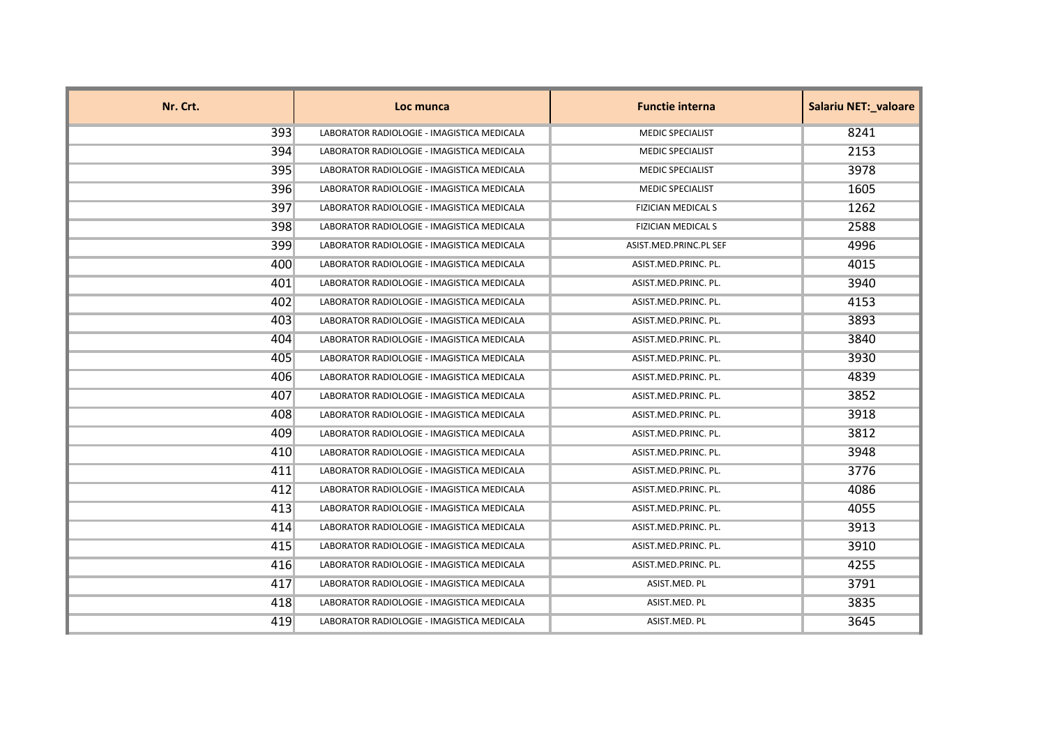| Nr. Crt. | Loc munca                                  | <b>Functie interna</b>    | <b>Salariu NET: valoare</b> |
|----------|--------------------------------------------|---------------------------|-----------------------------|
| 393      | LABORATOR RADIOLOGIE - IMAGISTICA MEDICALA | <b>MEDIC SPECIALIST</b>   | 8241                        |
| 394      | LABORATOR RADIOLOGIE - IMAGISTICA MEDICALA | <b>MEDIC SPECIALIST</b>   | 2153                        |
| 395      | LABORATOR RADIOLOGIE - IMAGISTICA MEDICALA | <b>MEDIC SPECIALIST</b>   | 3978                        |
| 396      | LABORATOR RADIOLOGIE - IMAGISTICA MEDICALA | <b>MEDIC SPECIALIST</b>   | 1605                        |
| 397      | LABORATOR RADIOLOGIE - IMAGISTICA MEDICALA | <b>FIZICIAN MEDICAL S</b> | 1262                        |
| 398      | LABORATOR RADIOLOGIE - IMAGISTICA MEDICALA | <b>FIZICIAN MEDICAL S</b> | 2588                        |
| 399      | LABORATOR RADIOLOGIE - IMAGISTICA MEDICALA | ASIST.MED.PRINC.PL SEF    | 4996                        |
| 400      | LABORATOR RADIOLOGIE - IMAGISTICA MEDICALA | ASIST.MED.PRINC. PL.      | 4015                        |
| 401      | LABORATOR RADIOLOGIE - IMAGISTICA MEDICALA | ASIST.MED.PRINC. PL.      | 3940                        |
| 402      | LABORATOR RADIOLOGIE - IMAGISTICA MEDICALA | ASIST.MED.PRINC. PL.      | 4153                        |
| 403      | LABORATOR RADIOLOGIE - IMAGISTICA MEDICALA | ASIST.MED.PRINC. PL.      | 3893                        |
| 404      | LABORATOR RADIOLOGIE - IMAGISTICA MEDICALA | ASIST.MED.PRINC. PL.      | 3840                        |
| 405      | LABORATOR RADIOLOGIE - IMAGISTICA MEDICALA | ASIST.MED.PRINC. PL.      | 3930                        |
| 406      | LABORATOR RADIOLOGIE - IMAGISTICA MEDICALA | ASIST.MED.PRINC. PL.      | 4839                        |
| 407      | LABORATOR RADIOLOGIE - IMAGISTICA MEDICALA | ASIST.MED.PRINC. PL.      | 3852                        |
| 408      | LABORATOR RADIOLOGIE - IMAGISTICA MEDICALA | ASIST.MED.PRINC. PL.      | 3918                        |
| 409      | LABORATOR RADIOLOGIE - IMAGISTICA MEDICALA | ASIST.MED.PRINC. PL.      | 3812                        |
| 410      | LABORATOR RADIOLOGIE - IMAGISTICA MEDICALA | ASIST.MED.PRINC. PL.      | 3948                        |
| 411      | LABORATOR RADIOLOGIE - IMAGISTICA MEDICALA | ASIST.MED.PRINC. PL.      | 3776                        |
| 412      | LABORATOR RADIOLOGIE - IMAGISTICA MEDICALA | ASIST.MED.PRINC. PL.      | 4086                        |
| 413      | LABORATOR RADIOLOGIE - IMAGISTICA MEDICALA | ASIST.MED.PRINC. PL.      | 4055                        |
| 414      | LABORATOR RADIOLOGIE - IMAGISTICA MEDICALA | ASIST.MED.PRINC. PL.      | 3913                        |
| 415      | LABORATOR RADIOLOGIE - IMAGISTICA MEDICALA | ASIST.MED.PRINC. PL.      | 3910                        |
| 416      | LABORATOR RADIOLOGIE - IMAGISTICA MEDICALA | ASIST.MED.PRINC. PL.      | 4255                        |
| 417      | LABORATOR RADIOLOGIE - IMAGISTICA MEDICALA | ASIST.MED. PL             | 3791                        |
| 418      | LABORATOR RADIOLOGIE - IMAGISTICA MEDICALA | ASIST.MED. PL             | 3835                        |
| 419      | LABORATOR RADIOLOGIE - IMAGISTICA MEDICALA | ASIST.MED. PL             | 3645                        |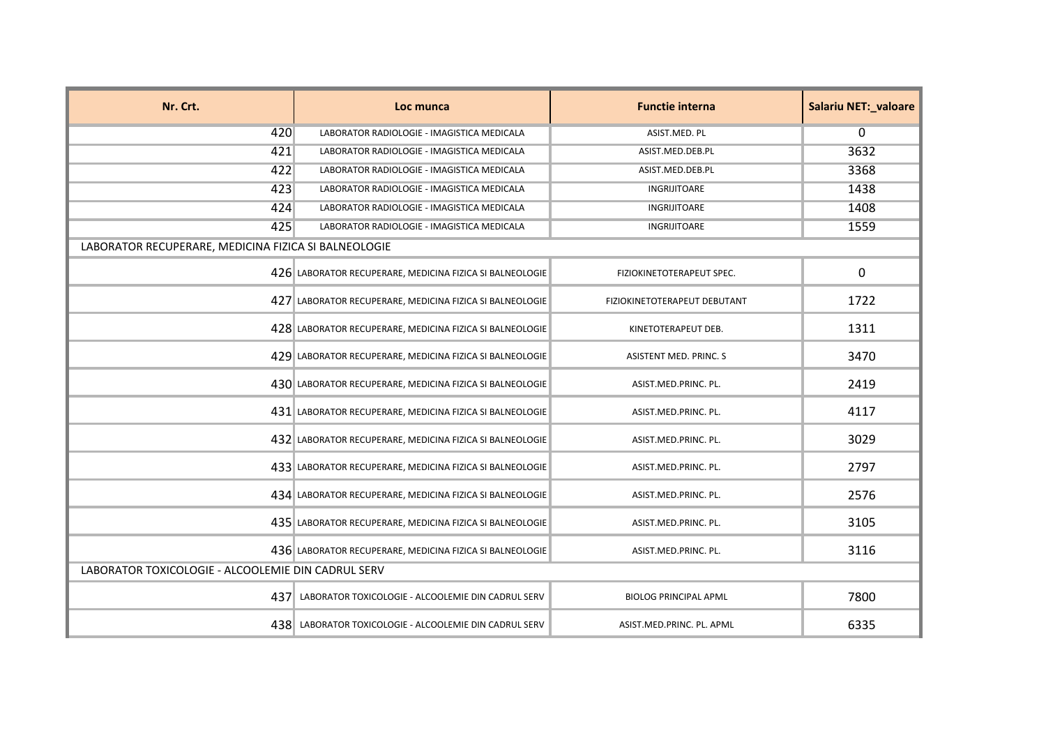| Nr. Crt.                                             | Loc munca                                                | <b>Functie interna</b>       | <b>Salariu NET:_valoare</b> |
|------------------------------------------------------|----------------------------------------------------------|------------------------------|-----------------------------|
| 420                                                  | LABORATOR RADIOLOGIE - IMAGISTICA MEDICALA               | ASIST.MED. PL                | $\mathbf{0}$                |
| 421                                                  | LABORATOR RADIOLOGIE - IMAGISTICA MEDICALA               | ASIST.MED.DEB.PL             | 3632                        |
| 422                                                  | LABORATOR RADIOLOGIE - IMAGISTICA MEDICALA               | ASIST.MED.DEB.PL             | 3368                        |
| 423                                                  | LABORATOR RADIOLOGIE - IMAGISTICA MEDICALA               | INGRIJITOARE                 | 1438                        |
| 424                                                  | LABORATOR RADIOLOGIE - IMAGISTICA MEDICALA               | INGRIJITOARE                 | 1408                        |
| 425                                                  | LABORATOR RADIOLOGIE - IMAGISTICA MEDICALA               | INGRIJITOARE                 | 1559                        |
| LABORATOR RECUPERARE, MEDICINA FIZICA SI BALNEOLOGIE |                                                          |                              |                             |
|                                                      | 426 LABORATOR RECUPERARE, MEDICINA FIZICA SI BALNEOLOGIE | FIZIOKINETOTERAPEUT SPEC.    | 0                           |
|                                                      | 427 LABORATOR RECUPERARE, MEDICINA FIZICA SI BALNEOLOGIE | FIZIOKINETOTERAPEUT DEBUTANT | 1722                        |
|                                                      | 428 LABORATOR RECUPERARE, MEDICINA FIZICA SI BALNEOLOGIE | KINETOTERAPEUT DEB.          | 1311                        |
|                                                      | 429 LABORATOR RECUPERARE, MEDICINA FIZICA SI BALNEOLOGIE | ASISTENT MED. PRINC. S       | 3470                        |
|                                                      | 430 LABORATOR RECUPERARE, MEDICINA FIZICA SI BALNEOLOGIE | ASIST.MED.PRINC. PL.         | 2419                        |
|                                                      | 431 LABORATOR RECUPERARE, MEDICINA FIZICA SI BALNEOLOGIE | ASIST.MED.PRINC. PL.         | 4117                        |
|                                                      | 432 LABORATOR RECUPERARE, MEDICINA FIZICA SI BALNEOLOGIE | ASIST.MED.PRINC. PL.         | 3029                        |
|                                                      | 433 LABORATOR RECUPERARE, MEDICINA FIZICA SI BALNEOLOGIE | ASIST.MED.PRINC. PL.         | 2797                        |
|                                                      | 434 LABORATOR RECUPERARE, MEDICINA FIZICA SI BALNEOLOGIE | ASIST.MED.PRINC. PL.         | 2576                        |
|                                                      | 435 LABORATOR RECUPERARE, MEDICINA FIZICA SI BALNEOLOGIE | ASIST.MED.PRINC. PL.         | 3105                        |
|                                                      | 436 LABORATOR RECUPERARE, MEDICINA FIZICA SI BALNEOLOGIE | ASIST.MED.PRINC. PL.         | 3116                        |
| LABORATOR TOXICOLOGIE - ALCOOLEMIE DIN CADRUL SERV   |                                                          |                              |                             |
|                                                      | 437 LABORATOR TOXICOLOGIE - ALCOOLEMIE DIN CADRUL SERV   | <b>BIOLOG PRINCIPAL APML</b> | 7800                        |
|                                                      | 438 LABORATOR TOXICOLOGIE - ALCOOLEMIE DIN CADRUL SERV   | ASIST.MED.PRINC. PL. APML    | 6335                        |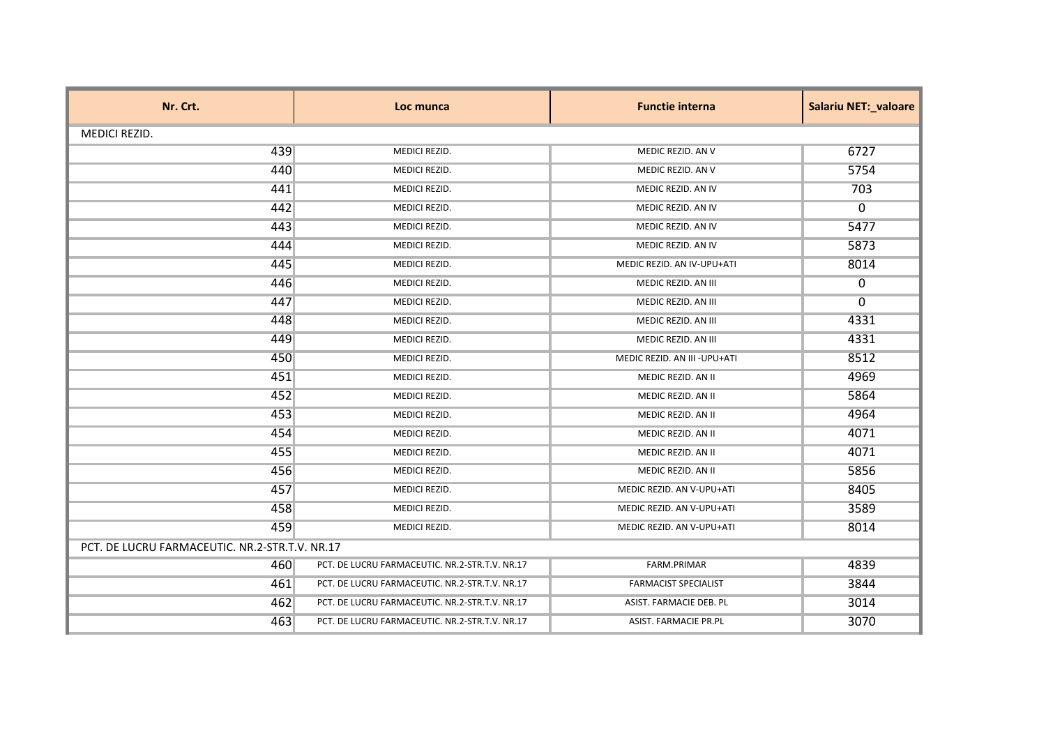| Nr. Crt.             | Loc munca                                      | <b>Functie interna</b>      | <b>Salariu NET:_valoare</b> |  |
|----------------------|------------------------------------------------|-----------------------------|-----------------------------|--|
| <b>MEDICI REZID.</b> |                                                |                             |                             |  |
| 439                  | MEDICI REZID.                                  | MEDIC REZID. AN V           | 6727                        |  |
| 440                  | MEDICI REZID.                                  | MEDIC REZID. AN V           | 5754                        |  |
| 441                  | MEDICI REZID.                                  | MEDIC REZID. AN IV          | 703                         |  |
| 442                  | MEDICI REZID.                                  | MEDIC REZID. AN IV          | 0                           |  |
| 443                  | MEDICI REZID.                                  | MEDIC REZID. AN IV          | 5477                        |  |
| 444                  | MEDICI REZID.                                  | MEDIC REZID. AN IV          | 5873                        |  |
| 445                  | MEDICI REZID.                                  | MEDIC REZID. AN IV-UPU+ATI  | 8014                        |  |
| 446                  | MEDICI REZID.                                  | MEDIC REZID. AN III         | 0                           |  |
| 447                  | MEDICI REZID.                                  | MEDIC REZID. AN III         | $\mathbf{0}$                |  |
| 448                  | MEDICI REZID.                                  | MEDIC REZID. AN III         | 4331                        |  |
| 449                  | MEDICI REZID.                                  | MEDIC REZID. AN III         | 4331                        |  |
| 450                  | MEDICI REZID.                                  | MEDIC REZID. AN III-UPU+ATI | 8512                        |  |
| 451                  | MEDICI REZID.                                  | MEDIC REZID. AN II          | 4969                        |  |
| 452                  | MEDICI REZID.                                  | MEDIC REZID. AN II          | 5864                        |  |
| 453                  | MEDICI REZID.                                  | MEDIC REZID. AN II          | 4964                        |  |
| 454                  | MEDICI REZID.                                  | MEDIC REZID. AN II          | 4071                        |  |
| 455                  | MEDICI REZID.                                  | MEDIC REZID. AN II          | 4071                        |  |
| 456                  | MEDICI REZID.                                  | MEDIC REZID. AN II          | 5856                        |  |
| 457                  | MEDICI REZID.                                  | MEDIC REZID. AN V-UPU+ATI   | 8405                        |  |
| 458                  | MEDICI REZID.                                  | MEDIC REZID. AN V-UPU+ATI   | 3589                        |  |
| 459                  | MEDICI REZID.                                  | MEDIC REZID. AN V-UPU+ATI   | 8014                        |  |
|                      | PCT. DE LUCRU FARMACEUTIC. NR.2-STR.T.V. NR.17 |                             |                             |  |
| 460                  | PCT. DE LUCRU FARMACEUTIC. NR.2-STR.T.V. NR.17 | FARM.PRIMAR                 | 4839                        |  |
| 461                  | PCT. DE LUCRU FARMACEUTIC. NR.2-STR.T.V. NR.17 | <b>FARMACIST SPECIALIST</b> | 3844                        |  |
| 462                  | PCT. DE LUCRU FARMACEUTIC. NR.2-STR.T.V. NR.17 | ASIST. FARMACIE DEB. PL     | 3014                        |  |
| 463                  | PCT. DE LUCRU FARMACEUTIC. NR.2-STR.T.V. NR.17 | ASIST. FARMACIE PR.PL       | 3070                        |  |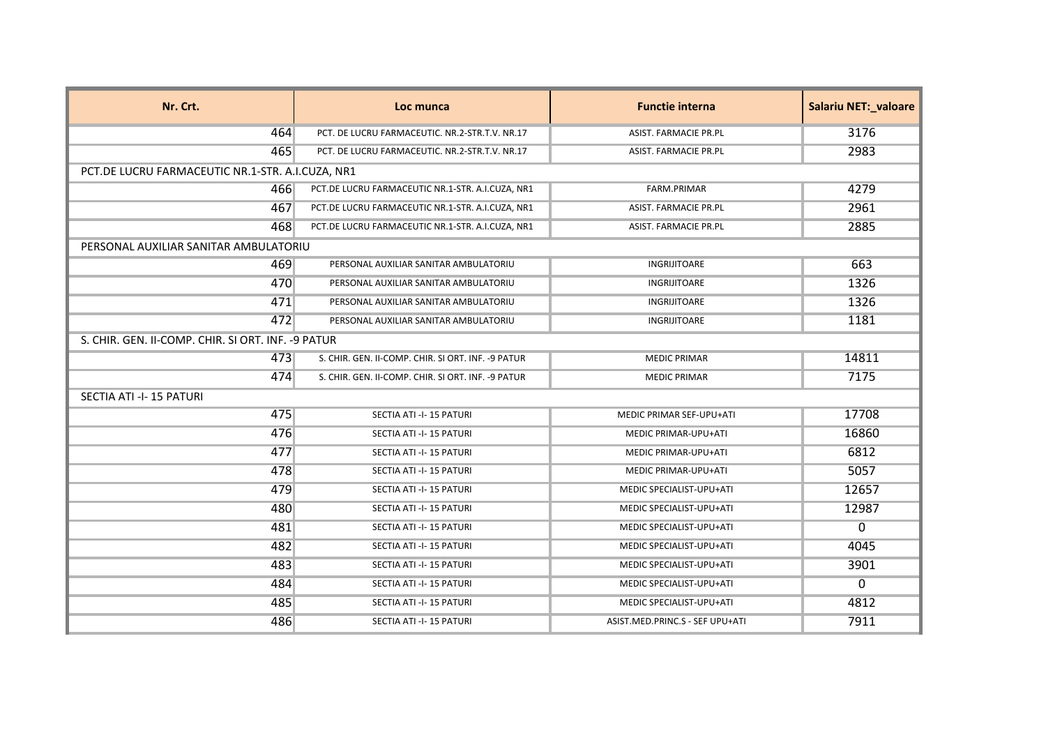| Nr. Crt.                                           | Loc munca                                          | <b>Functie interna</b>          | <b>Salariu NET:_valoare</b> |
|----------------------------------------------------|----------------------------------------------------|---------------------------------|-----------------------------|
| 464                                                | PCT. DE LUCRU FARMACEUTIC. NR.2-STR.T.V. NR.17     | ASIST. FARMACIE PR.PL           | 3176                        |
| 465                                                | PCT. DE LUCRU FARMACEUTIC. NR.2-STR.T.V. NR.17     | ASIST. FARMACIE PR.PL           | 2983                        |
| PCT.DE LUCRU FARMACEUTIC NR.1-STR. A.I.CUZA, NR1   |                                                    |                                 |                             |
| 466                                                | PCT.DE LUCRU FARMACEUTIC NR.1-STR. A.I.CUZA, NR1   | FARM.PRIMAR                     | 4279                        |
| 467                                                | PCT.DE LUCRU FARMACEUTIC NR.1-STR. A.I.CUZA, NR1   | ASIST. FARMACIE PR.PL           | 2961                        |
| 468                                                | PCT.DE LUCRU FARMACEUTIC NR.1-STR. A.I.CUZA, NR1   | ASIST. FARMACIE PR.PL           | 2885                        |
| PERSONAL AUXILIAR SANITAR AMBULATORIU              |                                                    |                                 |                             |
| 469                                                | PERSONAL AUXILIAR SANITAR AMBULATORIU              | <b>INGRIJITOARE</b>             | 663                         |
| 470                                                | PERSONAL AUXILIAR SANITAR AMBULATORIU              | INGRIJITOARE                    | 1326                        |
| 471                                                | PERSONAL AUXILIAR SANITAR AMBULATORIU              | <b>INGRIJITOARE</b>             | 1326                        |
| 472                                                | PERSONAL AUXILIAR SANITAR AMBULATORIU              | INGRIJITOARE                    | 1181                        |
| S. CHIR. GEN. II-COMP. CHIR. SI ORT. INF. -9 PATUR |                                                    |                                 |                             |
| 473                                                | S. CHIR. GEN. II-COMP. CHIR. SI ORT. INF. -9 PATUR | <b>MEDIC PRIMAR</b>             | 14811                       |
| 474                                                | S. CHIR. GEN. II-COMP. CHIR. SI ORT. INF. -9 PATUR | <b>MEDIC PRIMAR</b>             | 7175                        |
| SECTIA ATI -I-15 PATURI                            |                                                    |                                 |                             |
| 475                                                | SECTIA ATI -I-15 PATURI                            | MEDIC PRIMAR SEF-UPU+ATI        | 17708                       |
| 476                                                | SECTIA ATI -I-15 PATURI                            | <b>MEDIC PRIMAR-UPU+ATI</b>     | 16860                       |
| 477                                                | SECTIA ATI -I-15 PATURI                            | MEDIC PRIMAR-UPU+ATI            | 6812                        |
| 478                                                | SECTIA ATI -I-15 PATURI                            | MEDIC PRIMAR-UPU+ATI            | 5057                        |
| 479                                                | SECTIA ATI -I-15 PATURI                            | MEDIC SPECIALIST-UPU+ATI        | 12657                       |
| 480                                                | SECTIA ATI -I-15 PATURI                            | MEDIC SPECIALIST-UPU+ATI        | 12987                       |
| 481                                                | SECTIA ATI -I-15 PATURI                            | MEDIC SPECIALIST-UPU+ATI        | $\mathbf{0}$                |
| 482                                                | SECTIA ATI -I-15 PATURI                            | MEDIC SPECIALIST-UPU+ATI        | 4045                        |
| 483                                                | SECTIA ATI -I-15 PATURI                            | MEDIC SPECIALIST-UPU+ATI        | 3901                        |
| 484                                                | SECTIA ATI -I-15 PATURI                            | MEDIC SPECIALIST-UPU+ATI        | 0                           |
| 485                                                | SECTIA ATI -I-15 PATURI                            | MEDIC SPECIALIST-UPU+ATI        | 4812                        |
| 486                                                | SECTIA ATI -I-15 PATURI                            | ASIST.MED.PRINC.S - SEF UPU+ATI | 7911                        |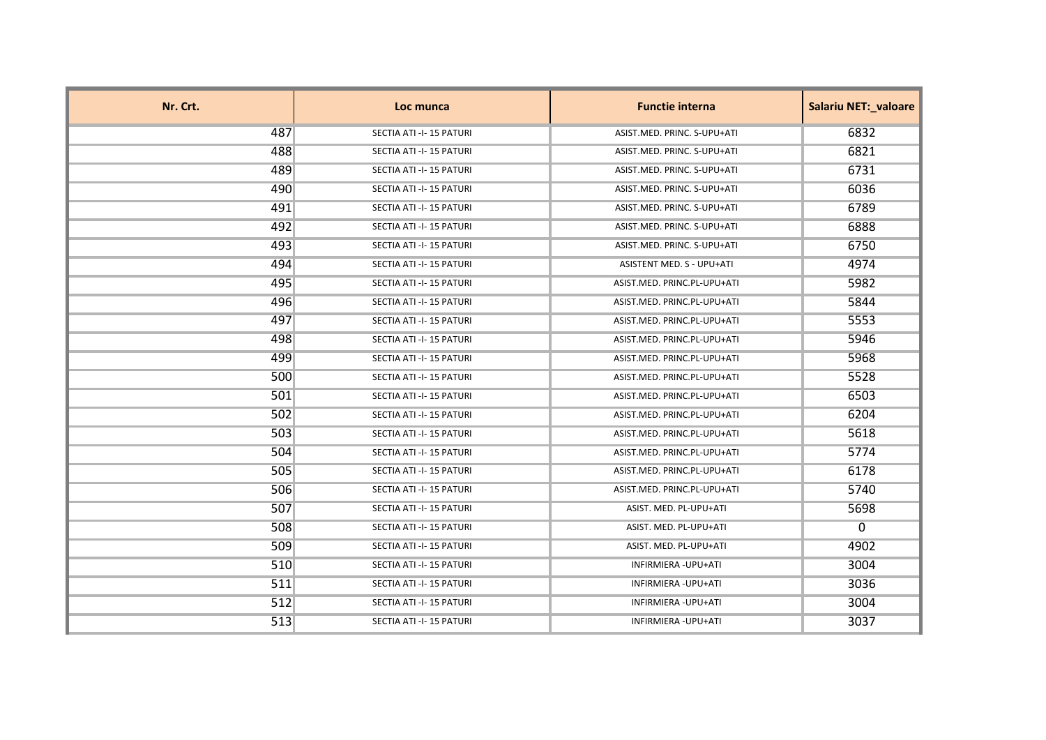| Nr. Crt. | Loc munca               | <b>Functie interna</b>      | Salariu NET:_valoare |
|----------|-------------------------|-----------------------------|----------------------|
| 487      | SECTIA ATI -I-15 PATURI | ASIST.MED. PRINC. S-UPU+ATI | 6832                 |
| 488      | SECTIA ATI -I-15 PATURI | ASIST.MED. PRINC. S-UPU+ATI | 6821                 |
| 489      | SECTIA ATI -I-15 PATURI | ASIST.MED. PRINC. S-UPU+ATI | 6731                 |
| 490      | SECTIA ATI -I-15 PATURI | ASIST.MED. PRINC. S-UPU+ATI | 6036                 |
| 491      | SECTIA ATI -I-15 PATURI | ASIST.MED. PRINC. S-UPU+ATI | 6789                 |
| 492      | SECTIA ATI -I-15 PATURI | ASIST.MED. PRINC. S-UPU+ATI | 6888                 |
| 493      | SECTIA ATI -I-15 PATURI | ASIST.MED. PRINC. S-UPU+ATI | 6750                 |
| 494      | SECTIA ATI -I-15 PATURI | ASISTENT MED. S - UPU+ATI   | 4974                 |
| 495      | SECTIA ATI -I-15 PATURI | ASIST.MED. PRINC.PL-UPU+ATI | 5982                 |
| 496      | SECTIA ATI -I-15 PATURI | ASIST.MED. PRINC.PL-UPU+ATI | 5844                 |
| 497      | SECTIA ATI -I-15 PATURI | ASIST.MED. PRINC.PL-UPU+ATI | 5553                 |
| 498      | SECTIA ATI -I-15 PATURI | ASIST.MED. PRINC.PL-UPU+ATI | 5946                 |
| 499      | SECTIA ATI -I-15 PATURI | ASIST.MED. PRINC.PL-UPU+ATI | 5968                 |
| 500      | SECTIA ATI -I-15 PATURI | ASIST.MED. PRINC.PL-UPU+ATI | 5528                 |
| 501      | SECTIA ATI -I-15 PATURI | ASIST.MED. PRINC.PL-UPU+ATI | 6503                 |
| 502      | SECTIA ATI -I-15 PATURI | ASIST.MED. PRINC.PL-UPU+ATI | 6204                 |
| 503      | SECTIA ATI -I-15 PATURI | ASIST.MED. PRINC.PL-UPU+ATI | 5618                 |
| 504      | SECTIA ATI -I-15 PATURI | ASIST.MED. PRINC.PL-UPU+ATI | 5774                 |
| 505      | SECTIA ATI -I-15 PATURI | ASIST.MED. PRINC.PL-UPU+ATI | 6178                 |
| 506      | SECTIA ATI -I-15 PATURI | ASIST.MED. PRINC.PL-UPU+ATI | 5740                 |
| 507      | SECTIA ATI -I-15 PATURI | ASIST. MED. PL-UPU+ATI      | 5698                 |
| 508      | SECTIA ATI -I-15 PATURI | ASIST. MED. PL-UPU+ATI      | $\mathbf{0}$         |
| 509      | SECTIA ATI -I-15 PATURI | ASIST. MED. PL-UPU+ATI      | 4902                 |
| 510      | SECTIA ATI -I-15 PATURI | INFIRMIERA - UPU+ATI        | 3004                 |
| 511      | SECTIA ATI -I-15 PATURI | INFIRMIERA - UPU+ATI        | 3036                 |
| 512      | SECTIA ATI -I-15 PATURI | INFIRMIERA - UPU+ATI        | 3004                 |
| 513      | SECTIA ATI -I-15 PATURI | INFIRMIERA - UPU+ATI        | 3037                 |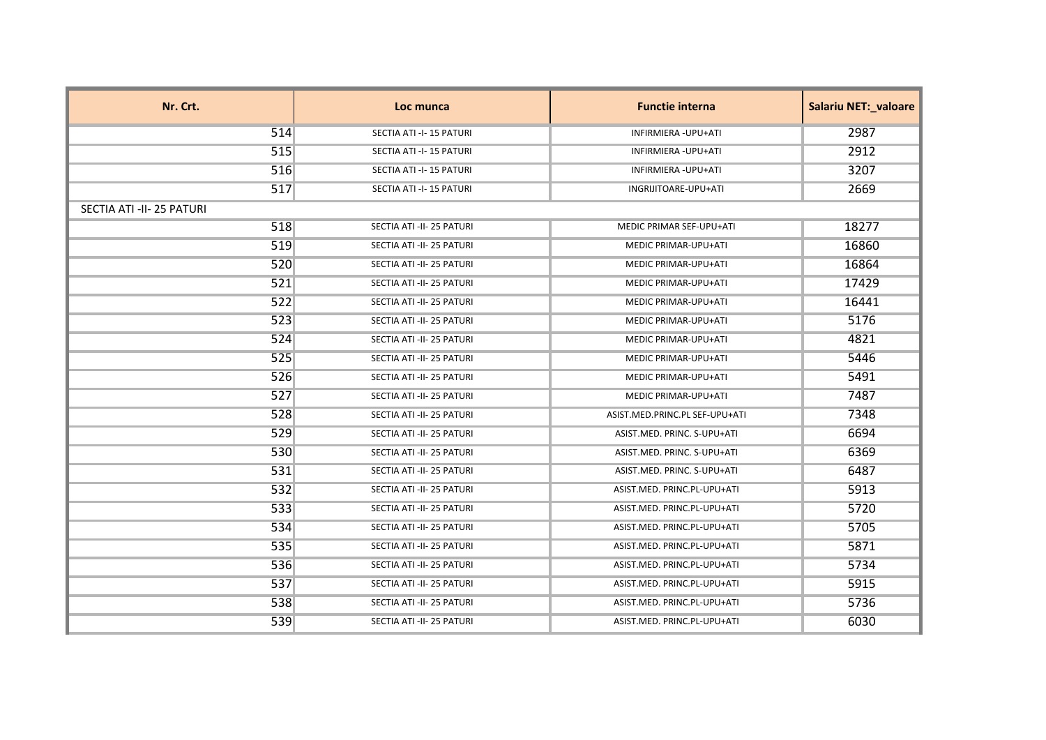| Nr. Crt.                  | Loc munca                 | <b>Functie interna</b>         | <b>Salariu NET: valoare</b> |
|---------------------------|---------------------------|--------------------------------|-----------------------------|
| 514                       | SECTIA ATI -I-15 PATURI   | <b>INFIRMIERA - UPU+ATI</b>    | 2987                        |
| 515                       | SECTIA ATI -I-15 PATURI   | INFIRMIERA - UPU+ATI           | 2912                        |
| 516                       | SECTIA ATI -I-15 PATURI   | INFIRMIERA - UPU+ATI           | 3207                        |
| 517                       | SECTIA ATI -I-15 PATURI   | INGRIJITOARE-UPU+ATI           | 2669                        |
| SECTIA ATI -II- 25 PATURI |                           |                                |                             |
| 518                       | SECTIA ATI -II- 25 PATURI | MEDIC PRIMAR SEF-UPU+ATI       | 18277                       |
| 519                       | SECTIA ATI -II- 25 PATURI | MEDIC PRIMAR-UPU+ATI           | 16860                       |
| 520                       | SECTIA ATI -II- 25 PATURI | <b>MEDIC PRIMAR-UPU+ATI</b>    | 16864                       |
| 521                       | SECTIA ATI -II- 25 PATURI | MEDIC PRIMAR-UPU+ATI           | 17429                       |
| 522                       | SECTIA ATI -II- 25 PATURI | MEDIC PRIMAR-UPU+ATI           | 16441                       |
| 523                       | SECTIA ATI -II- 25 PATURI | <b>MEDIC PRIMAR-UPU+ATI</b>    | 5176                        |
| 524                       | SECTIA ATI -II- 25 PATURI | MEDIC PRIMAR-UPU+ATI           | 4821                        |
| 525                       | SECTIA ATI -II- 25 PATURI | MEDIC PRIMAR-UPU+ATI           | 5446                        |
| 526                       | SECTIA ATI -II- 25 PATURI | MEDIC PRIMAR-UPU+ATI           | 5491                        |
| 527                       | SECTIA ATI -II- 25 PATURI | <b>MEDIC PRIMAR-UPU+ATI</b>    | 7487                        |
| 528                       | SECTIA ATI -II- 25 PATURI | ASIST.MED.PRINC.PL SEF-UPU+ATI | 7348                        |
| 529                       | SECTIA ATI -II- 25 PATURI | ASIST.MED. PRINC. S-UPU+ATI    | 6694                        |
| 530                       | SECTIA ATI -II- 25 PATURI | ASIST.MED. PRINC. S-UPU+ATI    | 6369                        |
| 531                       | SECTIA ATI -II- 25 PATURI | ASIST.MED. PRINC. S-UPU+ATI    | 6487                        |
| 532                       | SECTIA ATI -II- 25 PATURI | ASIST.MED. PRINC.PL-UPU+ATI    | 5913                        |
| 533                       | SECTIA ATI -II- 25 PATURI | ASIST.MED. PRINC.PL-UPU+ATI    | 5720                        |
| 534                       | SECTIA ATI -II- 25 PATURI | ASIST.MED. PRINC.PL-UPU+ATI    | 5705                        |
| 535                       | SECTIA ATI -II- 25 PATURI | ASIST.MED. PRINC.PL-UPU+ATI    | 5871                        |
| 536                       | SECTIA ATI -II- 25 PATURI | ASIST.MED. PRINC.PL-UPU+ATI    | 5734                        |
| 537                       | SECTIA ATI -II- 25 PATURI | ASIST.MED. PRINC.PL-UPU+ATI    | 5915                        |
| 538                       | SECTIA ATI -II- 25 PATURI | ASIST.MED. PRINC.PL-UPU+ATI    | 5736                        |
| 539                       | SECTIA ATI -II- 25 PATURI | ASIST.MED. PRINC.PL-UPU+ATI    | 6030                        |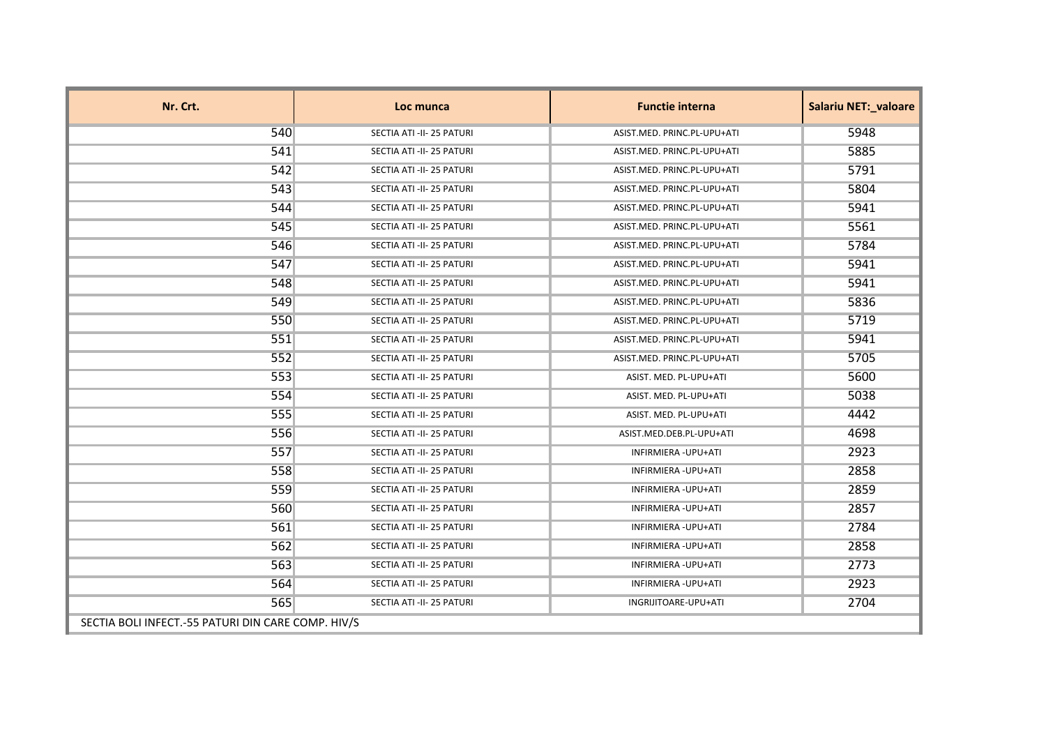| Nr. Crt.                                           | Loc munca                 | <b>Functie interna</b>      | Salariu NET:_valoare |
|----------------------------------------------------|---------------------------|-----------------------------|----------------------|
| 540                                                | SECTIA ATI -II- 25 PATURI | ASIST.MED. PRINC.PL-UPU+ATI | 5948                 |
| 541                                                | SECTIA ATI -II- 25 PATURI | ASIST.MED. PRINC.PL-UPU+ATI | 5885                 |
| 542                                                | SECTIA ATI -II- 25 PATURI | ASIST.MED. PRINC.PL-UPU+ATI | 5791                 |
| 543                                                | SECTIA ATI -II- 25 PATURI | ASIST.MED. PRINC.PL-UPU+ATI | 5804                 |
| 544                                                | SECTIA ATI -II- 25 PATURI | ASIST.MED. PRINC.PL-UPU+ATI | 5941                 |
| 545                                                | SECTIA ATI -II- 25 PATURI | ASIST.MED. PRINC.PL-UPU+ATI | 5561                 |
| 546                                                | SECTIA ATI -II- 25 PATURI | ASIST.MED. PRINC.PL-UPU+ATI | 5784                 |
| 547                                                | SECTIA ATI -II- 25 PATURI | ASIST.MED. PRINC.PL-UPU+ATI | 5941                 |
| 548                                                | SECTIA ATI -II- 25 PATURI | ASIST.MED. PRINC.PL-UPU+ATI | 5941                 |
| 549                                                | SECTIA ATI -II- 25 PATURI | ASIST.MED. PRINC.PL-UPU+ATI | 5836                 |
| 550                                                | SECTIA ATI -II- 25 PATURI | ASIST.MED. PRINC.PL-UPU+ATI | 5719                 |
| 551                                                | SECTIA ATI -II- 25 PATURI | ASIST.MED. PRINC.PL-UPU+ATI | 5941                 |
| 552                                                | SECTIA ATI -II- 25 PATURI | ASIST.MED. PRINC.PL-UPU+ATI | 5705                 |
| 553                                                | SECTIA ATI -II- 25 PATURI | ASIST. MED. PL-UPU+ATI      | 5600                 |
| 554                                                | SECTIA ATI -II- 25 PATURI | ASIST. MED. PL-UPU+ATI      | 5038                 |
| 555                                                | SECTIA ATI -II- 25 PATURI | ASIST. MED. PL-UPU+ATI      | 4442                 |
| 556                                                | SECTIA ATI -II- 25 PATURI | ASIST.MED.DEB.PL-UPU+ATI    | 4698                 |
| 557                                                | SECTIA ATI -II- 25 PATURI | INFIRMIERA - UPU+ATI        | 2923                 |
| 558                                                | SECTIA ATI -II- 25 PATURI | INFIRMIERA - UPU+ATI        | 2858                 |
| 559                                                | SECTIA ATI -II- 25 PATURI | INFIRMIERA - UPU+ATI        | 2859                 |
| 560                                                | SECTIA ATI -II- 25 PATURI | INFIRMIERA - UPU+ATI        | 2857                 |
| 561                                                | SECTIA ATI -II- 25 PATURI | INFIRMIERA - UPU+ATI        | 2784                 |
| 562                                                | SECTIA ATI -II- 25 PATURI | INFIRMIERA - UPU+ATI        | 2858                 |
| 563                                                | SECTIA ATI -II- 25 PATURI | INFIRMIERA - UPU+ATI        | 2773                 |
| 564                                                | SECTIA ATI -II- 25 PATURI | INFIRMIERA - UPU+ATI        | 2923                 |
| 565                                                | SECTIA ATI -II- 25 PATURI | INGRIJITOARE-UPU+ATI        | 2704                 |
| SECTIA BOLI INFECT.-55 PATURI DIN CARE COMP. HIV/S |                           |                             |                      |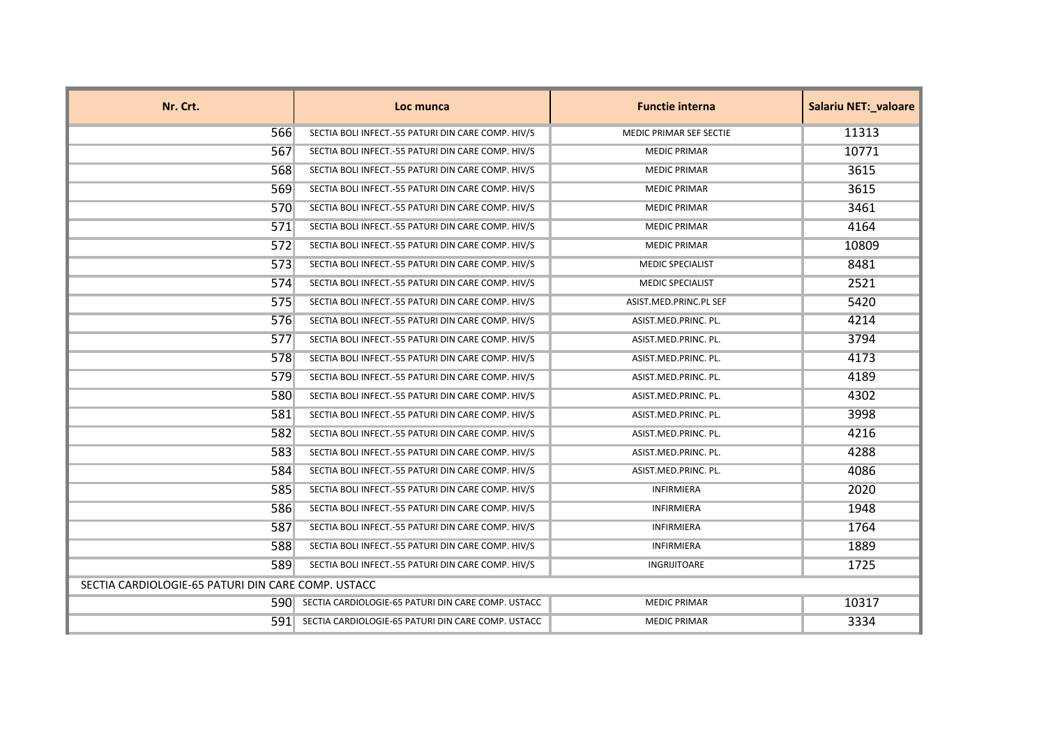| Nr. Crt.                                           | Loc munca                                              | <b>Functie interna</b>  | <b>Salariu NET: valoare</b> |
|----------------------------------------------------|--------------------------------------------------------|-------------------------|-----------------------------|
| 566                                                | SECTIA BOLI INFECT.-55 PATURI DIN CARE COMP. HIV/S     | MEDIC PRIMAR SEF SECTIE | 11313                       |
| 567                                                | SECTIA BOLI INFECT.-55 PATURI DIN CARE COMP. HIV/S     | <b>MEDIC PRIMAR</b>     | 10771                       |
| 568                                                | SECTIA BOLI INFECT.-55 PATURI DIN CARE COMP. HIV/S     | <b>MEDIC PRIMAR</b>     | 3615                        |
| 569                                                | SECTIA BOLI INFECT.-55 PATURI DIN CARE COMP. HIV/S     | <b>MEDIC PRIMAR</b>     | 3615                        |
| 570                                                | SECTIA BOLI INFECT.-55 PATURI DIN CARE COMP. HIV/S     | <b>MEDIC PRIMAR</b>     | 3461                        |
| 571                                                | SECTIA BOLI INFECT.-55 PATURI DIN CARE COMP. HIV/S     | <b>MEDIC PRIMAR</b>     | 4164                        |
| 572                                                | SECTIA BOLI INFECT.-55 PATURI DIN CARE COMP. HIV/S     | <b>MEDIC PRIMAR</b>     | 10809                       |
| 573                                                | SECTIA BOLI INFECT.-55 PATURI DIN CARE COMP. HIV/S     | <b>MEDIC SPECIALIST</b> | 8481                        |
| 574                                                | SECTIA BOLI INFECT.-55 PATURI DIN CARE COMP. HIV/S     | <b>MEDIC SPECIALIST</b> | 2521                        |
| 575                                                | SECTIA BOLI INFECT.-55 PATURI DIN CARE COMP. HIV/S     | ASIST.MED.PRINC.PL SEF  | 5420                        |
| 576                                                | SECTIA BOLI INFECT.-55 PATURI DIN CARE COMP. HIV/S     | ASIST.MED.PRINC. PL.    | 4214                        |
| 577                                                | SECTIA BOLI INFECT.-55 PATURI DIN CARE COMP. HIV/S     | ASIST.MED.PRINC. PL.    | 3794                        |
| 578                                                | SECTIA BOLI INFECT.-55 PATURI DIN CARE COMP. HIV/S     | ASIST.MED.PRINC. PL.    | 4173                        |
| 579                                                | SECTIA BOLI INFECT.-55 PATURI DIN CARE COMP. HIV/S     | ASIST.MED.PRINC. PL.    | 4189                        |
| 580                                                | SECTIA BOLI INFECT.-55 PATURI DIN CARE COMP. HIV/S     | ASIST.MED.PRINC. PL.    | 4302                        |
| 581                                                | SECTIA BOLI INFECT.-55 PATURI DIN CARE COMP. HIV/S     | ASIST.MED.PRINC. PL.    | 3998                        |
| 582                                                | SECTIA BOLI INFECT.-55 PATURI DIN CARE COMP. HIV/S     | ASIST.MED.PRINC. PL.    | 4216                        |
| 583                                                | SECTIA BOLI INFECT.-55 PATURI DIN CARE COMP. HIV/S     | ASIST.MED.PRINC. PL.    | 4288                        |
| 584                                                | SECTIA BOLI INFECT.-55 PATURI DIN CARE COMP. HIV/S     | ASIST.MED.PRINC. PL.    | 4086                        |
| 585                                                | SECTIA BOLI INFECT.-55 PATURI DIN CARE COMP. HIV/S     | INFIRMIERA              | 2020                        |
| 586                                                | SECTIA BOLI INFECT.-55 PATURI DIN CARE COMP. HIV/S     | <b>INFIRMIERA</b>       | 1948                        |
| 587                                                | SECTIA BOLI INFECT.-55 PATURI DIN CARE COMP. HIV/S     | <b>INFIRMIERA</b>       | 1764                        |
| 588                                                | SECTIA BOLI INFECT.-55 PATURI DIN CARE COMP. HIV/S     | <b>INFIRMIERA</b>       | 1889                        |
| 589                                                | SECTIA BOLI INFECT.-55 PATURI DIN CARE COMP. HIV/S     | INGRIJITOARE            | 1725                        |
| SECTIA CARDIOLOGIE-65 PATURI DIN CARE COMP. USTACC |                                                        |                         |                             |
| 5901                                               | SECTIA CARDIOLOGIE-65 PATURI DIN CARE COMP. USTACC     | <b>MEDIC PRIMAR</b>     | 10317                       |
|                                                    | 591 SECTIA CARDIOLOGIE-65 PATURI DIN CARE COMP. USTACC | <b>MEDIC PRIMAR</b>     | 3334                        |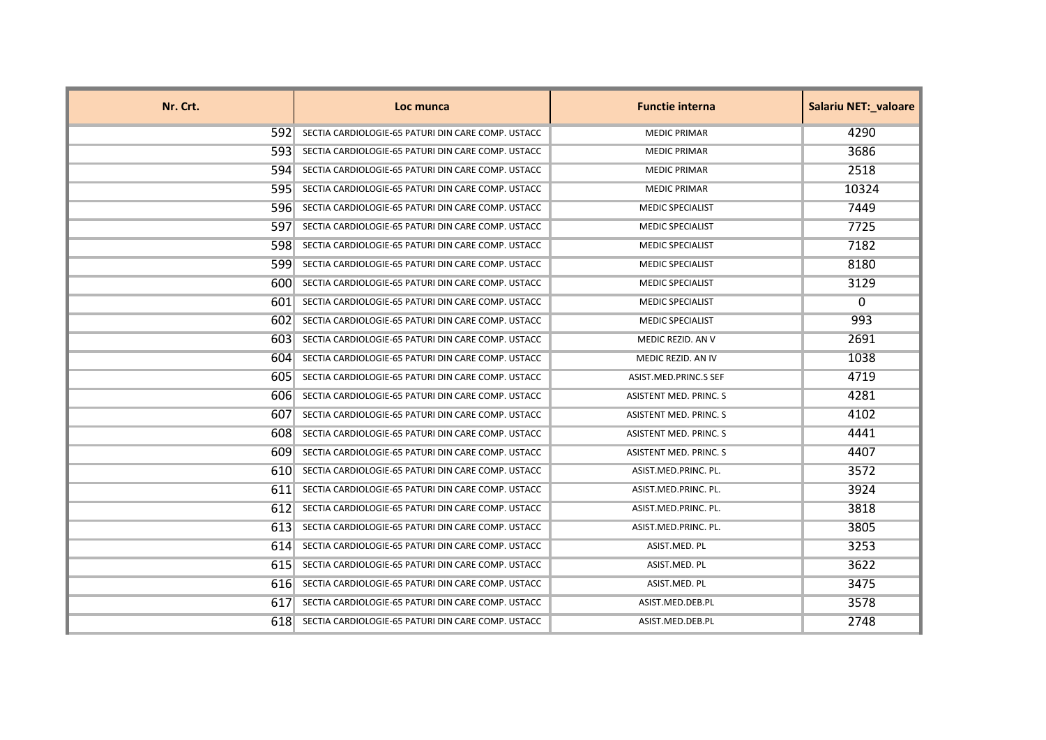| Nr. Crt. | Loc munca                                          | <b>Functie interna</b>        | <b>Salariu NET:_valoare</b> |
|----------|----------------------------------------------------|-------------------------------|-----------------------------|
| 5921     | SECTIA CARDIOLOGIE-65 PATURI DIN CARE COMP. USTACC | <b>MEDIC PRIMAR</b>           | 4290                        |
| 5931     | SECTIA CARDIOLOGIE-65 PATURI DIN CARE COMP. USTACC | <b>MEDIC PRIMAR</b>           | 3686                        |
| 594      | SECTIA CARDIOLOGIE-65 PATURI DIN CARE COMP. USTACC | <b>MEDIC PRIMAR</b>           | 2518                        |
| 5951     | SECTIA CARDIOLOGIE-65 PATURI DIN CARE COMP. USTACC | <b>MEDIC PRIMAR</b>           | 10324                       |
| 596      | SECTIA CARDIOLOGIE-65 PATURI DIN CARE COMP. USTACC | <b>MEDIC SPECIALIST</b>       | 7449                        |
| 597      | SECTIA CARDIOLOGIE-65 PATURI DIN CARE COMP. USTACC | <b>MEDIC SPECIALIST</b>       | 7725                        |
| 5981     | SECTIA CARDIOLOGIE-65 PATURI DIN CARE COMP. USTACC | <b>MEDIC SPECIALIST</b>       | 7182                        |
| 599      | SECTIA CARDIOLOGIE-65 PATURI DIN CARE COMP. USTACC | <b>MEDIC SPECIALIST</b>       | 8180                        |
| 600      | SECTIA CARDIOLOGIE-65 PATURI DIN CARE COMP. USTACC | <b>MEDIC SPECIALIST</b>       | 3129                        |
| 6011     | SECTIA CARDIOLOGIE-65 PATURI DIN CARE COMP. USTACC | <b>MEDIC SPECIALIST</b>       | $\Omega$                    |
| 6021     | SECTIA CARDIOLOGIE-65 PATURI DIN CARE COMP. USTACC | <b>MEDIC SPECIALIST</b>       | 993                         |
| 6031     | SECTIA CARDIOLOGIE-65 PATURI DIN CARE COMP. USTACC | MEDIC REZID. AN V             | 2691                        |
| 604      | SECTIA CARDIOLOGIE-65 PATURI DIN CARE COMP. USTACC | MEDIC REZID. AN IV            | 1038                        |
| 6051     | SECTIA CARDIOLOGIE-65 PATURI DIN CARE COMP. USTACC | ASIST.MED.PRINC.S SEF         | 4719                        |
| 6061     | SECTIA CARDIOLOGIE-65 PATURI DIN CARE COMP. USTACC | <b>ASISTENT MED. PRINC. S</b> | 4281                        |
| 607      | SECTIA CARDIOLOGIE-65 PATURI DIN CARE COMP. USTACC | ASISTENT MED. PRINC. S        | 4102                        |
| 6081     | SECTIA CARDIOLOGIE-65 PATURI DIN CARE COMP. USTACC | ASISTENT MED. PRINC. S        | 4441                        |
| 609      | SECTIA CARDIOLOGIE-65 PATURI DIN CARE COMP. USTACC | ASISTENT MED. PRINC. S        | 4407                        |
| 610      | SECTIA CARDIOLOGIE-65 PATURI DIN CARE COMP. USTACC | ASIST.MED.PRINC. PL.          | 3572                        |
| 6111     | SECTIA CARDIOLOGIE-65 PATURI DIN CARE COMP. USTACC | ASIST.MED.PRINC. PL.          | 3924                        |
| 612      | SECTIA CARDIOLOGIE-65 PATURI DIN CARE COMP. USTACC | ASIST.MED.PRINC. PL.          | 3818                        |
| 6131     | SECTIA CARDIOLOGIE-65 PATURI DIN CARE COMP. USTACC | ASIST.MED.PRINC. PL.          | 3805                        |
| 614      | SECTIA CARDIOLOGIE-65 PATURI DIN CARE COMP. USTACC | ASIST.MED. PL                 | 3253                        |
| 615      | SECTIA CARDIOLOGIE-65 PATURI DIN CARE COMP. USTACC | ASIST.MED. PL                 | 3622                        |
| 6161     | SECTIA CARDIOLOGIE-65 PATURI DIN CARE COMP. USTACC | ASIST.MED. PL                 | 3475                        |
| 617      | SECTIA CARDIOLOGIE-65 PATURI DIN CARE COMP. USTACC | ASIST.MED.DEB.PL              | 3578                        |
| 618      | SECTIA CARDIOLOGIE-65 PATURI DIN CARE COMP. USTACC | ASIST.MED.DEB.PL              | 2748                        |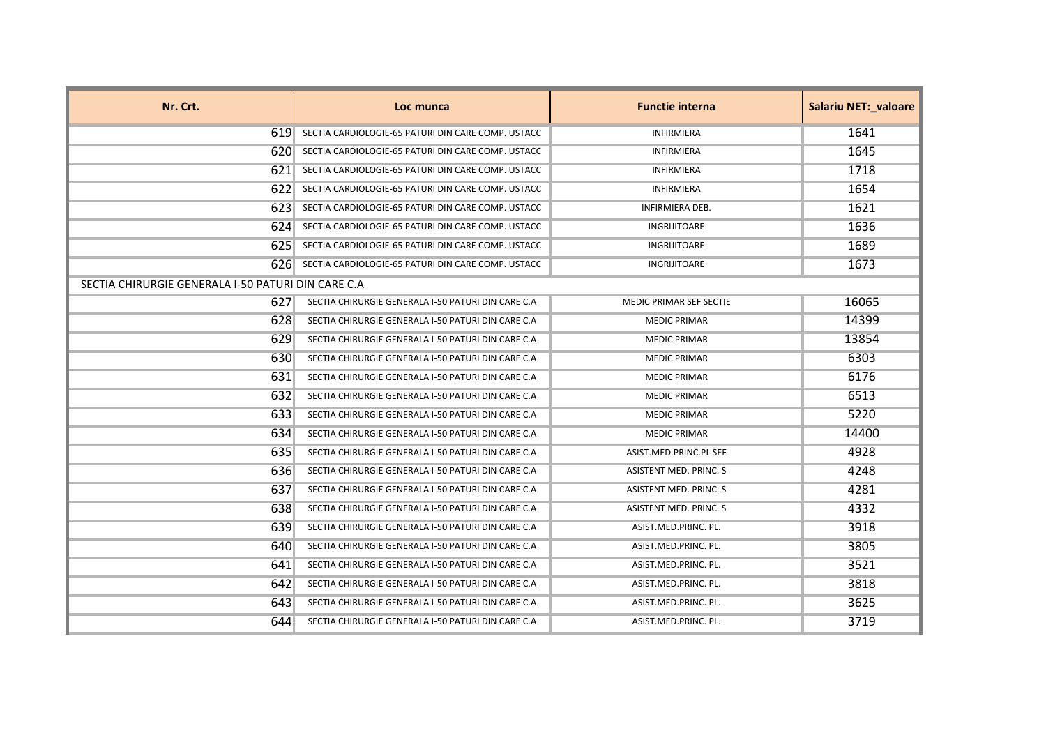| Nr. Crt.                                           | Loc munca                                          | <b>Functie interna</b>        | <b>Salariu NET: valoare</b> |
|----------------------------------------------------|----------------------------------------------------|-------------------------------|-----------------------------|
| 619.                                               | SECTIA CARDIOLOGIE-65 PATURI DIN CARE COMP. USTACC | <b>INFIRMIERA</b>             | 1641                        |
| 620                                                | SECTIA CARDIOLOGIE-65 PATURI DIN CARE COMP. USTACC | <b>INFIRMIERA</b>             | 1645                        |
| 6211                                               | SECTIA CARDIOLOGIE-65 PATURI DIN CARE COMP. USTACC | <b>INFIRMIERA</b>             | 1718                        |
| 6221                                               | SECTIA CARDIOLOGIE-65 PATURI DIN CARE COMP. USTACC | <b>INFIRMIERA</b>             | 1654                        |
| 6231                                               | SECTIA CARDIOLOGIE-65 PATURI DIN CARE COMP. USTACC | <b>INFIRMIERA DEB.</b>        | 1621                        |
| 624                                                | SECTIA CARDIOLOGIE-65 PATURI DIN CARE COMP. USTACC | <b>INGRIJITOARE</b>           | 1636                        |
| 6251                                               | SECTIA CARDIOLOGIE-65 PATURI DIN CARE COMP. USTACC | <b>INGRIJITOARE</b>           | 1689                        |
| 6261                                               | SECTIA CARDIOLOGIE-65 PATURI DIN CARE COMP. USTACC | INGRIJITOARE                  | 1673                        |
| SECTIA CHIRURGIE GENERALA I-50 PATURI DIN CARE C.A |                                                    |                               |                             |
| 627                                                | SECTIA CHIRURGIE GENERALA I-50 PATURI DIN CARE C.A | MEDIC PRIMAR SEF SECTIE       | 16065                       |
| 628                                                | SECTIA CHIRURGIE GENERALA I-50 PATURI DIN CARE C.A | <b>MEDIC PRIMAR</b>           | 14399                       |
| 629                                                | SECTIA CHIRURGIE GENERALA I-50 PATURI DIN CARE C.A | <b>MEDIC PRIMAR</b>           | 13854                       |
| 630                                                | SECTIA CHIRURGIE GENERALA I-50 PATURI DIN CARE C.A | <b>MEDIC PRIMAR</b>           | 6303                        |
| 631                                                | SECTIA CHIRURGIE GENERALA I-50 PATURI DIN CARE C.A | <b>MEDIC PRIMAR</b>           | 6176                        |
| 632                                                | SECTIA CHIRURGIE GENERALA I-50 PATURI DIN CARE C.A | <b>MEDIC PRIMAR</b>           | 6513                        |
| 633                                                | SECTIA CHIRURGIE GENERALA I-50 PATURI DIN CARE C.A | <b>MEDIC PRIMAR</b>           | 5220                        |
| 634                                                | SECTIA CHIRURGIE GENERALA I-50 PATURI DIN CARE C.A | <b>MEDIC PRIMAR</b>           | 14400                       |
| 635                                                | SECTIA CHIRURGIE GENERALA I-50 PATURI DIN CARE C.A | ASIST.MED.PRINC.PL SEF        | 4928                        |
| 636                                                | SECTIA CHIRURGIE GENERALA I-50 PATURI DIN CARE C.A | ASISTENT MED. PRINC. S        | 4248                        |
| 637                                                | SECTIA CHIRURGIE GENERALA I-50 PATURI DIN CARE C.A | ASISTENT MED. PRINC. S        | 4281                        |
| 638                                                | SECTIA CHIRURGIE GENERALA I-50 PATURI DIN CARE C.A | <b>ASISTENT MED. PRINC. S</b> | 4332                        |
| 639                                                | SECTIA CHIRURGIE GENERALA I-50 PATURI DIN CARE C.A | ASIST.MED.PRINC. PL.          | 3918                        |
| 640                                                | SECTIA CHIRURGIE GENERALA I-50 PATURI DIN CARE C.A | ASIST.MED.PRINC. PL.          | 3805                        |
| 641                                                | SECTIA CHIRURGIE GENERALA I-50 PATURI DIN CARE C.A | ASIST.MED.PRINC. PL.          | 3521                        |
| 642                                                | SECTIA CHIRURGIE GENERALA I-50 PATURI DIN CARE C.A | ASIST.MED.PRINC. PL.          | 3818                        |
| 643                                                | SECTIA CHIRURGIE GENERALA I-50 PATURI DIN CARE C.A | ASIST.MED.PRINC. PL.          | 3625                        |
| 644                                                | SECTIA CHIRURGIE GENERALA I-50 PATURI DIN CARE C.A | ASIST.MED.PRINC. PL.          | 3719                        |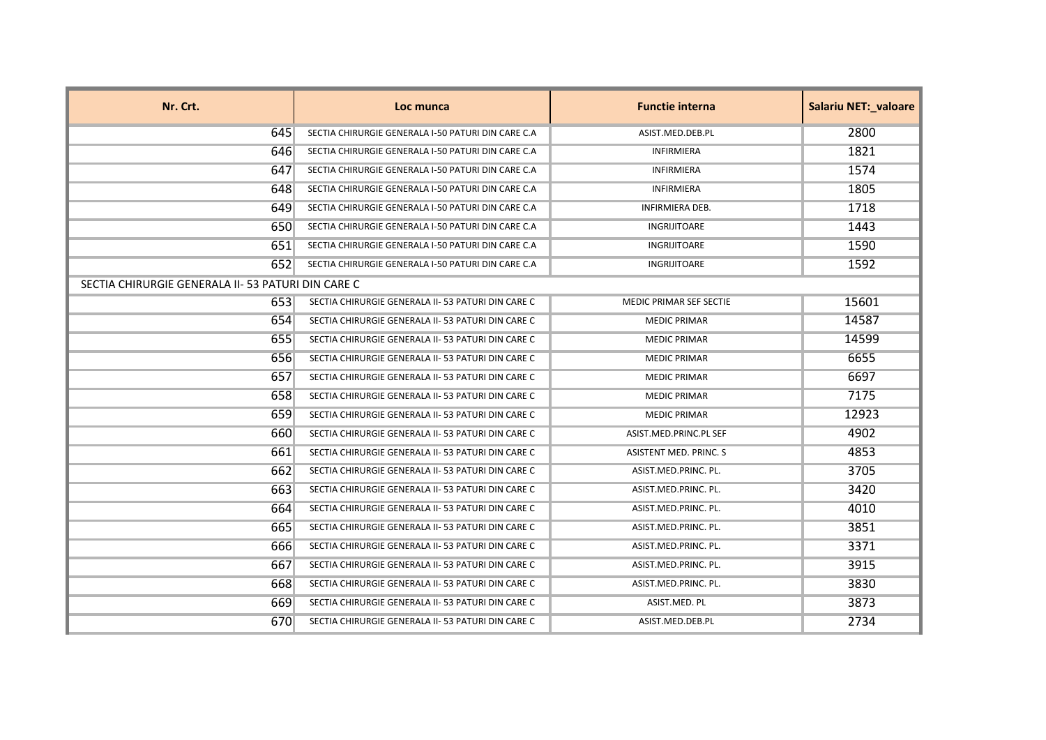| Nr. Crt.                                          | Loc munca                                          | <b>Functie interna</b>  | <b>Salariu NET: valoare</b> |
|---------------------------------------------------|----------------------------------------------------|-------------------------|-----------------------------|
| 645                                               | SECTIA CHIRURGIE GENERALA I-50 PATURI DIN CARE C.A | ASIST.MED.DEB.PL        | 2800                        |
| 646                                               | SECTIA CHIRURGIE GENERALA I-50 PATURI DIN CARE C.A | <b>INFIRMIERA</b>       | 1821                        |
| 647                                               | SECTIA CHIRURGIE GENERALA I-50 PATURI DIN CARE C.A | INFIRMIERA              | 1574                        |
| 648                                               | SECTIA CHIRURGIE GENERALA I-50 PATURI DIN CARE C.A | <b>INFIRMIERA</b>       | 1805                        |
| 649                                               | SECTIA CHIRURGIE GENERALA I-50 PATURI DIN CARE C.A | <b>INFIRMIERA DEB.</b>  | 1718                        |
| 650                                               | SECTIA CHIRURGIE GENERALA I-50 PATURI DIN CARE C.A | INGRIJITOARE            | 1443                        |
| 651                                               | SECTIA CHIRURGIE GENERALA I-50 PATURI DIN CARE C.A | INGRIJITOARE            | 1590                        |
| 652                                               | SECTIA CHIRURGIE GENERALA I-50 PATURI DIN CARE C.A | <b>INGRIJITOARE</b>     | 1592                        |
| SECTIA CHIRURGIE GENERALA II-53 PATURI DIN CARE C |                                                    |                         |                             |
| 653                                               | SECTIA CHIRURGIE GENERALA II- 53 PATURI DIN CARE C | MEDIC PRIMAR SEF SECTIE | 15601                       |
| 654                                               | SECTIA CHIRURGIE GENERALA II- 53 PATURI DIN CARE C | <b>MEDIC PRIMAR</b>     | 14587                       |
| 655                                               | SECTIA CHIRURGIE GENERALA II- 53 PATURI DIN CARE C | <b>MEDIC PRIMAR</b>     | 14599                       |
| 656                                               | SECTIA CHIRURGIE GENERALA II- 53 PATURI DIN CARE C | <b>MEDIC PRIMAR</b>     | 6655                        |
| 657                                               | SECTIA CHIRURGIE GENERALA II- 53 PATURI DIN CARE C | <b>MEDIC PRIMAR</b>     | 6697                        |
| 658                                               | SECTIA CHIRURGIE GENERALA II- 53 PATURI DIN CARE C | <b>MEDIC PRIMAR</b>     | 7175                        |
| 659                                               | SECTIA CHIRURGIE GENERALA II- 53 PATURI DIN CARE C | <b>MEDIC PRIMAR</b>     | 12923                       |
| 660                                               | SECTIA CHIRURGIE GENERALA II- 53 PATURI DIN CARE C | ASIST.MED.PRINC.PL SEF  | 4902                        |
| 661                                               | SECTIA CHIRURGIE GENERALA II- 53 PATURI DIN CARE C | ASISTENT MED. PRINC. S  | 4853                        |
| 662                                               | SECTIA CHIRURGIE GENERALA II- 53 PATURI DIN CARE C | ASIST.MED.PRINC. PL.    | 3705                        |
| 663                                               | SECTIA CHIRURGIE GENERALA II- 53 PATURI DIN CARE C | ASIST.MED.PRINC. PL.    | 3420                        |
| 664                                               | SECTIA CHIRURGIE GENERALA II- 53 PATURI DIN CARE C | ASIST.MED.PRINC. PL.    | 4010                        |
| 665                                               | SECTIA CHIRURGIE GENERALA II- 53 PATURI DIN CARE C | ASIST.MED.PRINC. PL.    | 3851                        |
| 666                                               | SECTIA CHIRURGIE GENERALA II- 53 PATURI DIN CARE C | ASIST.MED.PRINC. PL.    | 3371                        |
| 667                                               | SECTIA CHIRURGIE GENERALA II- 53 PATURI DIN CARE C | ASIST.MED.PRINC. PL.    | 3915                        |
| 668                                               | SECTIA CHIRURGIE GENERALA II- 53 PATURI DIN CARE C | ASIST.MED.PRINC. PL.    | 3830                        |
| 669                                               | SECTIA CHIRURGIE GENERALA II- 53 PATURI DIN CARE C | ASIST.MED. PL           | 3873                        |
| 670                                               | SECTIA CHIRURGIE GENERALA II- 53 PATURI DIN CARE C | ASIST.MED.DEB.PL        | 2734                        |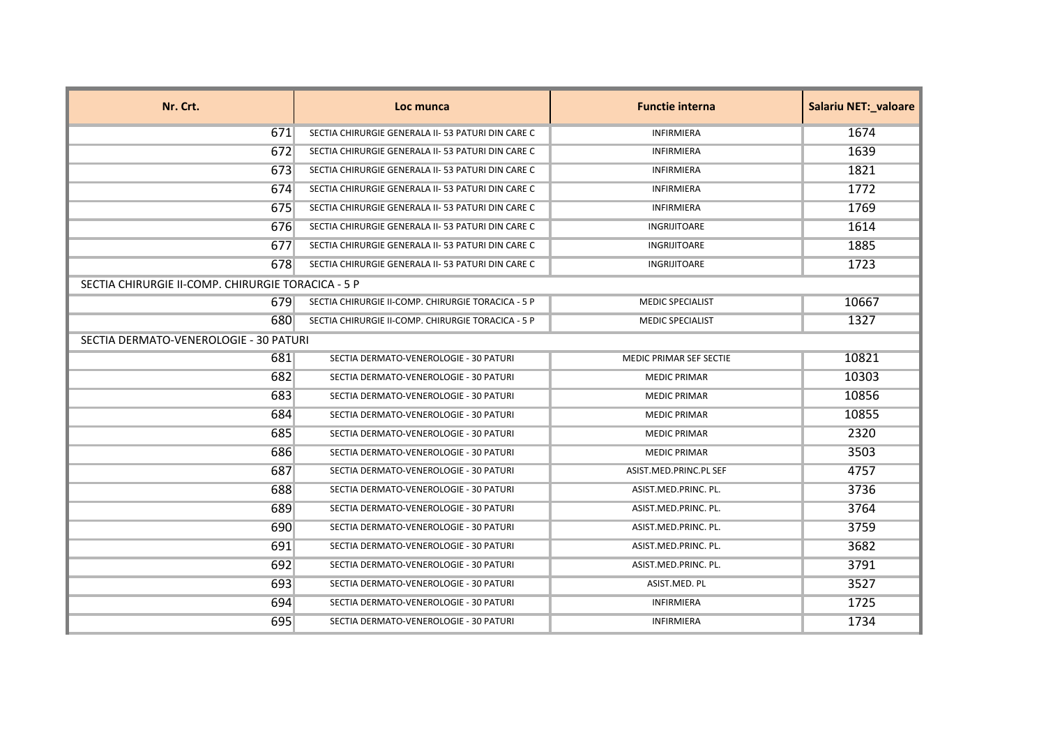| Nr. Crt.                                           | Loc munca                                          | <b>Functie interna</b>         | Salariu NET:_valoare |
|----------------------------------------------------|----------------------------------------------------|--------------------------------|----------------------|
| 671                                                | SECTIA CHIRURGIE GENERALA II- 53 PATURI DIN CARE C | <b>INFIRMIERA</b>              | 1674                 |
| 672                                                | SECTIA CHIRURGIE GENERALA II- 53 PATURI DIN CARE C | <b>INFIRMIERA</b>              | 1639                 |
| 673                                                | SECTIA CHIRURGIE GENERALA II- 53 PATURI DIN CARE C | <b>INFIRMIERA</b>              | 1821                 |
| 674                                                | SECTIA CHIRURGIE GENERALA II- 53 PATURI DIN CARE C | <b>INFIRMIERA</b>              | 1772                 |
| 675                                                | SECTIA CHIRURGIE GENERALA II- 53 PATURI DIN CARE C | <b>INFIRMIERA</b>              | 1769                 |
| 676                                                | SECTIA CHIRURGIE GENERALA II- 53 PATURI DIN CARE C | <b>INGRIJITOARE</b>            | 1614                 |
| 677                                                | SECTIA CHIRURGIE GENERALA II- 53 PATURI DIN CARE C | <b>INGRIJITOARE</b>            | 1885                 |
| 678                                                | SECTIA CHIRURGIE GENERALA II- 53 PATURI DIN CARE C | INGRIJITOARE                   | 1723                 |
| SECTIA CHIRURGIE II-COMP. CHIRURGIE TORACICA - 5 P |                                                    |                                |                      |
| 679                                                | SECTIA CHIRURGIE II-COMP. CHIRURGIE TORACICA - 5 P | <b>MEDIC SPECIALIST</b>        | 10667                |
| 680                                                | SECTIA CHIRURGIE II-COMP. CHIRURGIE TORACICA - 5 P | <b>MEDIC SPECIALIST</b>        | 1327                 |
| SECTIA DERMATO-VENEROLOGIE - 30 PATURI             |                                                    |                                |                      |
| 681                                                | SECTIA DERMATO-VENEROLOGIE - 30 PATURI             | <b>MEDIC PRIMAR SEF SECTIE</b> | 10821                |
| 682                                                | SECTIA DERMATO-VENEROLOGIE - 30 PATURI             | <b>MEDIC PRIMAR</b>            | 10303                |
| 683                                                | SECTIA DERMATO-VENEROLOGIE - 30 PATURI             | <b>MEDIC PRIMAR</b>            | 10856                |
| 684                                                | SECTIA DERMATO-VENEROLOGIE - 30 PATURI             | <b>MEDIC PRIMAR</b>            | 10855                |
| 685                                                | SECTIA DERMATO-VENEROLOGIE - 30 PATURI             | <b>MEDIC PRIMAR</b>            | 2320                 |
| 686                                                | SECTIA DERMATO-VENEROLOGIE - 30 PATURI             | <b>MEDIC PRIMAR</b>            | 3503                 |
| 687                                                | SECTIA DERMATO-VENEROLOGIE - 30 PATURI             | ASIST.MED.PRINC.PL SEF         | 4757                 |
| 688                                                | SECTIA DERMATO-VENEROLOGIE - 30 PATURI             | ASIST.MED.PRINC. PL.           | 3736                 |
| 689                                                | SECTIA DERMATO-VENEROLOGIE - 30 PATURI             | ASIST.MED.PRINC. PL.           | 3764                 |
| 690                                                | SECTIA DERMATO-VENEROLOGIE - 30 PATURI             | ASIST.MED.PRINC. PL.           | 3759                 |
| 691                                                | SECTIA DERMATO-VENEROLOGIE - 30 PATURI             | ASIST.MED.PRINC. PL.           | 3682                 |
| 692                                                | SECTIA DERMATO-VENEROLOGIE - 30 PATURI             | ASIST.MED.PRINC. PL.           | 3791                 |
| 693                                                | SECTIA DERMATO-VENEROLOGIE - 30 PATURI             | ASIST.MED. PL                  | 3527                 |
| 694                                                | SECTIA DERMATO-VENEROLOGIE - 30 PATURI             | INFIRMIERA                     | 1725                 |
| 695                                                | SECTIA DERMATO-VENEROLOGIE - 30 PATURI             | <b>INFIRMIERA</b>              | 1734                 |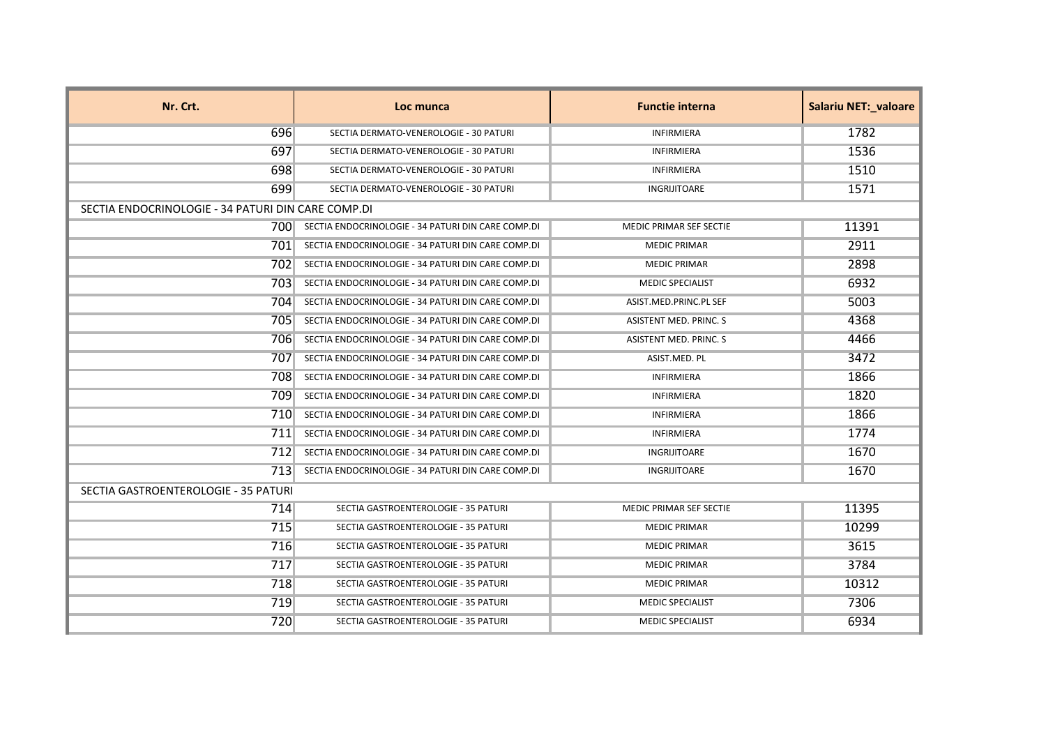| Nr. Crt.                                           | Loc munca                                          | <b>Functie interna</b>         | <b>Salariu NET:_valoare</b> |
|----------------------------------------------------|----------------------------------------------------|--------------------------------|-----------------------------|
| 696                                                | SECTIA DERMATO-VENEROLOGIE - 30 PATURI             | <b>INFIRMIERA</b>              | 1782                        |
| 697                                                | SECTIA DERMATO-VENEROLOGIE - 30 PATURI             | <b>INFIRMIERA</b>              | 1536                        |
| 698                                                | SECTIA DERMATO-VENEROLOGIE - 30 PATURI             | <b>INFIRMIERA</b>              | 1510                        |
| 699                                                | SECTIA DERMATO-VENEROLOGIE - 30 PATURI             | INGRIJITOARE                   | 1571                        |
| SECTIA ENDOCRINOLOGIE - 34 PATURI DIN CARE COMP.DI |                                                    |                                |                             |
| 700                                                | SECTIA ENDOCRINOLOGIE - 34 PATURI DIN CARE COMP.DI | <b>MEDIC PRIMAR SEF SECTIE</b> | 11391                       |
| 7011                                               | SECTIA ENDOCRINOLOGIE - 34 PATURI DIN CARE COMP.DI | <b>MEDIC PRIMAR</b>            | 2911                        |
| 7021                                               | SECTIA ENDOCRINOLOGIE - 34 PATURI DIN CARE COMP.DI | <b>MEDIC PRIMAR</b>            | 2898                        |
| 703                                                | SECTIA ENDOCRINOLOGIE - 34 PATURI DIN CARE COMP.DI | <b>MEDIC SPECIALIST</b>        | 6932                        |
| 704                                                | SECTIA ENDOCRINOLOGIE - 34 PATURI DIN CARE COMP.DI | ASIST.MED.PRINC.PL SEF         | 5003                        |
| 705                                                | SECTIA ENDOCRINOLOGIE - 34 PATURI DIN CARE COMP.DI | ASISTENT MED. PRINC. S         | 4368                        |
| 706                                                | SECTIA ENDOCRINOLOGIE - 34 PATURI DIN CARE COMP.DI | ASISTENT MED. PRINC. S         | 4466                        |
| 707                                                | SECTIA ENDOCRINOLOGIE - 34 PATURI DIN CARE COMP.DI | ASIST.MED. PL                  | 3472                        |
| 708                                                | SECTIA ENDOCRINOLOGIE - 34 PATURI DIN CARE COMP.DI | <b>INFIRMIERA</b>              | 1866                        |
| 7091                                               | SECTIA ENDOCRINOLOGIE - 34 PATURI DIN CARE COMP.DI | <b>INFIRMIERA</b>              | 1820                        |
| 7101                                               | SECTIA ENDOCRINOLOGIE - 34 PATURI DIN CARE COMP.DI | <b>INFIRMIERA</b>              | 1866                        |
| 711                                                | SECTIA ENDOCRINOLOGIE - 34 PATURI DIN CARE COMP.DI | <b>INFIRMIERA</b>              | 1774                        |
| 712                                                | SECTIA ENDOCRINOLOGIE - 34 PATURI DIN CARE COMP.DI | INGRIJITOARE                   | 1670                        |
| 713                                                | SECTIA ENDOCRINOLOGIE - 34 PATURI DIN CARE COMP.DI | INGRIJITOARE                   | 1670                        |
| SECTIA GASTROENTEROLOGIE - 35 PATURI               |                                                    |                                |                             |
| 714                                                | SECTIA GASTROENTEROLOGIE - 35 PATURI               | <b>MEDIC PRIMAR SEF SECTIE</b> | 11395                       |
| 715                                                | SECTIA GASTROENTEROLOGIE - 35 PATURI               | <b>MEDIC PRIMAR</b>            | 10299                       |
| 716                                                | SECTIA GASTROENTEROLOGIE - 35 PATURI               | <b>MEDIC PRIMAR</b>            | 3615                        |
| 717                                                | SECTIA GASTROENTEROLOGIE - 35 PATURI               | <b>MEDIC PRIMAR</b>            | 3784                        |
| 718                                                | SECTIA GASTROENTEROLOGIE - 35 PATURI               | <b>MEDIC PRIMAR</b>            | 10312                       |
| 719                                                | SECTIA GASTROENTEROLOGIE - 35 PATURI               | <b>MEDIC SPECIALIST</b>        | 7306                        |
| 720                                                | SECTIA GASTROENTEROLOGIE - 35 PATURI               | <b>MEDIC SPECIALIST</b>        | 6934                        |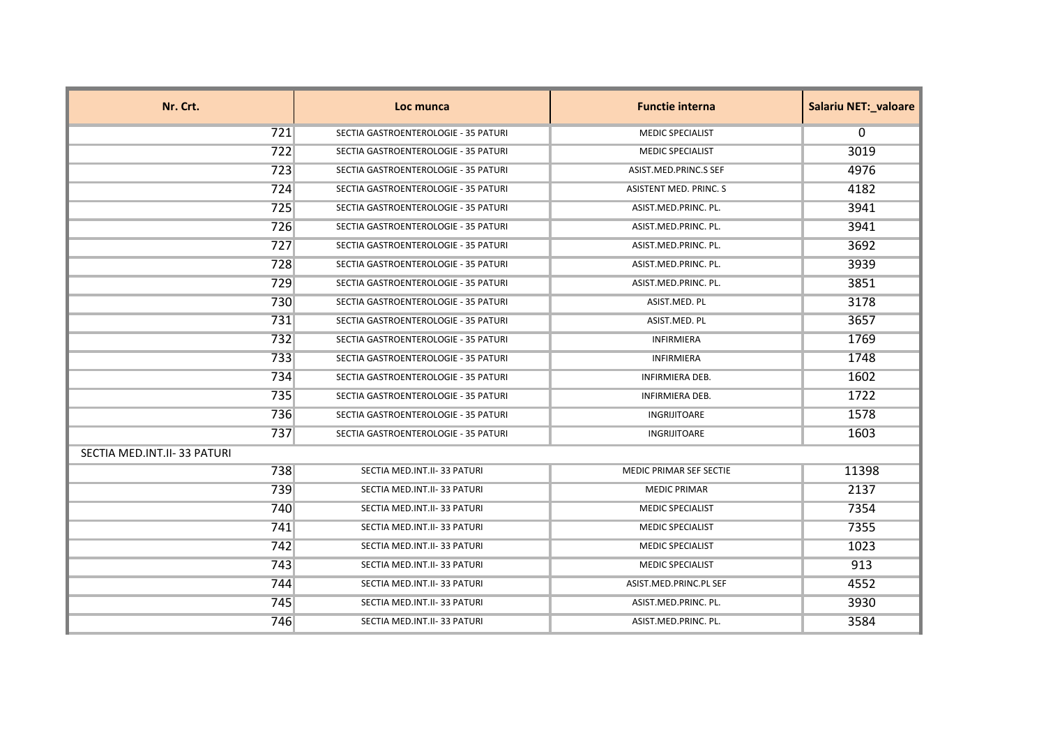| Nr. Crt.                    | Loc munca                            | <b>Functie interna</b>  | <b>Salariu NET: valoare</b> |
|-----------------------------|--------------------------------------|-------------------------|-----------------------------|
| 721                         | SECTIA GASTROENTEROLOGIE - 35 PATURI | <b>MEDIC SPECIALIST</b> | $\Omega$                    |
| 722                         | SECTIA GASTROENTEROLOGIE - 35 PATURI | <b>MEDIC SPECIALIST</b> | 3019                        |
| 723                         | SECTIA GASTROENTEROLOGIE - 35 PATURI | ASIST.MED.PRINC.S SEF   | 4976                        |
| 724                         | SECTIA GASTROENTEROLOGIE - 35 PATURI | ASISTENT MED. PRINC. S  | 4182                        |
| 725                         | SECTIA GASTROENTEROLOGIE - 35 PATURI | ASIST.MED.PRINC. PL.    | 3941                        |
| 726                         | SECTIA GASTROENTEROLOGIE - 35 PATURI | ASIST.MED.PRINC. PL.    | 3941                        |
| 727                         | SECTIA GASTROENTEROLOGIE - 35 PATURI | ASIST.MED.PRINC. PL.    | 3692                        |
| 728                         | SECTIA GASTROENTEROLOGIE - 35 PATURI | ASIST.MED.PRINC. PL.    | 3939                        |
| 729                         | SECTIA GASTROENTEROLOGIE - 35 PATURI | ASIST.MED.PRINC. PL.    | 3851                        |
| 730                         | SECTIA GASTROENTEROLOGIE - 35 PATURI | ASIST.MED. PL           | 3178                        |
| 731                         | SECTIA GASTROENTEROLOGIE - 35 PATURI | ASIST.MED. PL           | 3657                        |
| 732                         | SECTIA GASTROENTEROLOGIE - 35 PATURI | INFIRMIERA              | 1769                        |
| 733                         | SECTIA GASTROENTEROLOGIE - 35 PATURI | INFIRMIERA              | 1748                        |
| 734                         | SECTIA GASTROENTEROLOGIE - 35 PATURI | INFIRMIERA DEB.         | 1602                        |
| 735                         | SECTIA GASTROENTEROLOGIE - 35 PATURI | <b>INFIRMIERA DEB.</b>  | 1722                        |
| 736                         | SECTIA GASTROENTEROLOGIE - 35 PATURI | <b>INGRIJITOARE</b>     | 1578                        |
| 737                         | SECTIA GASTROENTEROLOGIE - 35 PATURI | <b>INGRIJITOARE</b>     | 1603                        |
| SECTIA MED.INT.II-33 PATURI |                                      |                         |                             |
| 738                         | SECTIA MED.INT.II-33 PATURI          | MEDIC PRIMAR SEF SECTIE | 11398                       |
| 739                         | SECTIA MED.INT.II-33 PATURI          | <b>MEDIC PRIMAR</b>     | 2137                        |
| 740                         | SECTIA MED.INT.II-33 PATURI          | <b>MEDIC SPECIALIST</b> | 7354                        |
| 741                         | SECTIA MED.INT.II-33 PATURI          | <b>MEDIC SPECIALIST</b> | 7355                        |
| 742                         | SECTIA MED.INT.II-33 PATURI          | <b>MEDIC SPECIALIST</b> | 1023                        |
| 743                         | SECTIA MED.INT.II-33 PATURI          | <b>MEDIC SPECIALIST</b> | 913                         |
| 744                         | SECTIA MED.INT.II-33 PATURI          | ASIST.MED.PRINC.PL SEF  | 4552                        |
| 745                         | SECTIA MED.INT.II-33 PATURI          | ASIST.MED.PRINC. PL.    | 3930                        |
| 746                         | SECTIA MED.INT.II-33 PATURI          | ASIST.MED.PRINC. PL.    | 3584                        |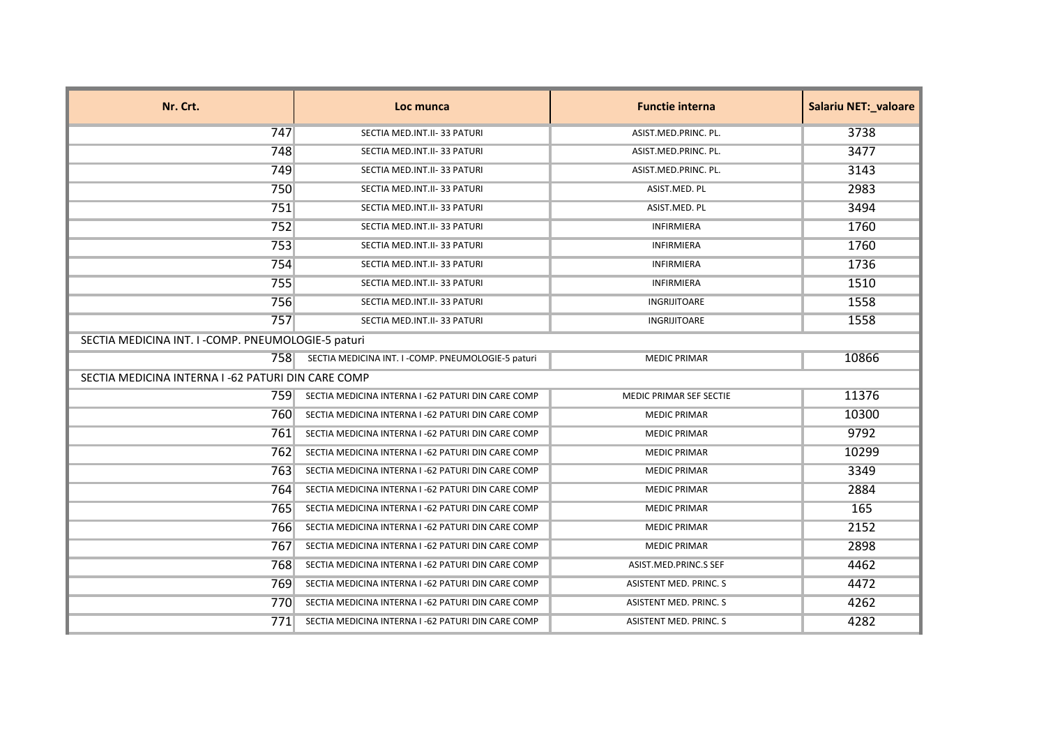| Nr. Crt.                                           | Loc munca                                          | <b>Functie interna</b>        | <b>Salariu NET: valoare</b> |
|----------------------------------------------------|----------------------------------------------------|-------------------------------|-----------------------------|
| 747                                                | SECTIA MED.INT.II-33 PATURI                        | ASIST.MED.PRINC. PL.          | 3738                        |
| 748                                                | SECTIA MED.INT.II-33 PATURI                        | ASIST.MED.PRINC. PL.          | 3477                        |
| 749                                                | SECTIA MED.INT.II-33 PATURI                        | ASIST.MED.PRINC. PL.          | 3143                        |
| 750                                                | SECTIA MED.INT.II-33 PATURI                        | ASIST.MED. PL                 | 2983                        |
| 751                                                | SECTIA MED.INT.II-33 PATURI                        | ASIST.MED. PL                 | 3494                        |
| 752                                                | SECTIA MED.INT.II-33 PATURI                        | <b>INFIRMIERA</b>             | 1760                        |
| 753                                                | SECTIA MED.INT.II-33 PATURI                        | <b>INFIRMIERA</b>             | 1760                        |
| 754                                                | SECTIA MED.INT.II-33 PATURI                        | <b>INFIRMIERA</b>             | 1736                        |
| 755                                                | SECTIA MED.INT.II-33 PATURI                        | <b>INFIRMIERA</b>             | 1510                        |
| 756                                                | SECTIA MED.INT.II-33 PATURI                        | INGRIJITOARE                  | 1558                        |
| 757                                                | SECTIA MED.INT.II-33 PATURI                        | INGRIJITOARE                  | 1558                        |
| SECTIA MEDICINA INT. I -COMP. PNEUMOLOGIE-5 paturi |                                                    |                               |                             |
| 758                                                | SECTIA MEDICINA INT. I -COMP. PNEUMOLOGIE-5 paturi | <b>MEDIC PRIMAR</b>           | 10866                       |
|                                                    | SECTIA MEDICINA INTERNA I -62 PATURI DIN CARE COMP |                               |                             |
| 7591                                               | SECTIA MEDICINA INTERNA I -62 PATURI DIN CARE COMP | MEDIC PRIMAR SEF SECTIE       | 11376                       |
| 760                                                | SECTIA MEDICINA INTERNA I -62 PATURI DIN CARE COMP | <b>MEDIC PRIMAR</b>           | 10300                       |
| 761                                                | SECTIA MEDICINA INTERNA I -62 PATURI DIN CARE COMP | <b>MEDIC PRIMAR</b>           | 9792                        |
| 762                                                | SECTIA MEDICINA INTERNA I -62 PATURI DIN CARE COMP | <b>MEDIC PRIMAR</b>           | 10299                       |
| 763                                                | SECTIA MEDICINA INTERNA I -62 PATURI DIN CARE COMP | <b>MEDIC PRIMAR</b>           | 3349                        |
| 764                                                | SECTIA MEDICINA INTERNA I -62 PATURI DIN CARE COMP | <b>MEDIC PRIMAR</b>           | 2884                        |
| 765                                                | SECTIA MEDICINA INTERNA I -62 PATURI DIN CARE COMP | <b>MEDIC PRIMAR</b>           | 165                         |
| 766                                                | SECTIA MEDICINA INTERNA I -62 PATURI DIN CARE COMP | <b>MEDIC PRIMAR</b>           | 2152                        |
| 767                                                | SECTIA MEDICINA INTERNA I -62 PATURI DIN CARE COMP | <b>MEDIC PRIMAR</b>           | 2898                        |
| 768                                                | SECTIA MEDICINA INTERNA I -62 PATURI DIN CARE COMP | ASIST.MED.PRINC.S SEF         | 4462                        |
| 769                                                | SECTIA MEDICINA INTERNA I -62 PATURI DIN CARE COMP | <b>ASISTENT MED. PRINC. S</b> | 4472                        |
| 770                                                | SECTIA MEDICINA INTERNA I -62 PATURI DIN CARE COMP | ASISTENT MED. PRINC. S        | 4262                        |
| 771                                                | SECTIA MEDICINA INTERNA I -62 PATURI DIN CARE COMP | ASISTENT MED. PRINC. S        | 4282                        |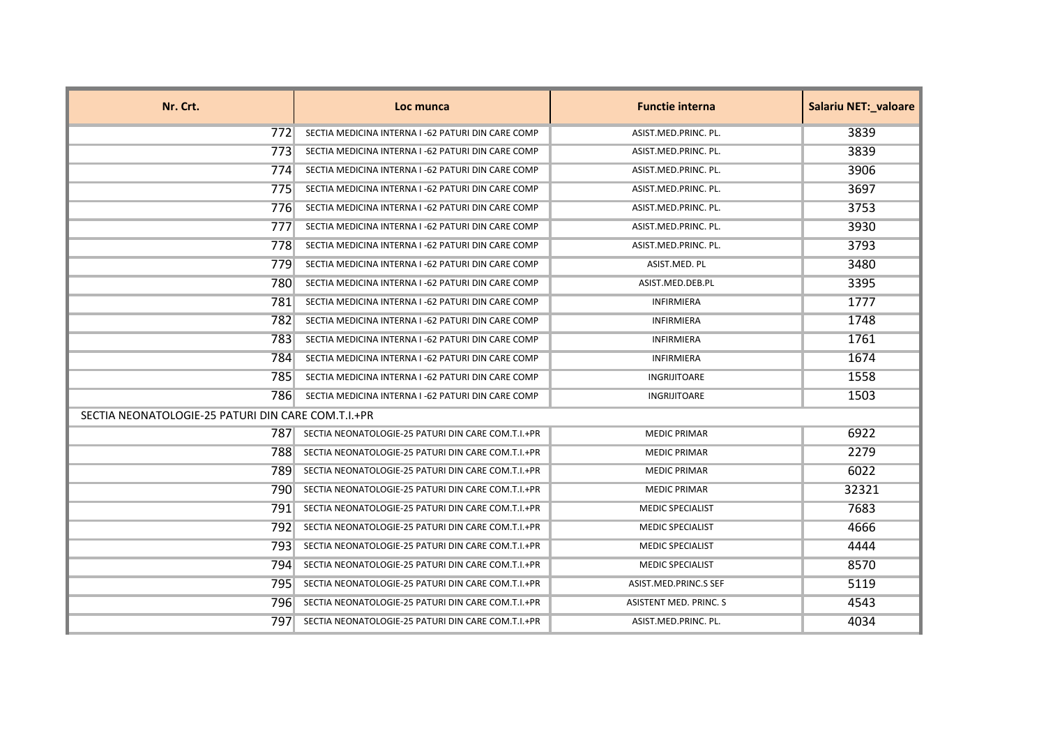| Nr. Crt.                                           | Loc munca                                          | <b>Functie interna</b>  | <b>Salariu NET: valoare</b> |
|----------------------------------------------------|----------------------------------------------------|-------------------------|-----------------------------|
| 7721                                               | SECTIA MEDICINA INTERNA I -62 PATURI DIN CARE COMP | ASIST.MED.PRINC. PL.    | 3839                        |
| 7731                                               | SECTIA MEDICINA INTERNA I -62 PATURI DIN CARE COMP | ASIST.MED.PRINC. PL.    | 3839                        |
| 774                                                | SECTIA MEDICINA INTERNA I -62 PATURI DIN CARE COMP | ASIST.MED.PRINC. PL.    | 3906                        |
| 775                                                | SECTIA MEDICINA INTERNA I -62 PATURI DIN CARE COMP | ASIST.MED.PRINC. PL.    | 3697                        |
| 776                                                | SECTIA MEDICINA INTERNA I -62 PATURI DIN CARE COMP | ASIST.MED.PRINC. PL.    | 3753                        |
| 777                                                | SECTIA MEDICINA INTERNA I -62 PATURI DIN CARE COMP | ASIST.MED.PRINC. PL.    | 3930                        |
| 7781                                               | SECTIA MEDICINA INTERNA I -62 PATURI DIN CARE COMP | ASIST.MED.PRINC. PL.    | 3793                        |
| 7791                                               | SECTIA MEDICINA INTERNA I -62 PATURI DIN CARE COMP | ASIST.MED. PL           | 3480                        |
| 780                                                | SECTIA MEDICINA INTERNA I -62 PATURI DIN CARE COMP | ASIST.MED.DEB.PL        | 3395                        |
| 781                                                | SECTIA MEDICINA INTERNA I -62 PATURI DIN CARE COMP | <b>INFIRMIERA</b>       | 1777                        |
| 782                                                | SECTIA MEDICINA INTERNA I -62 PATURI DIN CARE COMP | <b>INFIRMIERA</b>       | 1748                        |
| 783                                                | SECTIA MEDICINA INTERNA I -62 PATURI DIN CARE COMP | <b>INFIRMIERA</b>       | 1761                        |
| 784                                                | SECTIA MEDICINA INTERNA I -62 PATURI DIN CARE COMP | <b>INFIRMIERA</b>       | 1674                        |
| 785                                                | SECTIA MEDICINA INTERNA I -62 PATURI DIN CARE COMP | <b>INGRIJITOARE</b>     | 1558                        |
| 7861                                               | SECTIA MEDICINA INTERNA I -62 PATURI DIN CARE COMP | INGRIJITOARE            | 1503                        |
| SECTIA NEONATOLOGIE-25 PATURI DIN CARE COM.T.I.+PR |                                                    |                         |                             |
| 7871                                               | SECTIA NEONATOLOGIE-25 PATURI DIN CARE COM.T.I.+PR | <b>MEDIC PRIMAR</b>     | 6922                        |
| 7881                                               | SECTIA NEONATOLOGIE-25 PATURI DIN CARE COM.T.I.+PR | <b>MEDIC PRIMAR</b>     | 2279                        |
| 7891                                               | SECTIA NEONATOLOGIE-25 PATURI DIN CARE COM.T.I.+PR | <b>MEDIC PRIMAR</b>     | 6022                        |
| 7901                                               | SECTIA NEONATOLOGIE-25 PATURI DIN CARE COM.T.I.+PR | <b>MEDIC PRIMAR</b>     | 32321                       |
| 791                                                | SECTIA NEONATOLOGIE-25 PATURI DIN CARE COM.T.I.+PR | <b>MEDIC SPECIALIST</b> | 7683                        |
| 7921                                               | SECTIA NEONATOLOGIE-25 PATURI DIN CARE COM.T.I.+PR | <b>MEDIC SPECIALIST</b> | 4666                        |
| 7931                                               | SECTIA NEONATOLOGIE-25 PATURI DIN CARE COM.T.I.+PR | <b>MEDIC SPECIALIST</b> | 4444                        |
| 794.                                               | SECTIA NEONATOLOGIE-25 PATURI DIN CARE COM.T.I.+PR | <b>MEDIC SPECIALIST</b> | 8570                        |
| 7951                                               | SECTIA NEONATOLOGIE-25 PATURI DIN CARE COM.T.I.+PR | ASIST.MED.PRINC.S SEF   | 5119                        |
| 796                                                | SECTIA NEONATOLOGIE-25 PATURI DIN CARE COM.T.I.+PR | ASISTENT MED. PRINC. S  | 4543                        |
| 7971                                               | SECTIA NEONATOLOGIE-25 PATURI DIN CARE COM.T.I.+PR | ASIST.MED.PRINC. PL.    | 4034                        |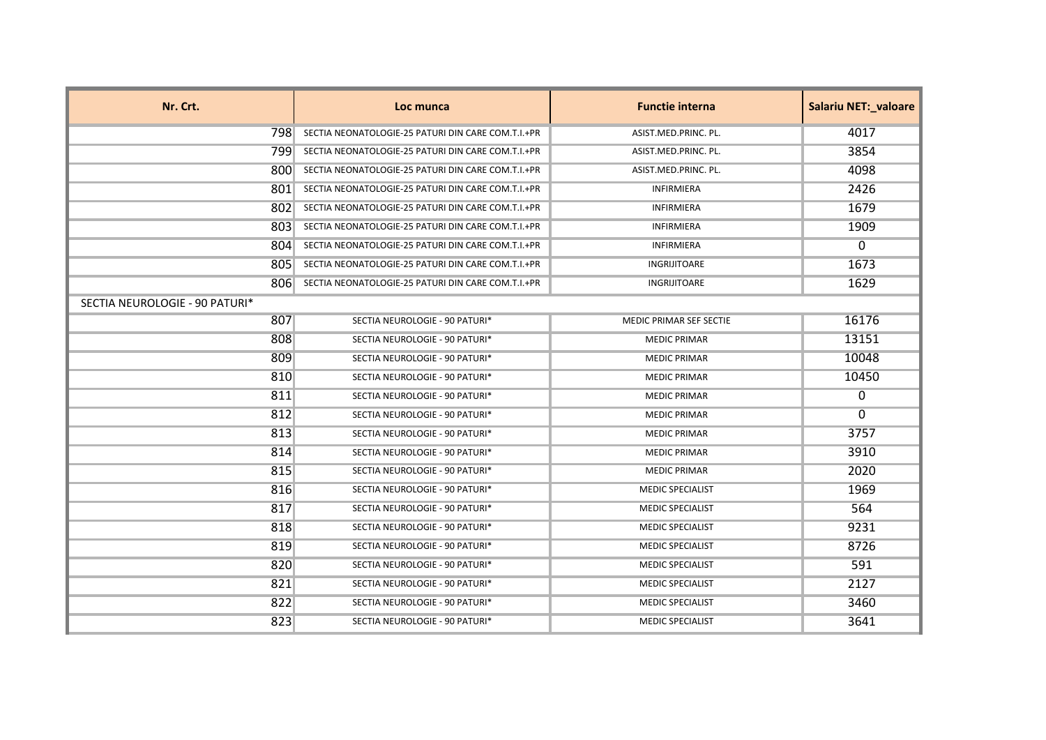| Nr. Crt.                       | Loc munca                                          | <b>Functie interna</b>  | Salariu NET:_valoare |
|--------------------------------|----------------------------------------------------|-------------------------|----------------------|
| 798.                           | SECTIA NEONATOLOGIE-25 PATURI DIN CARE COM.T.I.+PR | ASIST.MED.PRINC. PL.    | 4017                 |
| 799.                           | SECTIA NEONATOLOGIE-25 PATURI DIN CARE COM.T.I.+PR | ASIST.MED.PRINC. PL.    | 3854                 |
| 800                            | SECTIA NEONATOLOGIE-25 PATURI DIN CARE COM.T.I.+PR | ASIST.MED.PRINC. PL.    | 4098                 |
| 801                            | SECTIA NEONATOLOGIE-25 PATURI DIN CARE COM.T.I.+PR | <b>INFIRMIERA</b>       | 2426                 |
| 802                            | SECTIA NEONATOLOGIE-25 PATURI DIN CARE COM.T.I.+PR | <b>INFIRMIERA</b>       | 1679                 |
| 803                            | SECTIA NEONATOLOGIE-25 PATURI DIN CARE COM.T.I.+PR | <b>INFIRMIERA</b>       | 1909                 |
| 804                            | SECTIA NEONATOLOGIE-25 PATURI DIN CARE COM.T.I.+PR | <b>INFIRMIERA</b>       | $\Omega$             |
| 805                            | SECTIA NEONATOLOGIE-25 PATURI DIN CARE COM.T.I.+PR | <b>INGRIJITOARE</b>     | 1673                 |
| 806                            | SECTIA NEONATOLOGIE-25 PATURI DIN CARE COM.T.I.+PR | INGRIJITOARE            | 1629                 |
| SECTIA NEUROLOGIE - 90 PATURI* |                                                    |                         |                      |
| 807                            | SECTIA NEUROLOGIE - 90 PATURI*                     | MEDIC PRIMAR SEF SECTIE | 16176                |
| 808                            | SECTIA NEUROLOGIE - 90 PATURI*                     | <b>MEDIC PRIMAR</b>     | 13151                |
| 809                            | SECTIA NEUROLOGIE - 90 PATURI*                     | <b>MEDIC PRIMAR</b>     | 10048                |
| 810                            | SECTIA NEUROLOGIE - 90 PATURI*                     | <b>MEDIC PRIMAR</b>     | 10450                |
| 811                            | SECTIA NEUROLOGIE - 90 PATURI*                     | <b>MEDIC PRIMAR</b>     | 0                    |
| 812                            | SECTIA NEUROLOGIE - 90 PATURI*                     | <b>MEDIC PRIMAR</b>     | 0                    |
| 813                            | SECTIA NEUROLOGIE - 90 PATURI*                     | <b>MEDIC PRIMAR</b>     | 3757                 |
| 814                            | SECTIA NEUROLOGIE - 90 PATURI*                     | <b>MEDIC PRIMAR</b>     | 3910                 |
| 815                            | SECTIA NEUROLOGIE - 90 PATURI*                     | <b>MEDIC PRIMAR</b>     | 2020                 |
| 816                            | SECTIA NEUROLOGIE - 90 PATURI*                     | <b>MEDIC SPECIALIST</b> | 1969                 |
| 817                            | SECTIA NEUROLOGIE - 90 PATURI*                     | <b>MEDIC SPECIALIST</b> | 564                  |
| 818                            | SECTIA NEUROLOGIE - 90 PATURI*                     | <b>MEDIC SPECIALIST</b> | 9231                 |
| 819                            | SECTIA NEUROLOGIE - 90 PATURI*                     | <b>MEDIC SPECIALIST</b> | 8726                 |
| 820                            | SECTIA NEUROLOGIE - 90 PATURI*                     | <b>MEDIC SPECIALIST</b> | 591                  |
| 821                            | SECTIA NEUROLOGIE - 90 PATURI*                     | <b>MEDIC SPECIALIST</b> | 2127                 |
| 822                            | SECTIA NEUROLOGIE - 90 PATURI*                     | <b>MEDIC SPECIALIST</b> | 3460                 |
| 823                            | SECTIA NEUROLOGIE - 90 PATURI*                     | <b>MEDIC SPECIALIST</b> | 3641                 |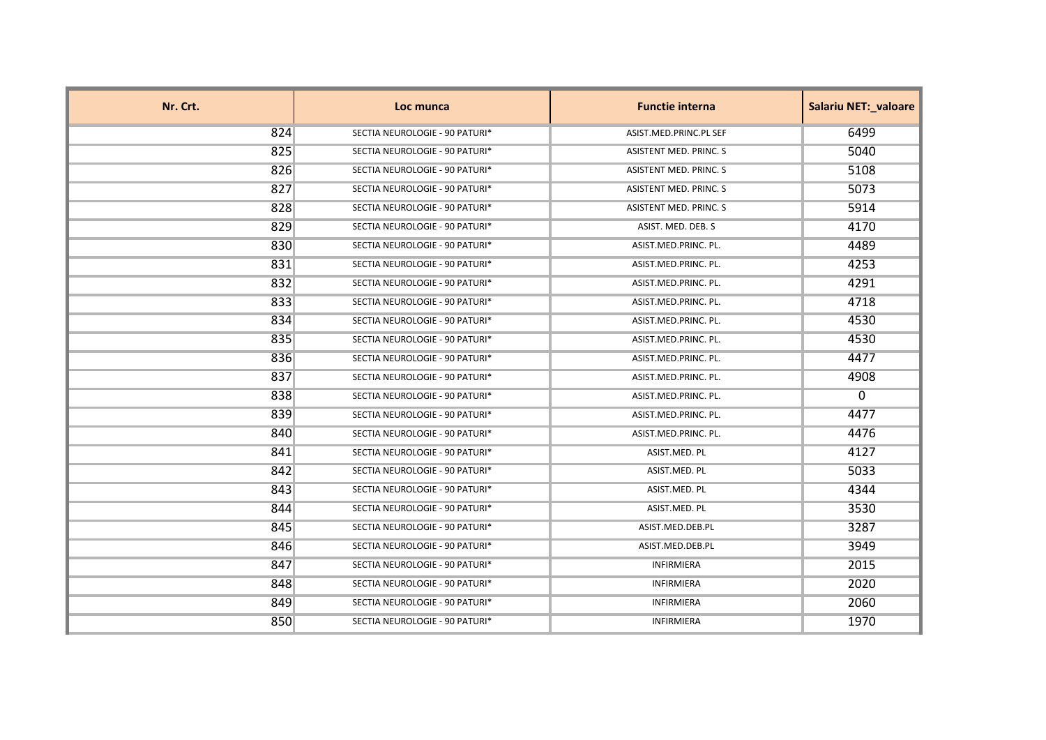| Nr. Crt. | Loc munca                      | <b>Functie interna</b> | <b>Salariu NET: valoare</b> |
|----------|--------------------------------|------------------------|-----------------------------|
| 824      | SECTIA NEUROLOGIE - 90 PATURI* | ASIST.MED.PRINC.PL SEF | 6499                        |
| 825      | SECTIA NEUROLOGIE - 90 PATURI* | ASISTENT MED. PRINC. S | 5040                        |
| 826      | SECTIA NEUROLOGIE - 90 PATURI* | ASISTENT MED. PRINC. S | 5108                        |
| 827      | SECTIA NEUROLOGIE - 90 PATURI* | ASISTENT MED. PRINC. S | 5073                        |
| 828      | SECTIA NEUROLOGIE - 90 PATURI* | ASISTENT MED. PRINC. S | 5914                        |
| 829      | SECTIA NEUROLOGIE - 90 PATURI* | ASIST. MED. DEB. S     | 4170                        |
| 830      | SECTIA NEUROLOGIE - 90 PATURI* | ASIST.MED.PRINC. PL.   | 4489                        |
| 831      | SECTIA NEUROLOGIE - 90 PATURI* | ASIST.MED.PRINC. PL.   | 4253                        |
| 832      | SECTIA NEUROLOGIE - 90 PATURI* | ASIST.MED.PRINC. PL.   | 4291                        |
| 833      | SECTIA NEUROLOGIE - 90 PATURI* | ASIST.MED.PRINC. PL.   | 4718                        |
| 834      | SECTIA NEUROLOGIE - 90 PATURI* | ASIST.MED.PRINC. PL.   | 4530                        |
| 835      | SECTIA NEUROLOGIE - 90 PATURI* | ASIST.MED.PRINC. PL.   | 4530                        |
| 836      | SECTIA NEUROLOGIE - 90 PATURI* | ASIST.MED.PRINC. PL.   | 4477                        |
| 837      | SECTIA NEUROLOGIE - 90 PATURI* | ASIST.MED.PRINC. PL.   | 4908                        |
| 838      | SECTIA NEUROLOGIE - 90 PATURI* | ASIST.MED.PRINC. PL.   | $\mathbf{0}$                |
| 839      | SECTIA NEUROLOGIE - 90 PATURI* | ASIST.MED.PRINC. PL.   | 4477                        |
| 840      | SECTIA NEUROLOGIE - 90 PATURI* | ASIST.MED.PRINC. PL.   | 4476                        |
| 841      | SECTIA NEUROLOGIE - 90 PATURI* | ASIST.MED. PL          | 4127                        |
| 842      | SECTIA NEUROLOGIE - 90 PATURI* | ASIST.MED. PL          | 5033                        |
| 843      | SECTIA NEUROLOGIE - 90 PATURI* | ASIST.MED. PL          | 4344                        |
| 844      | SECTIA NEUROLOGIE - 90 PATURI* | ASIST.MED. PL          | 3530                        |
| 845      | SECTIA NEUROLOGIE - 90 PATURI* | ASIST.MED.DEB.PL       | 3287                        |
| 846      | SECTIA NEUROLOGIE - 90 PATURI* | ASIST.MED.DEB.PL       | 3949                        |
| 847      | SECTIA NEUROLOGIE - 90 PATURI* | <b>INFIRMIERA</b>      | 2015                        |
| 848      | SECTIA NEUROLOGIE - 90 PATURI* | INFIRMIERA             | 2020                        |
| 849      | SECTIA NEUROLOGIE - 90 PATURI* | <b>INFIRMIERA</b>      | 2060                        |
| 850      | SECTIA NEUROLOGIE - 90 PATURI* | <b>INFIRMIERA</b>      | 1970                        |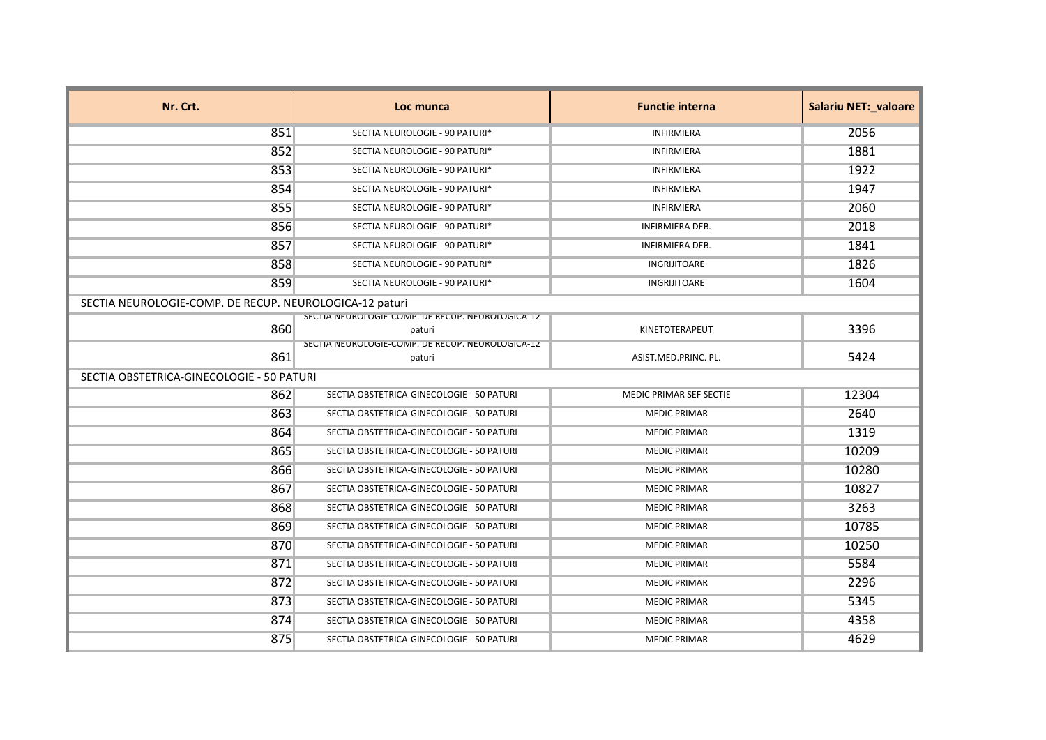| Nr. Crt.                                                | Loc munca                                                    | <b>Functie interna</b>  | <b>Salariu NET: valoare</b> |
|---------------------------------------------------------|--------------------------------------------------------------|-------------------------|-----------------------------|
| 851                                                     | SECTIA NEUROLOGIE - 90 PATURI*                               | <b>INFIRMIERA</b>       | 2056                        |
| 852                                                     | SECTIA NEUROLOGIE - 90 PATURI*                               | <b>INFIRMIERA</b>       | 1881                        |
| 853                                                     | SECTIA NEUROLOGIE - 90 PATURI*                               | <b>INFIRMIERA</b>       | 1922                        |
| 854                                                     | SECTIA NEUROLOGIE - 90 PATURI*                               | <b>INFIRMIERA</b>       | 1947                        |
| 855                                                     | SECTIA NEUROLOGIE - 90 PATURI*                               | <b>INFIRMIERA</b>       | 2060                        |
| 856                                                     | SECTIA NEUROLOGIE - 90 PATURI*                               | <b>INFIRMIERA DEB.</b>  | 2018                        |
| 857                                                     | SECTIA NEUROLOGIE - 90 PATURI*                               | INFIRMIERA DEB.         | 1841                        |
| 858                                                     | SECTIA NEUROLOGIE - 90 PATURI*                               | INGRIJITOARE            | 1826                        |
| 859                                                     | SECTIA NEUROLOGIE - 90 PATURI*                               | INGRIJITOARE            | 1604                        |
| SECTIA NEUROLOGIE-COMP. DE RECUP. NEUROLOGICA-12 paturi |                                                              |                         |                             |
| 860                                                     | SECTIA NEUROLOGIE-COIVIP. DE RECOP. NEUROLOGICA-12<br>paturi | KINETOTERAPEUT          | 3396                        |
| 861                                                     | SECTIA NEUROLOGIE-COIVIP. DE RECOP. NEUROLOGICA-12<br>paturi | ASIST.MED.PRINC. PL.    | 5424                        |
| SECTIA OBSTETRICA-GINECOLOGIE - 50 PATURI               |                                                              |                         |                             |
| 862                                                     | SECTIA OBSTETRICA-GINECOLOGIE - 50 PATURI                    | MEDIC PRIMAR SEF SECTIE | 12304                       |
| 863                                                     | SECTIA OBSTETRICA-GINECOLOGIE - 50 PATURI                    | <b>MEDIC PRIMAR</b>     | 2640                        |
| 864                                                     | SECTIA OBSTETRICA-GINECOLOGIE - 50 PATURI                    | <b>MEDIC PRIMAR</b>     | 1319                        |
| 865                                                     | SECTIA OBSTETRICA-GINECOLOGIE - 50 PATURI                    | <b>MEDIC PRIMAR</b>     | 10209                       |
| 866                                                     | SECTIA OBSTETRICA-GINECOLOGIE - 50 PATURI                    | <b>MEDIC PRIMAR</b>     | 10280                       |
| 867                                                     | SECTIA OBSTETRICA-GINECOLOGIE - 50 PATURI                    | <b>MEDIC PRIMAR</b>     | 10827                       |
| 868                                                     | SECTIA OBSTETRICA-GINECOLOGIE - 50 PATURI                    | <b>MEDIC PRIMAR</b>     | 3263                        |
| 869                                                     | SECTIA OBSTETRICA-GINECOLOGIE - 50 PATURI                    | <b>MEDIC PRIMAR</b>     | 10785                       |
| 870                                                     | SECTIA OBSTETRICA-GINECOLOGIE - 50 PATURI                    | <b>MEDIC PRIMAR</b>     | 10250                       |
| 871                                                     | SECTIA OBSTETRICA-GINECOLOGIE - 50 PATURI                    | <b>MEDIC PRIMAR</b>     | 5584                        |
| 872                                                     | SECTIA OBSTETRICA-GINECOLOGIE - 50 PATURI                    | <b>MEDIC PRIMAR</b>     | 2296                        |
| 873                                                     | SECTIA OBSTETRICA-GINECOLOGIE - 50 PATURI                    | <b>MEDIC PRIMAR</b>     | 5345                        |
| 874                                                     | SECTIA OBSTETRICA-GINECOLOGIE - 50 PATURI                    | <b>MEDIC PRIMAR</b>     | 4358                        |
| 875                                                     | SECTIA OBSTETRICA-GINECOLOGIE - 50 PATURI                    | <b>MEDIC PRIMAR</b>     | 4629                        |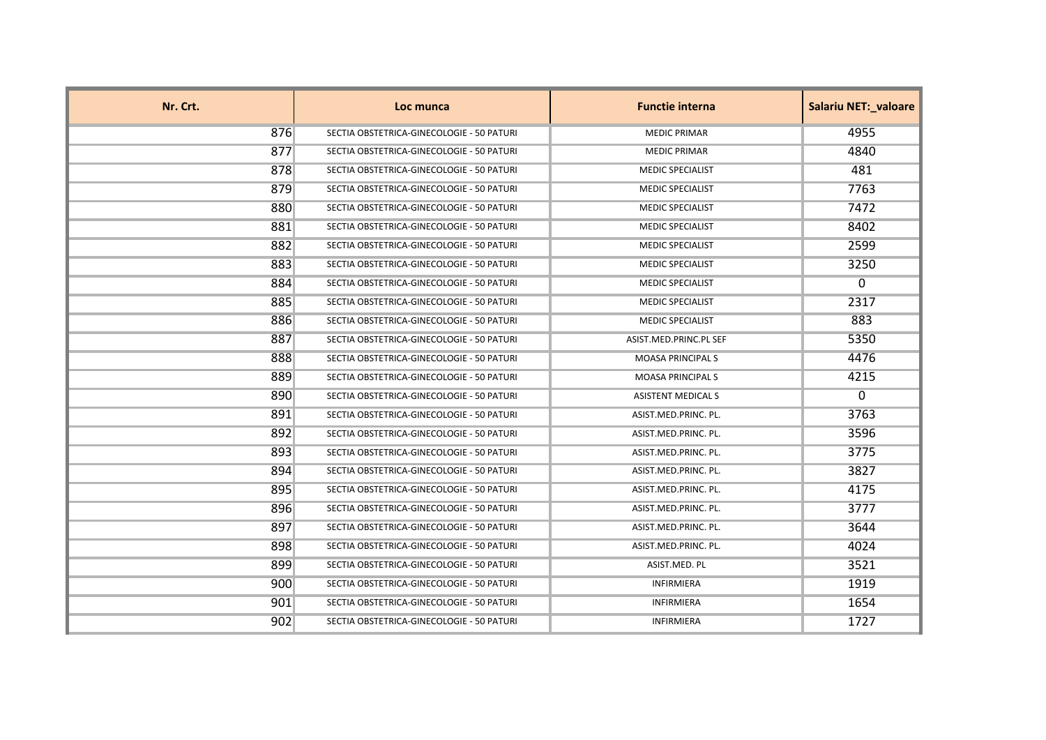| Nr. Crt. | Loc munca                                 | <b>Functie interna</b>    | <b>Salariu NET: valoare</b> |
|----------|-------------------------------------------|---------------------------|-----------------------------|
| 876      | SECTIA OBSTETRICA-GINECOLOGIE - 50 PATURI | <b>MEDIC PRIMAR</b>       | 4955                        |
| 877      | SECTIA OBSTETRICA-GINECOLOGIE - 50 PATURI | <b>MEDIC PRIMAR</b>       | 4840                        |
| 878      | SECTIA OBSTETRICA-GINECOLOGIE - 50 PATURI | <b>MEDIC SPECIALIST</b>   | 481                         |
| 879      | SECTIA OBSTETRICA-GINECOLOGIE - 50 PATURI | <b>MEDIC SPECIALIST</b>   | 7763                        |
| 880      | SECTIA OBSTETRICA-GINECOLOGIE - 50 PATURI | <b>MEDIC SPECIALIST</b>   | 7472                        |
| 881      | SECTIA OBSTETRICA-GINECOLOGIE - 50 PATURI | <b>MEDIC SPECIALIST</b>   | 8402                        |
| 882      | SECTIA OBSTETRICA-GINECOLOGIE - 50 PATURI | <b>MEDIC SPECIALIST</b>   | 2599                        |
| 883      | SECTIA OBSTETRICA-GINECOLOGIE - 50 PATURI | <b>MEDIC SPECIALIST</b>   | 3250                        |
| 884      | SECTIA OBSTETRICA-GINECOLOGIE - 50 PATURI | <b>MEDIC SPECIALIST</b>   | $\Omega$                    |
| 885      | SECTIA OBSTETRICA-GINECOLOGIE - 50 PATURI | <b>MEDIC SPECIALIST</b>   | 2317                        |
| 886      | SECTIA OBSTETRICA-GINECOLOGIE - 50 PATURI | <b>MEDIC SPECIALIST</b>   | 883                         |
| 887      | SECTIA OBSTETRICA-GINECOLOGIE - 50 PATURI | ASIST.MED.PRINC.PL SEF    | 5350                        |
| 888      | SECTIA OBSTETRICA-GINECOLOGIE - 50 PATURI | <b>MOASA PRINCIPALS</b>   | 4476                        |
| 889      | SECTIA OBSTETRICA-GINECOLOGIE - 50 PATURI | <b>MOASA PRINCIPALS</b>   | 4215                        |
| 890      | SECTIA OBSTETRICA-GINECOLOGIE - 50 PATURI | <b>ASISTENT MEDICAL S</b> | $\mathbf{0}$                |
| 891      | SECTIA OBSTETRICA-GINECOLOGIE - 50 PATURI | ASIST.MED.PRINC. PL.      | 3763                        |
| 892      | SECTIA OBSTETRICA-GINECOLOGIE - 50 PATURI | ASIST.MED.PRINC. PL.      | 3596                        |
| 893      | SECTIA OBSTETRICA-GINECOLOGIE - 50 PATURI | ASIST.MED.PRINC. PL.      | 3775                        |
| 894      | SECTIA OBSTETRICA-GINECOLOGIE - 50 PATURI | ASIST.MED.PRINC. PL.      | 3827                        |
| 895      | SECTIA OBSTETRICA-GINECOLOGIE - 50 PATURI | ASIST.MED.PRINC. PL.      | 4175                        |
| 896      | SECTIA OBSTETRICA-GINECOLOGIE - 50 PATURI | ASIST.MED.PRINC. PL.      | 3777                        |
| 897      | SECTIA OBSTETRICA-GINECOLOGIE - 50 PATURI | ASIST.MED.PRINC. PL.      | 3644                        |
| 898      | SECTIA OBSTETRICA-GINECOLOGIE - 50 PATURI | ASIST.MED.PRINC. PL.      | 4024                        |
| 899      | SECTIA OBSTETRICA-GINECOLOGIE - 50 PATURI | ASIST.MED. PL             | 3521                        |
| 900      | SECTIA OBSTETRICA-GINECOLOGIE - 50 PATURI | <b>INFIRMIERA</b>         | 1919                        |
| 901      | SECTIA OBSTETRICA-GINECOLOGIE - 50 PATURI | INFIRMIERA                | 1654                        |
| 902      | SECTIA OBSTETRICA-GINECOLOGIE - 50 PATURI | <b>INFIRMIERA</b>         | 1727                        |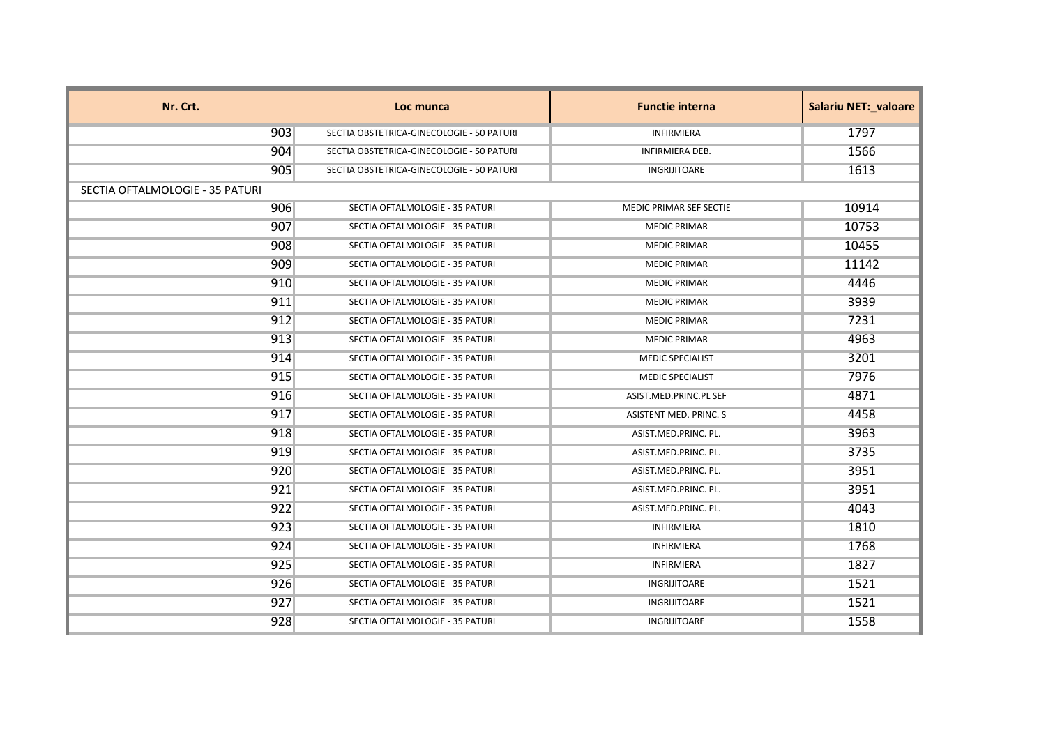| Nr. Crt.                        | Loc munca                                 | <b>Functie interna</b>  | <b>Salariu NET: valoare</b> |
|---------------------------------|-------------------------------------------|-------------------------|-----------------------------|
| 903                             | SECTIA OBSTETRICA-GINECOLOGIE - 50 PATURI | <b>INFIRMIERA</b>       | 1797                        |
| 904                             | SECTIA OBSTETRICA-GINECOLOGIE - 50 PATURI | INFIRMIERA DEB.         | 1566                        |
| 905                             | SECTIA OBSTETRICA-GINECOLOGIE - 50 PATURI | INGRIJITOARE            | 1613                        |
| SECTIA OFTALMOLOGIE - 35 PATURI |                                           |                         |                             |
| 906                             | SECTIA OFTALMOLOGIE - 35 PATURI           | MEDIC PRIMAR SEF SECTIE | 10914                       |
| 907                             | SECTIA OFTALMOLOGIE - 35 PATURI           | <b>MEDIC PRIMAR</b>     | 10753                       |
| 908                             | SECTIA OFTALMOLOGIE - 35 PATURI           | <b>MEDIC PRIMAR</b>     | 10455                       |
| 909                             | SECTIA OFTALMOLOGIE - 35 PATURI           | <b>MEDIC PRIMAR</b>     | 11142                       |
| 910                             | SECTIA OFTALMOLOGIE - 35 PATURI           | <b>MEDIC PRIMAR</b>     | 4446                        |
| 911                             | SECTIA OFTALMOLOGIE - 35 PATURI           | <b>MEDIC PRIMAR</b>     | 3939                        |
| 912                             | SECTIA OFTALMOLOGIE - 35 PATURI           | <b>MEDIC PRIMAR</b>     | 7231                        |
| 913                             | SECTIA OFTALMOLOGIE - 35 PATURI           | <b>MEDIC PRIMAR</b>     | 4963                        |
| 914                             | SECTIA OFTALMOLOGIE - 35 PATURI           | <b>MEDIC SPECIALIST</b> | 3201                        |
| 915                             | SECTIA OFTALMOLOGIE - 35 PATURI           | <b>MEDIC SPECIALIST</b> | 7976                        |
| 916                             | SECTIA OFTALMOLOGIE - 35 PATURI           | ASIST.MED.PRINC.PL SEF  | 4871                        |
| 917                             | SECTIA OFTALMOLOGIE - 35 PATURI           | ASISTENT MED. PRINC. S  | 4458                        |
| 918                             | SECTIA OFTALMOLOGIE - 35 PATURI           | ASIST.MED.PRINC. PL.    | 3963                        |
| 919                             | SECTIA OFTALMOLOGIE - 35 PATURI           | ASIST.MED.PRINC. PL.    | 3735                        |
| 920                             | SECTIA OFTALMOLOGIE - 35 PATURI           | ASIST.MED.PRINC. PL.    | 3951                        |
| 921                             | SECTIA OFTALMOLOGIE - 35 PATURI           | ASIST.MED.PRINC. PL.    | 3951                        |
| 922                             | SECTIA OFTALMOLOGIE - 35 PATURI           | ASIST.MED.PRINC. PL.    | 4043                        |
| 923                             | SECTIA OFTALMOLOGIE - 35 PATURI           | <b>INFIRMIERA</b>       | 1810                        |
| 924                             | SECTIA OFTALMOLOGIE - 35 PATURI           | <b>INFIRMIERA</b>       | 1768                        |
| 925                             | SECTIA OFTALMOLOGIE - 35 PATURI           | <b>INFIRMIERA</b>       | 1827                        |
| 926                             | SECTIA OFTALMOLOGIE - 35 PATURI           | INGRIJITOARE            | 1521                        |
| 927                             | SECTIA OFTALMOLOGIE - 35 PATURI           | INGRIJITOARE            | 1521                        |
| 928                             | SECTIA OFTALMOLOGIE - 35 PATURI           | INGRIJITOARE            | 1558                        |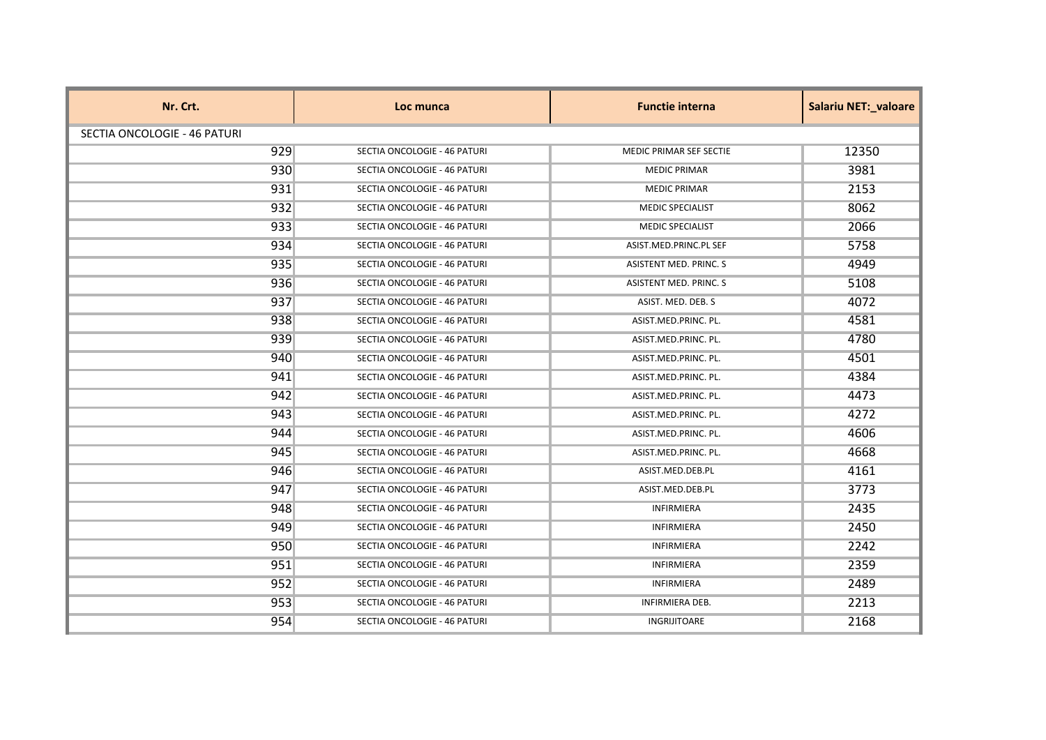| Nr. Crt.                     | Loc munca                    | <b>Functie interna</b>        | <b>Salariu NET:_valoare</b> |
|------------------------------|------------------------------|-------------------------------|-----------------------------|
| SECTIA ONCOLOGIE - 46 PATURI |                              |                               |                             |
| 929                          | SECTIA ONCOLOGIE - 46 PATURI | MEDIC PRIMAR SEF SECTIE       | 12350                       |
| 930                          | SECTIA ONCOLOGIE - 46 PATURI | <b>MEDIC PRIMAR</b>           | 3981                        |
| 931                          | SECTIA ONCOLOGIE - 46 PATURI | <b>MEDIC PRIMAR</b>           | 2153                        |
| 932                          | SECTIA ONCOLOGIE - 46 PATURI | <b>MEDIC SPECIALIST</b>       | 8062                        |
| 933                          | SECTIA ONCOLOGIE - 46 PATURI | <b>MEDIC SPECIALIST</b>       | 2066                        |
| 934                          | SECTIA ONCOLOGIE - 46 PATURI | ASIST.MED.PRINC.PL SEF        | 5758                        |
| 935                          | SECTIA ONCOLOGIE - 46 PATURI | ASISTENT MED. PRINC. S        | 4949                        |
| 936                          | SECTIA ONCOLOGIE - 46 PATURI | <b>ASISTENT MED. PRINC. S</b> | 5108                        |
| 937                          | SECTIA ONCOLOGIE - 46 PATURI | ASIST. MED. DEB. S            | 4072                        |
| 938                          | SECTIA ONCOLOGIE - 46 PATURI | ASIST.MED.PRINC. PL.          | 4581                        |
| 939                          | SECTIA ONCOLOGIE - 46 PATURI | ASIST.MED.PRINC. PL.          | 4780                        |
| 940                          | SECTIA ONCOLOGIE - 46 PATURI | ASIST.MED.PRINC. PL.          | 4501                        |
| 941                          | SECTIA ONCOLOGIE - 46 PATURI | ASIST.MED.PRINC. PL.          | 4384                        |
| 942                          | SECTIA ONCOLOGIE - 46 PATURI | ASIST.MED.PRINC. PL.          | 4473                        |
| 943                          | SECTIA ONCOLOGIE - 46 PATURI | ASIST.MED.PRINC. PL.          | 4272                        |
| 944                          | SECTIA ONCOLOGIE - 46 PATURI | ASIST.MED.PRINC. PL.          | 4606                        |
| 945                          | SECTIA ONCOLOGIE - 46 PATURI | ASIST.MED.PRINC. PL.          | 4668                        |
| 946                          | SECTIA ONCOLOGIE - 46 PATURI | ASIST.MED.DEB.PL              | 4161                        |
| 947                          | SECTIA ONCOLOGIE - 46 PATURI | ASIST.MED.DEB.PL              | 3773                        |
| 948                          | SECTIA ONCOLOGIE - 46 PATURI | <b>INFIRMIERA</b>             | 2435                        |
| 949                          | SECTIA ONCOLOGIE - 46 PATURI | <b>INFIRMIERA</b>             | 2450                        |
| 950                          | SECTIA ONCOLOGIE - 46 PATURI | INFIRMIERA                    | 2242                        |
| 951                          | SECTIA ONCOLOGIE - 46 PATURI | <b>INFIRMIERA</b>             | 2359                        |
| 952                          | SECTIA ONCOLOGIE - 46 PATURI | <b>INFIRMIERA</b>             | 2489                        |
| 953                          | SECTIA ONCOLOGIE - 46 PATURI | <b>INFIRMIERA DEB.</b>        | 2213                        |
| 954                          | SECTIA ONCOLOGIE - 46 PATURI | INGRIJITOARE                  | 2168                        |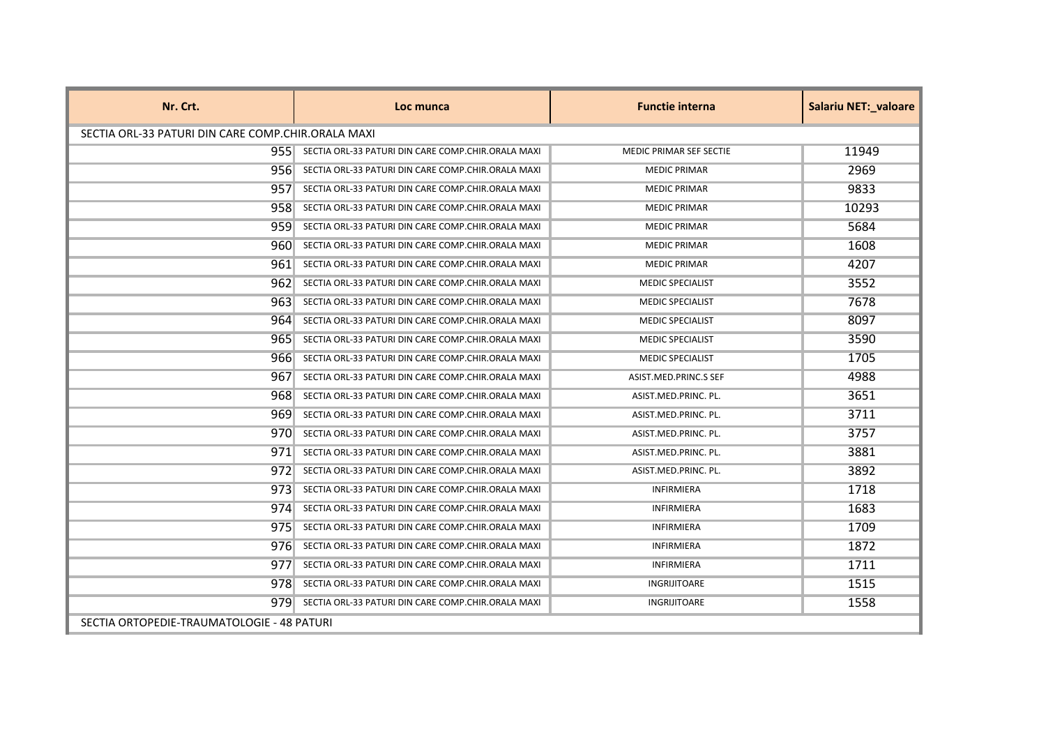| Nr. Crt.                                           | Loc munca                                          | <b>Functie interna</b>         | <b>Salariu NET: valoare</b> |
|----------------------------------------------------|----------------------------------------------------|--------------------------------|-----------------------------|
| SECTIA ORL-33 PATURI DIN CARE COMP.CHIR.ORALA MAXI |                                                    |                                |                             |
| 9551                                               | SECTIA ORL-33 PATURI DIN CARE COMP.CHIR.ORALA MAXI | <b>MEDIC PRIMAR SEF SECTIE</b> | 11949                       |
| 956                                                | SECTIA ORL-33 PATURI DIN CARE COMP.CHIR.ORALA MAXI | <b>MEDIC PRIMAR</b>            | 2969                        |
| 957                                                | SECTIA ORL-33 PATURI DIN CARE COMP.CHIR.ORALA MAXI | <b>MEDIC PRIMAR</b>            | 9833                        |
| 958                                                | SECTIA ORL-33 PATURI DIN CARE COMP.CHIR.ORALA MAXI | <b>MEDIC PRIMAR</b>            | 10293                       |
| 9591                                               | SECTIA ORL-33 PATURI DIN CARE COMP.CHIR.ORALA MAXI | <b>MEDIC PRIMAR</b>            | 5684                        |
| 9601                                               | SECTIA ORL-33 PATURI DIN CARE COMP.CHIR.ORALA MAXI | <b>MEDIC PRIMAR</b>            | 1608                        |
| 9611                                               | SECTIA ORL-33 PATURI DIN CARE COMP.CHIR.ORALA MAXI | <b>MEDIC PRIMAR</b>            | 4207                        |
| 9621                                               | SECTIA ORL-33 PATURI DIN CARE COMP.CHIR.ORALA MAXI | MEDIC SPECIALIST               | 3552                        |
| 963 <sup>1</sup>                                   | SECTIA ORL-33 PATURI DIN CARE COMP.CHIR.ORALA MAXI | <b>MEDIC SPECIALIST</b>        | 7678                        |
| 964                                                | SECTIA ORL-33 PATURI DIN CARE COMP.CHIR.ORALA MAXI | <b>MEDIC SPECIALIST</b>        | 8097                        |
| 9651                                               | SECTIA ORL-33 PATURI DIN CARE COMP.CHIR.ORALA MAXI | <b>MEDIC SPECIALIST</b>        | 3590                        |
| 9661                                               | SECTIA ORL-33 PATURI DIN CARE COMP.CHIR.ORALA MAXI | <b>MEDIC SPECIALIST</b>        | 1705                        |
| 9671                                               | SECTIA ORL-33 PATURI DIN CARE COMP.CHIR.ORALA MAXI | ASIST.MED.PRINC.S SEF          | 4988                        |
| 9681                                               | SECTIA ORL-33 PATURI DIN CARE COMP.CHIR.ORALA MAXI | ASIST.MED.PRINC. PL.           | 3651                        |
| 9691                                               | SECTIA ORL-33 PATURI DIN CARE COMP.CHIR.ORALA MAXI | ASIST.MED.PRINC. PL.           | 3711                        |
| 970                                                | SECTIA ORL-33 PATURI DIN CARE COMP.CHIR.ORALA MAXI | ASIST.MED.PRINC. PL.           | 3757                        |
| 971.                                               | SECTIA ORL-33 PATURI DIN CARE COMP.CHIR.ORALA MAXI | ASIST.MED.PRINC. PL.           | 3881                        |
| 9721                                               | SECTIA ORL-33 PATURI DIN CARE COMP.CHIR.ORALA MAXI | ASIST.MED.PRINC. PL.           | 3892                        |
| 9731                                               | SECTIA ORL-33 PATURI DIN CARE COMP.CHIR.ORALA MAXI | <b>INFIRMIERA</b>              | 1718                        |
| 974                                                | SECTIA ORL-33 PATURI DIN CARE COMP.CHIR.ORALA MAXI | <b>INFIRMIERA</b>              | 1683                        |
| 9751                                               | SECTIA ORL-33 PATURI DIN CARE COMP.CHIR.ORALA MAXI | <b>INFIRMIERA</b>              | 1709                        |
| 9761                                               | SECTIA ORL-33 PATURI DIN CARE COMP.CHIR.ORALA MAXI | <b>INFIRMIERA</b>              | 1872                        |
| 977                                                | SECTIA ORL-33 PATURI DIN CARE COMP.CHIR.ORALA MAXI | INFIRMIERA                     | 1711                        |
| 978.                                               | SECTIA ORL-33 PATURI DIN CARE COMP.CHIR.ORALA MAXI | <b>INGRIJITOARE</b>            | 1515                        |
| 9791                                               | SECTIA ORL-33 PATURI DIN CARE COMP.CHIR.ORALA MAXI | <b>INGRIJITOARE</b>            | 1558                        |
| SECTIA ORTOPEDIE-TRAUMATOLOGIE - 48 PATURI         |                                                    |                                |                             |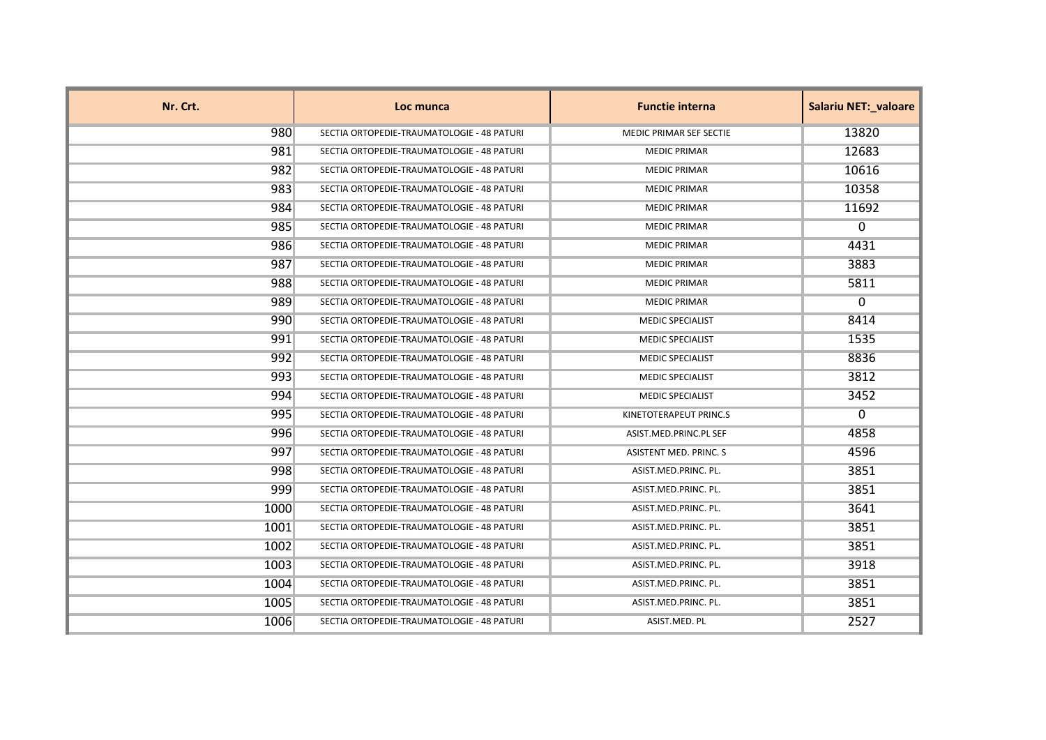| Nr. Crt. | Loc munca                                  | <b>Functie interna</b>  | <b>Salariu NET: valoare</b> |
|----------|--------------------------------------------|-------------------------|-----------------------------|
| 980      | SECTIA ORTOPEDIE-TRAUMATOLOGIE - 48 PATURI | MEDIC PRIMAR SEF SECTIE | 13820                       |
| 981      | SECTIA ORTOPEDIE-TRAUMATOLOGIE - 48 PATURI | <b>MEDIC PRIMAR</b>     | 12683                       |
| 982      | SECTIA ORTOPEDIE-TRAUMATOLOGIE - 48 PATURI | <b>MEDIC PRIMAR</b>     | 10616                       |
| 983      | SECTIA ORTOPEDIE-TRAUMATOLOGIE - 48 PATURI | <b>MEDIC PRIMAR</b>     | 10358                       |
| 984      | SECTIA ORTOPEDIE-TRAUMATOLOGIE - 48 PATURI | <b>MEDIC PRIMAR</b>     | 11692                       |
| 985      | SECTIA ORTOPEDIE-TRAUMATOLOGIE - 48 PATURI | <b>MEDIC PRIMAR</b>     | 0                           |
| 986      | SECTIA ORTOPEDIE-TRAUMATOLOGIE - 48 PATURI | <b>MEDIC PRIMAR</b>     | 4431                        |
| 987      | SECTIA ORTOPEDIE-TRAUMATOLOGIE - 48 PATURI | <b>MEDIC PRIMAR</b>     | 3883                        |
| 988      | SECTIA ORTOPEDIE-TRAUMATOLOGIE - 48 PATURI | <b>MEDIC PRIMAR</b>     | 5811                        |
| 989      | SECTIA ORTOPEDIE-TRAUMATOLOGIE - 48 PATURI | <b>MEDIC PRIMAR</b>     | $\Omega$                    |
| 990      | SECTIA ORTOPEDIE-TRAUMATOLOGIE - 48 PATURI | <b>MEDIC SPECIALIST</b> | 8414                        |
| 991      | SECTIA ORTOPEDIE-TRAUMATOLOGIE - 48 PATURI | <b>MEDIC SPECIALIST</b> | 1535                        |
| 992      | SECTIA ORTOPEDIE-TRAUMATOLOGIE - 48 PATURI | <b>MEDIC SPECIALIST</b> | 8836                        |
| 993      | SECTIA ORTOPEDIE-TRAUMATOLOGIE - 48 PATURI | <b>MEDIC SPECIALIST</b> | 3812                        |
| 994      | SECTIA ORTOPEDIE-TRAUMATOLOGIE - 48 PATURI | <b>MEDIC SPECIALIST</b> | 3452                        |
| 995      | SECTIA ORTOPEDIE-TRAUMATOLOGIE - 48 PATURI | KINETOTERAPEUT PRINC.S  | $\Omega$                    |
| 996      | SECTIA ORTOPEDIE-TRAUMATOLOGIE - 48 PATURI | ASIST.MED.PRINC.PL SEF  | 4858                        |
| 997      | SECTIA ORTOPEDIE-TRAUMATOLOGIE - 48 PATURI | ASISTENT MED. PRINC. S  | 4596                        |
| 998      | SECTIA ORTOPEDIE-TRAUMATOLOGIE - 48 PATURI | ASIST.MED.PRINC. PL.    | 3851                        |
| 999      | SECTIA ORTOPEDIE-TRAUMATOLOGIE - 48 PATURI | ASIST.MED.PRINC. PL.    | 3851                        |
| 1000     | SECTIA ORTOPEDIE-TRAUMATOLOGIE - 48 PATURI | ASIST.MED.PRINC. PL.    | 3641                        |
| 1001     | SECTIA ORTOPEDIE-TRAUMATOLOGIE - 48 PATURI | ASIST.MED.PRINC. PL.    | 3851                        |
| 1002     | SECTIA ORTOPEDIE-TRAUMATOLOGIE - 48 PATURI | ASIST.MED.PRINC. PL.    | 3851                        |
| 1003     | SECTIA ORTOPEDIE-TRAUMATOLOGIE - 48 PATURI | ASIST.MED.PRINC. PL.    | 3918                        |
| 1004     | SECTIA ORTOPEDIE-TRAUMATOLOGIE - 48 PATURI | ASIST.MED.PRINC. PL.    | 3851                        |
| 1005     | SECTIA ORTOPEDIE-TRAUMATOLOGIE - 48 PATURI | ASIST.MED.PRINC. PL.    | 3851                        |
| 1006     | SECTIA ORTOPEDIE-TRAUMATOLOGIE - 48 PATURI | ASIST.MED. PL           | 2527                        |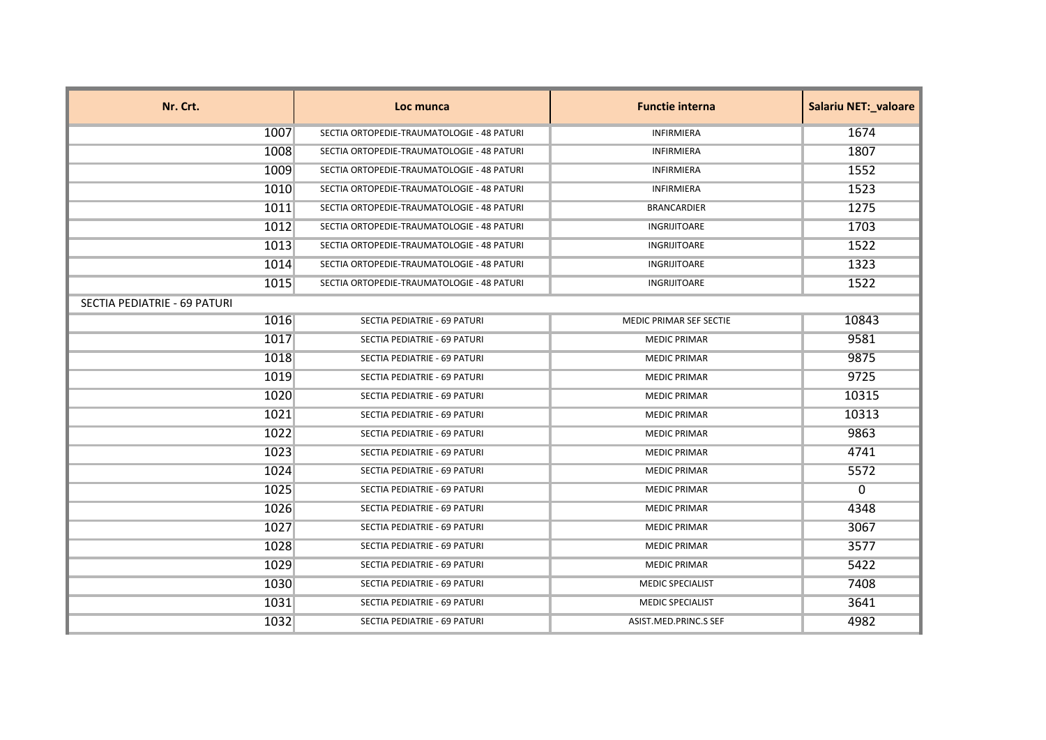| Nr. Crt.                     | Loc munca                                  | <b>Functie interna</b>  | <b>Salariu NET: valoare</b> |
|------------------------------|--------------------------------------------|-------------------------|-----------------------------|
| 1007                         | SECTIA ORTOPEDIE-TRAUMATOLOGIE - 48 PATURI | <b>INFIRMIERA</b>       | 1674                        |
| 1008                         | SECTIA ORTOPEDIE-TRAUMATOLOGIE - 48 PATURI | <b>INFIRMIERA</b>       | 1807                        |
| 1009                         | SECTIA ORTOPEDIE-TRAUMATOLOGIE - 48 PATURI | <b>INFIRMIERA</b>       | 1552                        |
| 1010                         | SECTIA ORTOPEDIE-TRAUMATOLOGIE - 48 PATURI | <b>INFIRMIERA</b>       | 1523                        |
| 1011                         | SECTIA ORTOPEDIE-TRAUMATOLOGIE - 48 PATURI | <b>BRANCARDIER</b>      | 1275                        |
| 1012                         | SECTIA ORTOPEDIE-TRAUMATOLOGIE - 48 PATURI | INGRIJITOARE            | 1703                        |
| 1013                         | SECTIA ORTOPEDIE-TRAUMATOLOGIE - 48 PATURI | INGRIJITOARE            | 1522                        |
| 1014                         | SECTIA ORTOPEDIE-TRAUMATOLOGIE - 48 PATURI | <b>INGRIJITOARE</b>     | 1323                        |
| 1015                         | SECTIA ORTOPEDIE-TRAUMATOLOGIE - 48 PATURI | INGRIJITOARE            | 1522                        |
| SECTIA PEDIATRIE - 69 PATURI |                                            |                         |                             |
| 1016                         | SECTIA PEDIATRIE - 69 PATURI               | MEDIC PRIMAR SEF SECTIE | 10843                       |
| 1017                         | SECTIA PEDIATRIE - 69 PATURI               | <b>MEDIC PRIMAR</b>     | 9581                        |
| 1018                         | SECTIA PEDIATRIE - 69 PATURI               | <b>MEDIC PRIMAR</b>     | 9875                        |
| 1019                         | SECTIA PEDIATRIE - 69 PATURI               | <b>MEDIC PRIMAR</b>     | 9725                        |
| 1020                         | SECTIA PEDIATRIE - 69 PATURI               | <b>MEDIC PRIMAR</b>     | 10315                       |
| 1021                         | SECTIA PEDIATRIE - 69 PATURI               | <b>MEDIC PRIMAR</b>     | 10313                       |
| 1022                         | SECTIA PEDIATRIE - 69 PATURI               | <b>MEDIC PRIMAR</b>     | 9863                        |
| 1023                         | SECTIA PEDIATRIE - 69 PATURI               | <b>MEDIC PRIMAR</b>     | 4741                        |
| 1024                         | SECTIA PEDIATRIE - 69 PATURI               | <b>MEDIC PRIMAR</b>     | 5572                        |
| 1025                         | SECTIA PEDIATRIE - 69 PATURI               | <b>MEDIC PRIMAR</b>     | $\Omega$                    |
| 1026                         | SECTIA PEDIATRIE - 69 PATURI               | <b>MEDIC PRIMAR</b>     | 4348                        |
| 1027                         | SECTIA PEDIATRIE - 69 PATURI               | <b>MEDIC PRIMAR</b>     | 3067                        |
| 1028                         | SECTIA PEDIATRIE - 69 PATURI               | <b>MEDIC PRIMAR</b>     | 3577                        |
| 1029                         | SECTIA PEDIATRIE - 69 PATURI               | <b>MEDIC PRIMAR</b>     | 5422                        |
| 1030                         | SECTIA PEDIATRIE - 69 PATURI               | <b>MEDIC SPECIALIST</b> | 7408                        |
| 1031                         | SECTIA PEDIATRIE - 69 PATURI               | <b>MEDIC SPECIALIST</b> | 3641                        |
| 1032                         | SECTIA PEDIATRIE - 69 PATURI               | ASIST.MED.PRINC.S SEF   | 4982                        |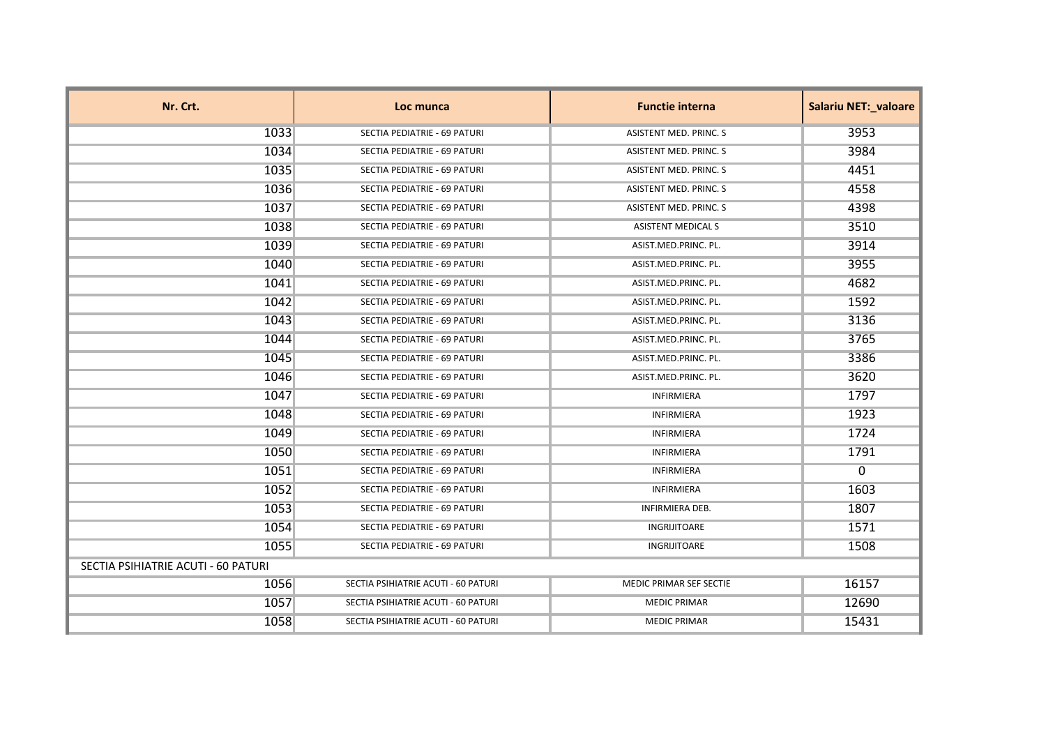| Nr. Crt.                            | Loc munca                           | <b>Functie interna</b>    | <b>Salariu NET:_valoare</b> |
|-------------------------------------|-------------------------------------|---------------------------|-----------------------------|
| 1033                                | SECTIA PEDIATRIE - 69 PATURI        | ASISTENT MED. PRINC. S    | 3953                        |
| 1034                                | SECTIA PEDIATRIE - 69 PATURI        | ASISTENT MED. PRINC. S    | 3984                        |
| 1035                                | SECTIA PEDIATRIE - 69 PATURI        | ASISTENT MED. PRINC. S    | 4451                        |
| 1036                                | SECTIA PEDIATRIE - 69 PATURI        | ASISTENT MED. PRINC. S    | 4558                        |
| 1037                                | SECTIA PEDIATRIE - 69 PATURI        | ASISTENT MED. PRINC. S    | 4398                        |
| 1038                                | SECTIA PEDIATRIE - 69 PATURI        | <b>ASISTENT MEDICAL S</b> | 3510                        |
| 1039                                | SECTIA PEDIATRIE - 69 PATURI        | ASIST.MED.PRINC. PL.      | 3914                        |
| 1040                                | SECTIA PEDIATRIE - 69 PATURI        | ASIST.MED.PRINC. PL.      | 3955                        |
| 1041                                | SECTIA PEDIATRIE - 69 PATURI        | ASIST.MED.PRINC. PL.      | 4682                        |
| 1042                                | SECTIA PEDIATRIE - 69 PATURI        | ASIST.MED.PRINC. PL.      | 1592                        |
| 1043                                | SECTIA PEDIATRIE - 69 PATURI        | ASIST.MED.PRINC. PL.      | 3136                        |
| 1044                                | SECTIA PEDIATRIE - 69 PATURI        | ASIST.MED.PRINC. PL.      | 3765                        |
| 1045                                | SECTIA PEDIATRIE - 69 PATURI        | ASIST.MED.PRINC. PL.      | 3386                        |
| 1046                                | SECTIA PEDIATRIE - 69 PATURI        | ASIST.MED.PRINC. PL.      | 3620                        |
| 1047                                | SECTIA PEDIATRIE - 69 PATURI        | INFIRMIERA                | 1797                        |
| 1048                                | SECTIA PEDIATRIE - 69 PATURI        | INFIRMIERA                | 1923                        |
| 1049                                | SECTIA PEDIATRIE - 69 PATURI        | <b>INFIRMIERA</b>         | 1724                        |
| 1050                                | SECTIA PEDIATRIE - 69 PATURI        | <b>INFIRMIERA</b>         | 1791                        |
| 1051                                | SECTIA PEDIATRIE - 69 PATURI        | <b>INFIRMIERA</b>         | 0                           |
| 1052                                | SECTIA PEDIATRIE - 69 PATURI        | <b>INFIRMIERA</b>         | 1603                        |
| 1053                                | SECTIA PEDIATRIE - 69 PATURI        | <b>INFIRMIERA DEB.</b>    | 1807                        |
| 1054                                | SECTIA PEDIATRIE - 69 PATURI        | INGRIJITOARE              | 1571                        |
| 1055                                | SECTIA PEDIATRIE - 69 PATURI        | INGRIJITOARE              | 1508                        |
| SECTIA PSIHIATRIE ACUTI - 60 PATURI |                                     |                           |                             |
| 1056                                | SECTIA PSIHIATRIE ACUTI - 60 PATURI | MEDIC PRIMAR SEF SECTIE   | 16157                       |
| 1057                                | SECTIA PSIHIATRIE ACUTI - 60 PATURI | <b>MEDIC PRIMAR</b>       | 12690                       |
| 1058                                | SECTIA PSIHIATRIE ACUTI - 60 PATURI | <b>MEDIC PRIMAR</b>       | 15431                       |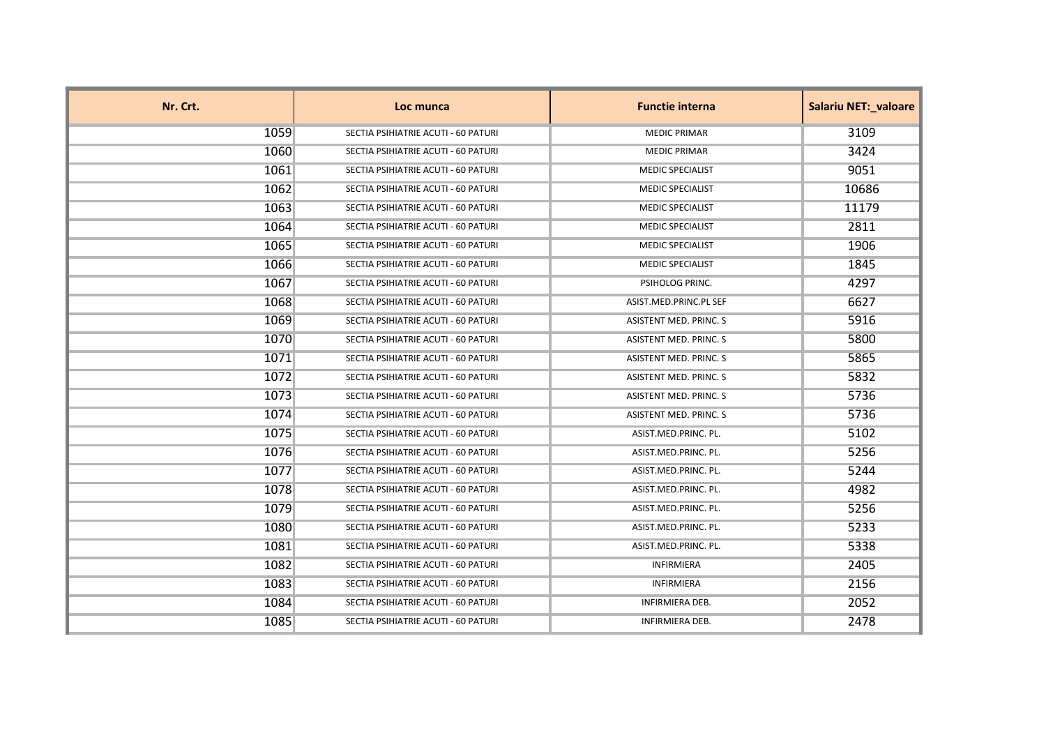| Nr. Crt. | Loc munca                           | <b>Functie interna</b>        | <b>Salariu NET: valoare</b> |
|----------|-------------------------------------|-------------------------------|-----------------------------|
| 1059     | SECTIA PSIHIATRIE ACUTI - 60 PATURI | <b>MEDIC PRIMAR</b>           | 3109                        |
| 1060     | SECTIA PSIHIATRIE ACUTI - 60 PATURI | <b>MEDIC PRIMAR</b>           | 3424                        |
| 1061     | SECTIA PSIHIATRIE ACUTI - 60 PATURI | <b>MEDIC SPECIALIST</b>       | 9051                        |
| 1062     | SECTIA PSIHIATRIE ACUTI - 60 PATURI | <b>MEDIC SPECIALIST</b>       | 10686                       |
| 1063     | SECTIA PSIHIATRIE ACUTI - 60 PATURI | <b>MEDIC SPECIALIST</b>       | 11179                       |
| 1064     | SECTIA PSIHIATRIE ACUTI - 60 PATURI | <b>MEDIC SPECIALIST</b>       | 2811                        |
| 1065     | SECTIA PSIHIATRIE ACUTI - 60 PATURI | <b>MEDIC SPECIALIST</b>       | 1906                        |
| 1066     | SECTIA PSIHIATRIE ACUTI - 60 PATURI | <b>MEDIC SPECIALIST</b>       | 1845                        |
| 1067     | SECTIA PSIHIATRIE ACUTI - 60 PATURI | PSIHOLOG PRINC.               | 4297                        |
| 1068     | SECTIA PSIHIATRIE ACUTI - 60 PATURI | ASIST.MED.PRINC.PL SEF        | 6627                        |
| 1069     | SECTIA PSIHIATRIE ACUTI - 60 PATURI | ASISTENT MED. PRINC. S        | 5916                        |
| 1070     | SECTIA PSIHIATRIE ACUTI - 60 PATURI | <b>ASISTENT MED. PRINC. S</b> | 5800                        |
| 1071     | SECTIA PSIHIATRIE ACUTI - 60 PATURI | ASISTENT MED. PRINC. S        | 5865                        |
| 1072     | SECTIA PSIHIATRIE ACUTI - 60 PATURI | ASISTENT MED. PRINC. S        | 5832                        |
| 1073     | SECTIA PSIHIATRIE ACUTI - 60 PATURI | ASISTENT MED. PRINC. S        | 5736                        |
| 1074     | SECTIA PSIHIATRIE ACUTI - 60 PATURI | ASISTENT MED. PRINC. S        | 5736                        |
| 1075     | SECTIA PSIHIATRIE ACUTI - 60 PATURI | ASIST.MED.PRINC. PL.          | 5102                        |
| 1076     | SECTIA PSIHIATRIE ACUTI - 60 PATURI | ASIST.MED.PRINC. PL.          | 5256                        |
| 1077     | SECTIA PSIHIATRIE ACUTI - 60 PATURI | ASIST.MED.PRINC. PL.          | 5244                        |
| 1078     | SECTIA PSIHIATRIE ACUTI - 60 PATURI | ASIST.MED.PRINC. PL.          | 4982                        |
| 1079     | SECTIA PSIHIATRIE ACUTI - 60 PATURI | ASIST.MED.PRINC. PL.          | 5256                        |
| 1080     | SECTIA PSIHIATRIE ACUTI - 60 PATURI | ASIST.MED.PRINC. PL.          | 5233                        |
| 1081     | SECTIA PSIHIATRIE ACUTI - 60 PATURI | ASIST.MED.PRINC. PL.          | 5338                        |
| 1082     | SECTIA PSIHIATRIE ACUTI - 60 PATURI | <b>INFIRMIERA</b>             | 2405                        |
| 1083     | SECTIA PSIHIATRIE ACUTI - 60 PATURI | <b>INFIRMIERA</b>             | 2156                        |
| 1084     | SECTIA PSIHIATRIE ACUTI - 60 PATURI | <b>INFIRMIERA DEB.</b>        | 2052                        |
| 1085     | SECTIA PSIHIATRIE ACUTI - 60 PATURI | <b>INFIRMIERA DEB.</b>        | 2478                        |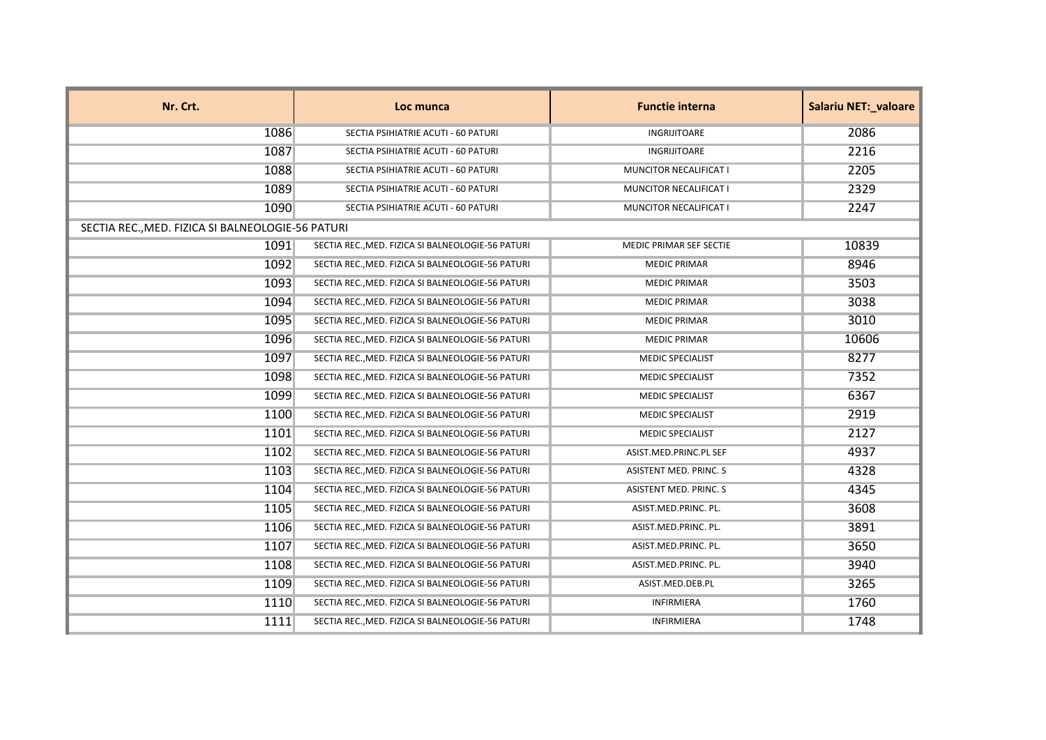| Nr. Crt.                                          | Loc munca                                         | <b>Functie interna</b>        | <b>Salariu NET: valoare</b> |
|---------------------------------------------------|---------------------------------------------------|-------------------------------|-----------------------------|
| 1086                                              | SECTIA PSIHIATRIE ACUTI - 60 PATURI               | <b>INGRIJITOARE</b>           | 2086                        |
| 1087                                              | SECTIA PSIHIATRIE ACUTI - 60 PATURI               | INGRIJITOARE                  | 2216                        |
| 1088                                              | SECTIA PSIHIATRIE ACUTI - 60 PATURI               | MUNCITOR NECALIFICAT I        | 2205                        |
| 1089                                              | SECTIA PSIHIATRIE ACUTI - 60 PATURI               | MUNCITOR NECALIFICAT I        | 2329                        |
| 1090                                              | SECTIA PSIHIATRIE ACUTI - 60 PATURI               | <b>MUNCITOR NECALIFICAT I</b> | 2247                        |
| SECTIA REC., MED. FIZICA SI BALNEOLOGIE-56 PATURI |                                                   |                               |                             |
| 1091                                              | SECTIA REC., MED. FIZICA SI BALNEOLOGIE-56 PATURI | MEDIC PRIMAR SEF SECTIE       | 10839                       |
| 1092                                              | SECTIA REC., MED. FIZICA SI BALNEOLOGIE-56 PATURI | <b>MEDIC PRIMAR</b>           | 8946                        |
| 1093                                              | SECTIA REC., MED. FIZICA SI BALNEOLOGIE-56 PATURI | <b>MEDIC PRIMAR</b>           | 3503                        |
| 1094                                              | SECTIA REC., MED. FIZICA SI BALNEOLOGIE-56 PATURI | <b>MEDIC PRIMAR</b>           | 3038                        |
| 1095                                              | SECTIA REC., MED. FIZICA SI BALNEOLOGIE-56 PATURI | <b>MEDIC PRIMAR</b>           | 3010                        |
| 1096                                              | SECTIA REC., MED. FIZICA SI BALNEOLOGIE-56 PATURI | <b>MEDIC PRIMAR</b>           | 10606                       |
| 1097                                              | SECTIA REC., MED. FIZICA SI BALNEOLOGIE-56 PATURI | <b>MEDIC SPECIALIST</b>       | 8277                        |
| 1098                                              | SECTIA REC., MED. FIZICA SI BALNEOLOGIE-56 PATURI | <b>MEDIC SPECIALIST</b>       | 7352                        |
| 1099                                              | SECTIA REC., MED. FIZICA SI BALNEOLOGIE-56 PATURI | <b>MEDIC SPECIALIST</b>       | 6367                        |
| 1100                                              | SECTIA REC., MED. FIZICA SI BALNEOLOGIE-56 PATURI | <b>MEDIC SPECIALIST</b>       | 2919                        |
| 1101                                              | SECTIA REC., MED. FIZICA SI BALNEOLOGIE-56 PATURI | <b>MEDIC SPECIALIST</b>       | 2127                        |
| 1102                                              | SECTIA REC., MED. FIZICA SI BALNEOLOGIE-56 PATURI | ASIST.MED.PRINC.PL SEF        | 4937                        |
| 1103                                              | SECTIA REC., MED. FIZICA SI BALNEOLOGIE-56 PATURI | ASISTENT MED. PRINC. S        | 4328                        |
| 1104                                              | SECTIA REC., MED. FIZICA SI BALNEOLOGIE-56 PATURI | ASISTENT MED. PRINC. S        | 4345                        |
| 1105                                              | SECTIA REC., MED. FIZICA SI BALNEOLOGIE-56 PATURI | ASIST.MED.PRINC. PL.          | 3608                        |
| 1106                                              | SECTIA REC., MED. FIZICA SI BALNEOLOGIE-56 PATURI | ASIST.MED.PRINC. PL.          | 3891                        |
| 1107                                              | SECTIA REC., MED. FIZICA SI BALNEOLOGIE-56 PATURI | ASIST.MED.PRINC. PL.          | 3650                        |
| 1108                                              | SECTIA REC., MED. FIZICA SI BALNEOLOGIE-56 PATURI | ASIST.MED.PRINC. PL.          | 3940                        |
| 1109                                              | SECTIA REC., MED. FIZICA SI BALNEOLOGIE-56 PATURI | ASIST.MED.DEB.PL              | 3265                        |
| 1110                                              | SECTIA REC., MED. FIZICA SI BALNEOLOGIE-56 PATURI | INFIRMIERA                    | 1760                        |
| 1111                                              | SECTIA REC., MED. FIZICA SI BALNEOLOGIE-56 PATURI | <b>INFIRMIERA</b>             | 1748                        |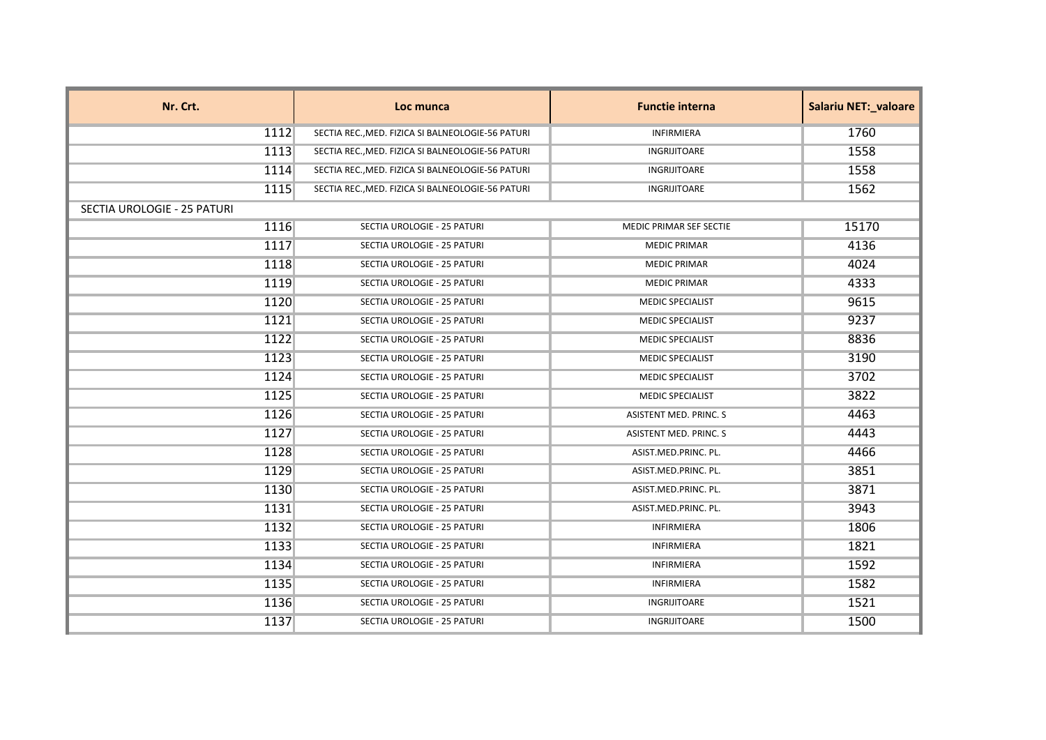| Nr. Crt.                    | Loc munca                                         | <b>Functie interna</b>  | <b>Salariu NET:_valoare</b> |
|-----------------------------|---------------------------------------------------|-------------------------|-----------------------------|
| 1112                        | SECTIA REC., MED. FIZICA SI BALNEOLOGIE-56 PATURI | <b>INFIRMIERA</b>       | 1760                        |
| 1113                        | SECTIA REC., MED. FIZICA SI BALNEOLOGIE-56 PATURI | INGRIJITOARE            | 1558                        |
| 1114                        | SECTIA REC., MED. FIZICA SI BALNEOLOGIE-56 PATURI | INGRIJITOARE            | 1558                        |
| 1115                        | SECTIA REC., MED. FIZICA SI BALNEOLOGIE-56 PATURI | INGRIJITOARE            | 1562                        |
| SECTIA UROLOGIE - 25 PATURI |                                                   |                         |                             |
| 1116                        | SECTIA UROLOGIE - 25 PATURI                       | MEDIC PRIMAR SEF SECTIE | 15170                       |
| 1117                        | SECTIA UROLOGIE - 25 PATURI                       | <b>MEDIC PRIMAR</b>     | 4136                        |
| 1118                        | SECTIA UROLOGIE - 25 PATURI                       | <b>MEDIC PRIMAR</b>     | 4024                        |
| 1119                        | SECTIA UROLOGIE - 25 PATURI                       | <b>MEDIC PRIMAR</b>     | 4333                        |
| 1120                        | SECTIA UROLOGIE - 25 PATURI                       | <b>MEDIC SPECIALIST</b> | 9615                        |
| 1121                        | SECTIA UROLOGIE - 25 PATURI                       | <b>MEDIC SPECIALIST</b> | 9237                        |
| 1122                        | SECTIA UROLOGIE - 25 PATURI                       | <b>MEDIC SPECIALIST</b> | 8836                        |
| 1123                        | SECTIA UROLOGIE - 25 PATURI                       | <b>MEDIC SPECIALIST</b> | 3190                        |
| 1124                        | SECTIA UROLOGIE - 25 PATURI                       | <b>MEDIC SPECIALIST</b> | 3702                        |
| 1125                        | SECTIA UROLOGIE - 25 PATURI                       | <b>MEDIC SPECIALIST</b> | 3822                        |
| 1126                        | SECTIA UROLOGIE - 25 PATURI                       | ASISTENT MED. PRINC. S  | 4463                        |
| 1127                        | SECTIA UROLOGIE - 25 PATURI                       | ASISTENT MED. PRINC. S  | 4443                        |
| 1128                        | SECTIA UROLOGIE - 25 PATURI                       | ASIST.MED.PRINC. PL.    | 4466                        |
| 1129                        | SECTIA UROLOGIE - 25 PATURI                       | ASIST.MED.PRINC. PL.    | 3851                        |
| 1130                        | SECTIA UROLOGIE - 25 PATURI                       | ASIST.MED.PRINC. PL.    | 3871                        |
| 1131                        | SECTIA UROLOGIE - 25 PATURI                       | ASIST.MED.PRINC. PL.    | 3943                        |
| 1132                        | SECTIA UROLOGIE - 25 PATURI                       | INFIRMIERA              | 1806                        |
| 1133                        | SECTIA UROLOGIE - 25 PATURI                       | <b>INFIRMIERA</b>       | 1821                        |
| 1134                        | SECTIA UROLOGIE - 25 PATURI                       | <b>INFIRMIERA</b>       | 1592                        |
| 1135                        | SECTIA UROLOGIE - 25 PATURI                       | INFIRMIERA              | 1582                        |
| 1136                        | SECTIA UROLOGIE - 25 PATURI                       | INGRIJITOARE            | 1521                        |
| 1137                        | SECTIA UROLOGIE - 25 PATURI                       | INGRIJITOARE            | 1500                        |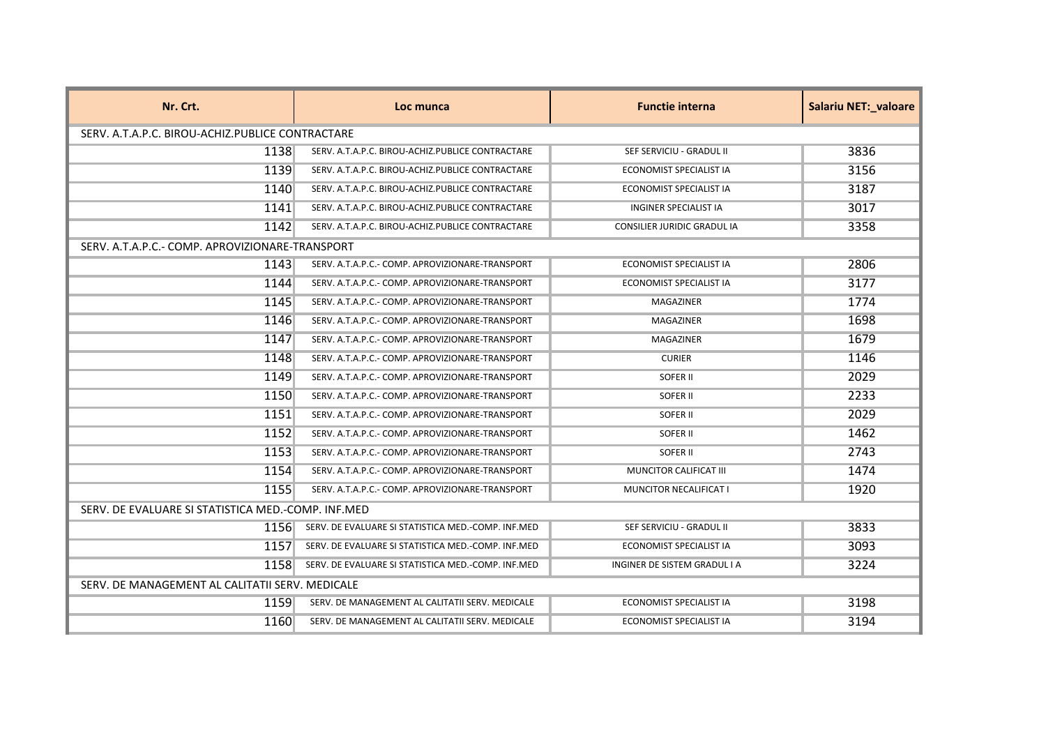| Nr. Crt.                                           | Loc munca                                          | <b>Functie interna</b>             | <b>Salariu NET: valoare</b> |
|----------------------------------------------------|----------------------------------------------------|------------------------------------|-----------------------------|
| SERV. A.T.A.P.C. BIROU-ACHIZ.PUBLICE CONTRACTARE   |                                                    |                                    |                             |
| 1138                                               | SERV. A.T.A.P.C. BIROU-ACHIZ.PUBLICE CONTRACTARE   | SEF SERVICIU - GRADUL II           | 3836                        |
| 1139                                               | SERV. A.T.A.P.C. BIROU-ACHIZ.PUBLICE CONTRACTARE   | ECONOMIST SPECIALIST IA            | 3156                        |
| 1140                                               | SERV. A.T.A.P.C. BIROU-ACHIZ.PUBLICE CONTRACTARE   | ECONOMIST SPECIALIST IA            | 3187                        |
| 1141                                               | SERV. A.T.A.P.C. BIROU-ACHIZ.PUBLICE CONTRACTARE   | <b>INGINER SPECIALIST IA</b>       | 3017                        |
| 1142                                               | SERV. A.T.A.P.C. BIROU-ACHIZ.PUBLICE CONTRACTARE   | <b>CONSILIER JURIDIC GRADUL IA</b> | 3358                        |
| SERV. A.T.A.P.C.- COMP. APROVIZIONARE-TRANSPORT    |                                                    |                                    |                             |
| 1143                                               | SERV. A.T.A.P.C.- COMP. APROVIZIONARE-TRANSPORT    | <b>ECONOMIST SPECIALIST IA</b>     | 2806                        |
| 1144                                               | SERV. A.T.A.P.C.- COMP. APROVIZIONARE-TRANSPORT    | <b>ECONOMIST SPECIALIST IA</b>     | 3177                        |
| 1145                                               | SERV. A.T.A.P.C.- COMP. APROVIZIONARE-TRANSPORT    | MAGAZINER                          | 1774                        |
| 1146                                               | SERV. A.T.A.P.C.- COMP. APROVIZIONARE-TRANSPORT    | MAGAZINER                          | 1698                        |
| 1147                                               | SERV. A.T.A.P.C.- COMP. APROVIZIONARE-TRANSPORT    | <b>MAGAZINER</b>                   | 1679                        |
| 1148                                               | SERV. A.T.A.P.C.- COMP. APROVIZIONARE-TRANSPORT    | <b>CURIER</b>                      | 1146                        |
| 1149                                               | SERV. A.T.A.P.C.- COMP. APROVIZIONARE-TRANSPORT    | SOFER II                           | 2029                        |
| 1150                                               | SERV. A.T.A.P.C.- COMP. APROVIZIONARE-TRANSPORT    | SOFER II                           | 2233                        |
| 1151                                               | SERV. A.T.A.P.C.- COMP. APROVIZIONARE-TRANSPORT    | SOFER II                           | 2029                        |
| 1152                                               | SERV. A.T.A.P.C.- COMP. APROVIZIONARE-TRANSPORT    | SOFER II                           | 1462                        |
| 1153                                               | SERV. A.T.A.P.C.- COMP. APROVIZIONARE-TRANSPORT    | SOFER II                           | 2743                        |
| 1154                                               | SERV. A.T.A.P.C.- COMP. APROVIZIONARE-TRANSPORT    | MUNCITOR CALIFICAT III             | 1474                        |
| 1155                                               | SERV. A.T.A.P.C.- COMP. APROVIZIONARE-TRANSPORT    | MUNCITOR NECALIFICAT I             | 1920                        |
| SERV. DE EVALUARE SI STATISTICA MED.-COMP. INF.MED |                                                    |                                    |                             |
| 1156                                               | SERV. DE EVALUARE SI STATISTICA MED.-COMP. INF.MED | SEF SERVICIU - GRADUL II           | 3833                        |
| 1157                                               | SERV. DE EVALUARE SI STATISTICA MED.-COMP. INF.MED | ECONOMIST SPECIALIST IA            | 3093                        |
| 1158                                               | SERV. DE EVALUARE SI STATISTICA MED.-COMP. INF.MED | INGINER DE SISTEM GRADUL I A       | 3224                        |
| SERV. DE MANAGEMENT AL CALITATII SERV. MEDICALE    |                                                    |                                    |                             |
| 1159                                               | SERV. DE MANAGEMENT AL CALITATII SERV. MEDICALE    | <b>ECONOMIST SPECIALIST IA</b>     | 3198                        |
| 1160                                               | SERV. DE MANAGEMENT AL CALITATII SERV. MEDICALE    | ECONOMIST SPECIALIST IA            | 3194                        |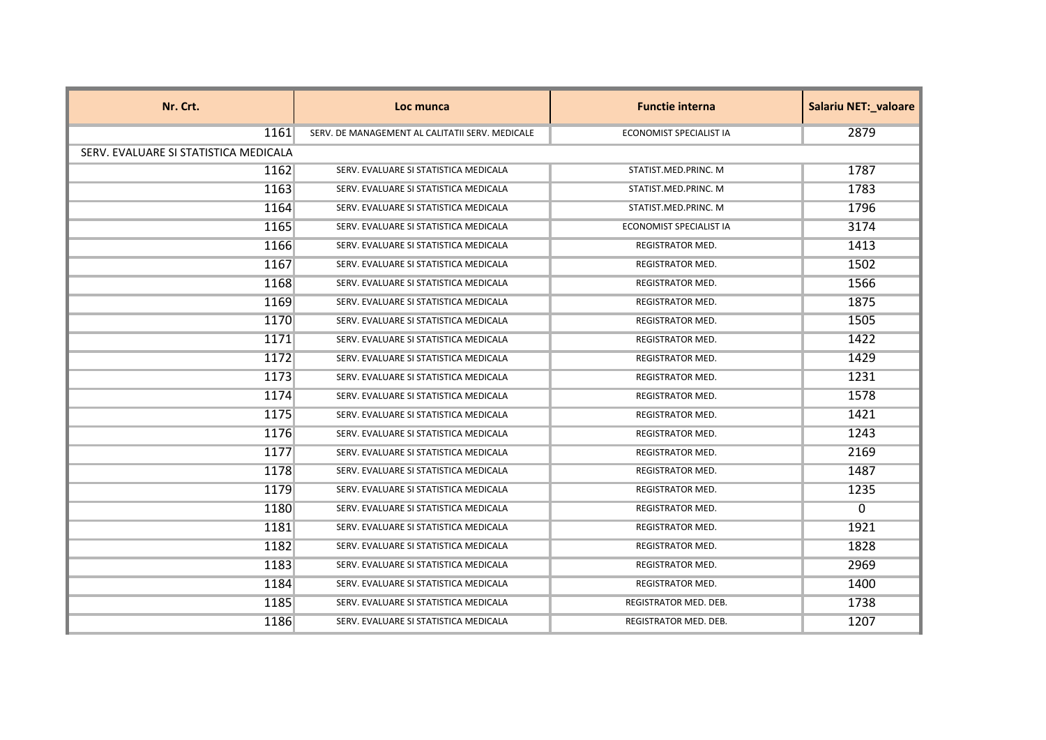| Nr. Crt.                              | Loc munca                                       | <b>Functie interna</b>         | Salariu NET:_valoare |
|---------------------------------------|-------------------------------------------------|--------------------------------|----------------------|
| 1161                                  | SERV. DE MANAGEMENT AL CALITATII SERV. MEDICALE | ECONOMIST SPECIALIST IA        | 2879                 |
| SERV. EVALUARE SI STATISTICA MEDICALA |                                                 |                                |                      |
| 1162                                  | SERV. EVALUARE SI STATISTICA MEDICALA           | STATIST.MED.PRINC. M           | 1787                 |
| 1163                                  | SERV. EVALUARE SI STATISTICA MEDICALA           | STATIST.MED.PRINC. M           | 1783                 |
| 1164                                  | SERV. EVALUARE SI STATISTICA MEDICALA           | STATIST.MED.PRINC. M           | 1796                 |
| 1165                                  | SERV. EVALUARE SI STATISTICA MEDICALA           | <b>ECONOMIST SPECIALIST IA</b> | 3174                 |
| 1166                                  | SERV. EVALUARE SI STATISTICA MEDICALA           | <b>REGISTRATOR MED.</b>        | 1413                 |
| 1167                                  | SERV. EVALUARE SI STATISTICA MEDICALA           | <b>REGISTRATOR MED.</b>        | 1502                 |
| 1168                                  | SERV. EVALUARE SI STATISTICA MEDICALA           | <b>REGISTRATOR MED.</b>        | 1566                 |
| 1169                                  | SERV. EVALUARE SI STATISTICA MEDICALA           | REGISTRATOR MED.               | 1875                 |
| 1170                                  | SERV. EVALUARE SI STATISTICA MEDICALA           | <b>REGISTRATOR MED.</b>        | 1505                 |
| 1171                                  | SERV. EVALUARE SI STATISTICA MEDICALA           | <b>REGISTRATOR MED.</b>        | 1422                 |
| 1172                                  | SERV. EVALUARE SI STATISTICA MEDICALA           | REGISTRATOR MED.               | 1429                 |
| 1173                                  | SERV. EVALUARE SI STATISTICA MEDICALA           | <b>REGISTRATOR MED.</b>        | 1231                 |
| 1174                                  | SERV. EVALUARE SI STATISTICA MEDICALA           | <b>REGISTRATOR MED.</b>        | 1578                 |
| 1175                                  | SERV. EVALUARE SI STATISTICA MEDICALA           | REGISTRATOR MED.               | 1421                 |
| 1176                                  | SERV. EVALUARE SI STATISTICA MEDICALA           | <b>REGISTRATOR MED.</b>        | 1243                 |
| 1177                                  | SERV. EVALUARE SI STATISTICA MEDICALA           | <b>REGISTRATOR MED.</b>        | 2169                 |
| 1178                                  | SERV. EVALUARE SI STATISTICA MEDICALA           | <b>REGISTRATOR MED.</b>        | 1487                 |
| 1179                                  | SERV. EVALUARE SI STATISTICA MEDICALA           | <b>REGISTRATOR MED.</b>        | 1235                 |
| 1180                                  | SERV. EVALUARE SI STATISTICA MEDICALA           | <b>REGISTRATOR MED.</b>        | $\mathbf{0}$         |
| 1181                                  | SERV. EVALUARE SI STATISTICA MEDICALA           | <b>REGISTRATOR MED.</b>        | 1921                 |
| 1182                                  | SERV. EVALUARE SI STATISTICA MEDICALA           | REGISTRATOR MED.               | 1828                 |
| 1183                                  | SERV. EVALUARE SI STATISTICA MEDICALA           | <b>REGISTRATOR MED.</b>        | 2969                 |
| 1184                                  | SERV. EVALUARE SI STATISTICA MEDICALA           | <b>REGISTRATOR MED.</b>        | 1400                 |
| 1185                                  | SERV. EVALUARE SI STATISTICA MEDICALA           | REGISTRATOR MED. DEB.          | 1738                 |
| 1186                                  | SERV. EVALUARE SI STATISTICA MEDICALA           | REGISTRATOR MED. DEB.          | 1207                 |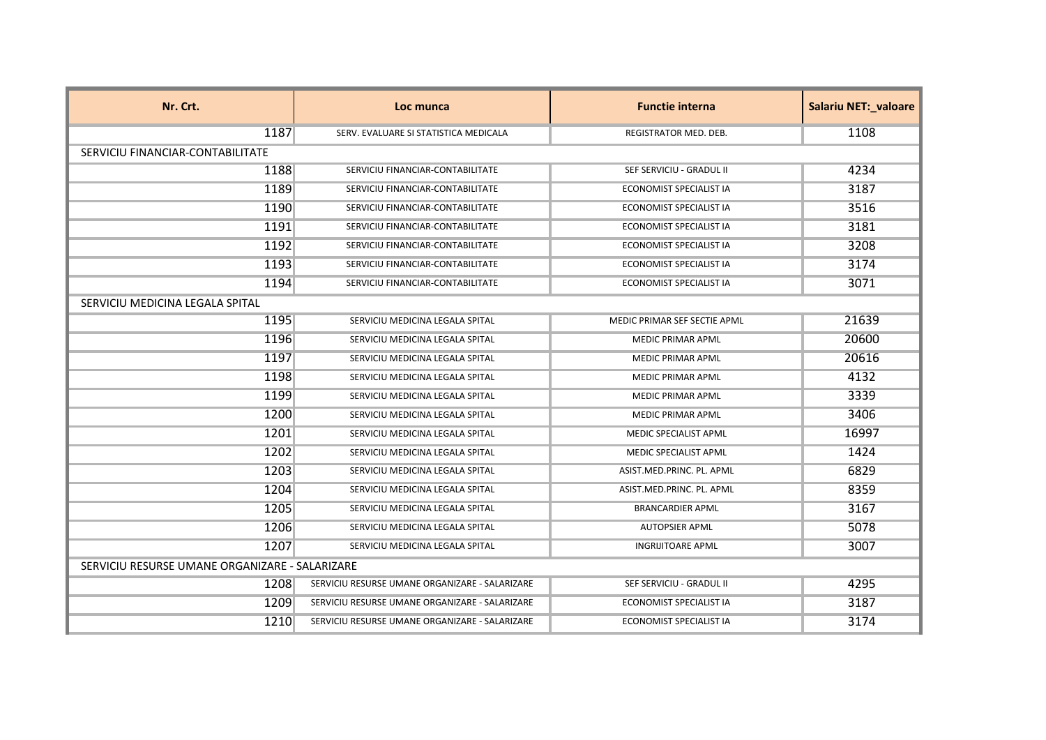| Nr. Crt.                                       | Loc munca                                      | <b>Functie interna</b>         | <b>Salariu NET:_valoare</b> |
|------------------------------------------------|------------------------------------------------|--------------------------------|-----------------------------|
| 1187                                           | SERV. EVALUARE SI STATISTICA MEDICALA          | <b>REGISTRATOR MED. DEB.</b>   | 1108                        |
| SERVICIU FINANCIAR-CONTABILITATE               |                                                |                                |                             |
| 1188                                           | SERVICIU FINANCIAR-CONTABILITATE               | SEF SERVICIU - GRADUL II       | 4234                        |
| 1189                                           | SERVICIU FINANCIAR-CONTABILITATE               | ECONOMIST SPECIALIST IA        | 3187                        |
| 1190                                           | SERVICIU FINANCIAR-CONTABILITATE               | ECONOMIST SPECIALIST IA        | 3516                        |
| 1191                                           | SERVICIU FINANCIAR-CONTABILITATE               | <b>ECONOMIST SPECIALIST IA</b> | 3181                        |
| 1192                                           | SERVICIU FINANCIAR-CONTABILITATE               | ECONOMIST SPECIALIST IA        | 3208                        |
| 1193                                           | SERVICIU FINANCIAR-CONTABILITATE               | <b>ECONOMIST SPECIALIST IA</b> | 3174                        |
| 1194                                           | SERVICIU FINANCIAR-CONTABILITATE               | ECONOMIST SPECIALIST IA        | 3071                        |
| SERVICIU MEDICINA LEGALA SPITAL                |                                                |                                |                             |
| 1195                                           | SERVICIU MEDICINA LEGALA SPITAL                | MEDIC PRIMAR SEF SECTIE APML   | 21639                       |
| 1196                                           | SERVICIU MEDICINA LEGALA SPITAL                | <b>MEDIC PRIMAR APML</b>       | 20600                       |
| 1197                                           | SERVICIU MEDICINA LEGALA SPITAL                | <b>MEDIC PRIMAR APML</b>       | 20616                       |
| 1198                                           | SERVICIU MEDICINA LEGALA SPITAL                | <b>MEDIC PRIMAR APML</b>       | 4132                        |
| 1199                                           | SERVICIU MEDICINA LEGALA SPITAL                | MEDIC PRIMAR APML              | 3339                        |
| 1200                                           | SERVICIU MEDICINA LEGALA SPITAL                | <b>MEDIC PRIMAR APML</b>       | 3406                        |
| 1201                                           | SERVICIU MEDICINA LEGALA SPITAL                | <b>MEDIC SPECIALIST APML</b>   | 16997                       |
| 1202                                           | SERVICIU MEDICINA LEGALA SPITAL                | MEDIC SPECIALIST APML          | 1424                        |
| 1203                                           | SERVICIU MEDICINA LEGALA SPITAL                | ASIST.MED.PRINC. PL. APML      | 6829                        |
| 1204                                           | SERVICIU MEDICINA LEGALA SPITAL                | ASIST.MED.PRINC. PL. APML      | 8359                        |
| 1205                                           | SERVICIU MEDICINA LEGALA SPITAL                | <b>BRANCARDIER APML</b>        | 3167                        |
| 1206                                           | SERVICIU MEDICINA LEGALA SPITAL                | <b>AUTOPSIER APML</b>          | 5078                        |
| 1207                                           | SERVICIU MEDICINA LEGALA SPITAL                | <b>INGRIJITOARE APML</b>       | 3007                        |
| SERVICIU RESURSE UMANE ORGANIZARE - SALARIZARE |                                                |                                |                             |
| 1208                                           | SERVICIU RESURSE UMANE ORGANIZARE - SALARIZARE | SEF SERVICIU - GRADUL II       | 4295                        |
| 1209                                           | SERVICIU RESURSE UMANE ORGANIZARE - SALARIZARE | ECONOMIST SPECIALIST IA        | 3187                        |
| 1210                                           | SERVICIU RESURSE UMANE ORGANIZARE - SALARIZARE | ECONOMIST SPECIALIST IA        | 3174                        |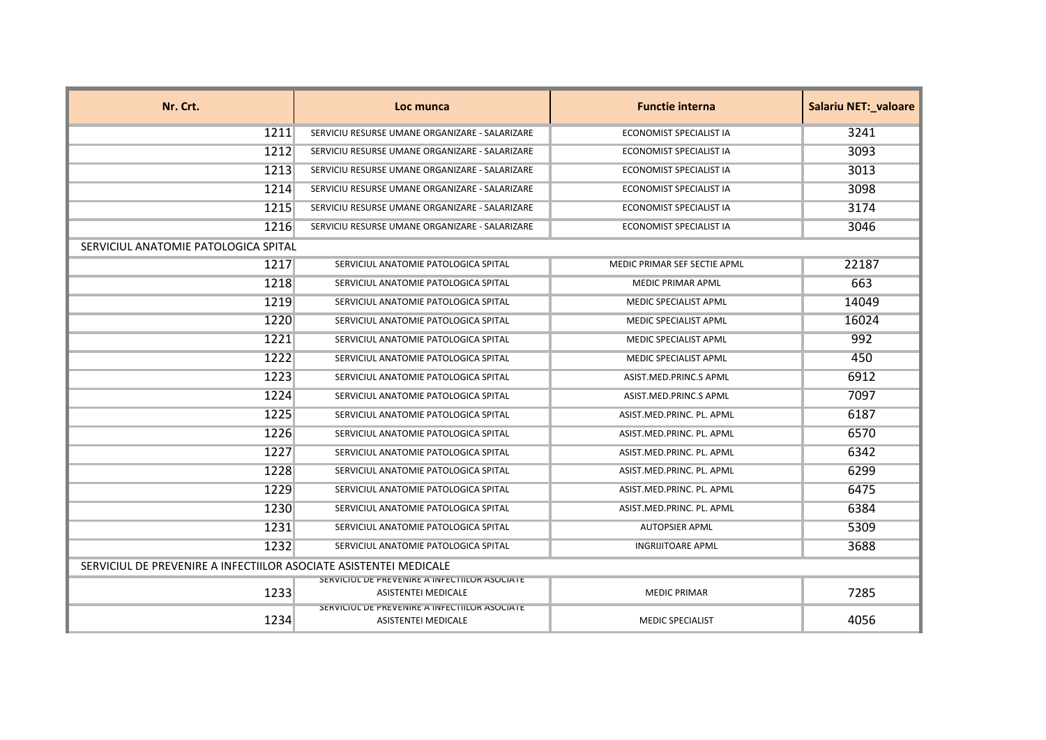| Nr. Crt.                                                          | Loc munca                                                                   | <b>Functie interna</b>         | Salariu NET:_valoare |
|-------------------------------------------------------------------|-----------------------------------------------------------------------------|--------------------------------|----------------------|
| 1211                                                              | SERVICIU RESURSE UMANE ORGANIZARE - SALARIZARE                              | <b>ECONOMIST SPECIALIST IA</b> | 3241                 |
| 1212                                                              | SERVICIU RESURSE UMANE ORGANIZARE - SALARIZARE                              | ECONOMIST SPECIALIST IA        | 3093                 |
| 1213                                                              | SERVICIU RESURSE UMANE ORGANIZARE - SALARIZARE                              | <b>ECONOMIST SPECIALIST IA</b> | 3013                 |
| 1214                                                              | SERVICIU RESURSE UMANE ORGANIZARE - SALARIZARE                              | <b>ECONOMIST SPECIALIST IA</b> | 3098                 |
| 1215                                                              | SERVICIU RESURSE UMANE ORGANIZARE - SALARIZARE                              | ECONOMIST SPECIALIST IA        | 3174                 |
| 1216                                                              | SERVICIU RESURSE UMANE ORGANIZARE - SALARIZARE                              | ECONOMIST SPECIALIST IA        | 3046                 |
| SERVICIUL ANATOMIE PATOLOGICA SPITAL                              |                                                                             |                                |                      |
| 1217                                                              | SERVICIUL ANATOMIE PATOLOGICA SPITAL                                        | MEDIC PRIMAR SEF SECTIE APML   | 22187                |
| 1218                                                              | SERVICIUL ANATOMIE PATOLOGICA SPITAL                                        | MEDIC PRIMAR APML              | 663                  |
| 1219                                                              | SERVICIUL ANATOMIE PATOLOGICA SPITAL                                        | <b>MEDIC SPECIALIST APML</b>   | 14049                |
| 1220                                                              | SERVICIUL ANATOMIE PATOLOGICA SPITAL                                        | <b>MEDIC SPECIALIST APML</b>   | 16024                |
| 1221                                                              | SERVICIUL ANATOMIE PATOLOGICA SPITAL                                        | MEDIC SPECIALIST APML          | 992                  |
| 1222                                                              | SERVICIUL ANATOMIE PATOLOGICA SPITAL                                        | MEDIC SPECIALIST APML          | 450                  |
| 1223                                                              | SERVICIUL ANATOMIE PATOLOGICA SPITAL                                        | ASIST.MED.PRINC.S APML         | 6912                 |
| 1224                                                              | SERVICIUL ANATOMIE PATOLOGICA SPITAL                                        | ASIST.MED.PRINC.S APML         | 7097                 |
| 1225                                                              | SERVICIUL ANATOMIE PATOLOGICA SPITAL                                        | ASIST.MED.PRINC. PL. APML      | 6187                 |
| 1226                                                              | SERVICIUL ANATOMIE PATOLOGICA SPITAL                                        | ASIST.MED.PRINC. PL. APML      | 6570                 |
| 1227                                                              | SERVICIUL ANATOMIE PATOLOGICA SPITAL                                        | ASIST.MED.PRINC. PL. APML      | 6342                 |
| 1228                                                              | SERVICIUL ANATOMIE PATOLOGICA SPITAL                                        | ASIST.MED.PRINC. PL. APML      | 6299                 |
| 1229                                                              | SERVICIUL ANATOMIE PATOLOGICA SPITAL                                        | ASIST.MED.PRINC. PL. APML      | 6475                 |
| 1230                                                              | SERVICIUL ANATOMIE PATOLOGICA SPITAL                                        | ASIST.MED.PRINC. PL. APML      | 6384                 |
| 1231                                                              | SERVICIUL ANATOMIE PATOLOGICA SPITAL                                        | <b>AUTOPSIER APML</b>          | 5309                 |
| 1232                                                              | SERVICIUL ANATOMIE PATOLOGICA SPITAL                                        | <b>INGRIJITOARE APML</b>       | 3688                 |
| SERVICIUL DE PREVENIRE A INFECTIILOR ASOCIATE ASISTENTEI MEDICALE |                                                                             |                                |                      |
| 1233                                                              | SERVICIUL DE PREVENIRE A INFECTIILOR ASOCIATE<br><b>ASISTENTEI MEDICALE</b> | <b>MEDIC PRIMAR</b>            | 7285                 |
| 1234                                                              | SERVICIUL DE PREVENIRE A INFECTIILUR ASUCIATE<br><b>ASISTENTEI MEDICALE</b> | <b>MEDIC SPECIALIST</b>        | 4056                 |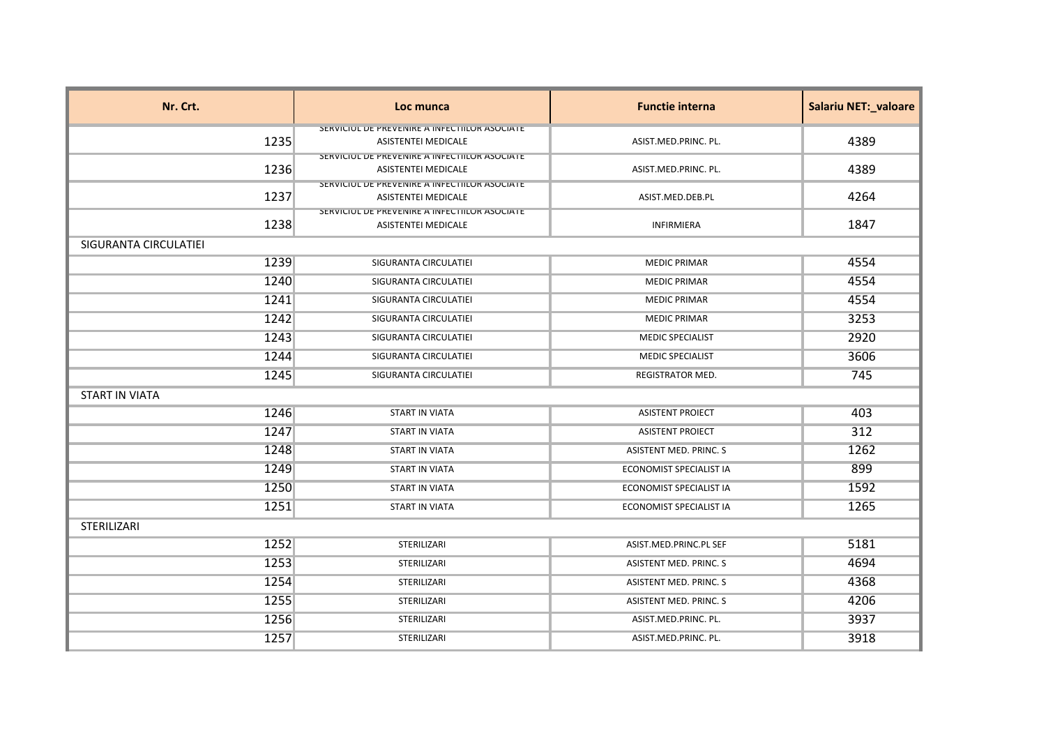| Nr. Crt.              | Loc munca                                                                    | <b>Functie interna</b>        | Salariu NET:_valoare |
|-----------------------|------------------------------------------------------------------------------|-------------------------------|----------------------|
|                       | SERVICIUL DE PREVENIRE A INFECTIILUR ASUCIATE                                |                               |                      |
| 1235                  | <b>ASISTENTEI MEDICALE</b>                                                   | ASIST.MED.PRINC. PL.          | 4389                 |
| 1236                  | SERVICIUL DE PREVEINIRE A INFECTIILUR ASUCIATE<br><b>ASISTENTEI MEDICALE</b> | ASIST.MED.PRINC. PL.          | 4389                 |
|                       | SERVICIUL DE PREVEINIRE A INFECTIILUR ASUCIATE                               |                               |                      |
| 1237                  | <b>ASISTENTEI MEDICALE</b>                                                   | ASIST.MED.DEB.PL              | 4264                 |
|                       | SERVICIUL DE PREVENIRE A INFECTIILUR ASUCIATE                                |                               |                      |
| 1238                  | ASISTENTEI MEDICALE                                                          | <b>INFIRMIERA</b>             | 1847                 |
| SIGURANTA CIRCULATIEI |                                                                              |                               |                      |
| 1239                  | SIGURANTA CIRCULATIEI                                                        | <b>MEDIC PRIMAR</b>           | 4554                 |
| 1240                  | SIGURANTA CIRCULATIEI                                                        | <b>MEDIC PRIMAR</b>           | 4554                 |
| 1241                  | SIGURANTA CIRCULATIEI                                                        | <b>MEDIC PRIMAR</b>           | 4554                 |
| 1242                  | SIGURANTA CIRCULATIEI                                                        | <b>MEDIC PRIMAR</b>           | 3253                 |
| 1243                  | SIGURANTA CIRCULATIEI                                                        | <b>MEDIC SPECIALIST</b>       | 2920                 |
| 1244                  | SIGURANTA CIRCULATIEI                                                        | <b>MEDIC SPECIALIST</b>       | 3606                 |
| 1245                  | SIGURANTA CIRCULATIEI                                                        | REGISTRATOR MED.              | 745                  |
| <b>START IN VIATA</b> |                                                                              |                               |                      |
| 1246                  | <b>START IN VIATA</b>                                                        | <b>ASISTENT PROIECT</b>       | 403                  |
| 1247                  | <b>START IN VIATA</b>                                                        | <b>ASISTENT PROIECT</b>       | 312                  |
| 1248                  | <b>START IN VIATA</b>                                                        | ASISTENT MED. PRINC. S        | 1262                 |
| 1249                  | <b>START IN VIATA</b>                                                        | ECONOMIST SPECIALIST IA       | 899                  |
| 1250                  | <b>START IN VIATA</b>                                                        | ECONOMIST SPECIALIST IA       | 1592                 |
| 1251                  | <b>START IN VIATA</b>                                                        | ECONOMIST SPECIALIST IA       | 1265                 |
| STERILIZARI           |                                                                              |                               |                      |
| 1252                  | STERILIZARI                                                                  | ASIST.MED.PRINC.PL SEF        | 5181                 |
| 1253                  | STERILIZARI                                                                  | ASISTENT MED. PRINC. S        | 4694                 |
| 1254                  | STERILIZARI                                                                  | ASISTENT MED. PRINC. S        | 4368                 |
| 1255                  | STERILIZARI                                                                  | <b>ASISTENT MED. PRINC. S</b> | 4206                 |
| 1256                  | STERILIZARI                                                                  | ASIST.MED.PRINC. PL.          | 3937                 |
| 1257                  | STERILIZARI                                                                  | ASIST.MED.PRINC. PL.          | 3918                 |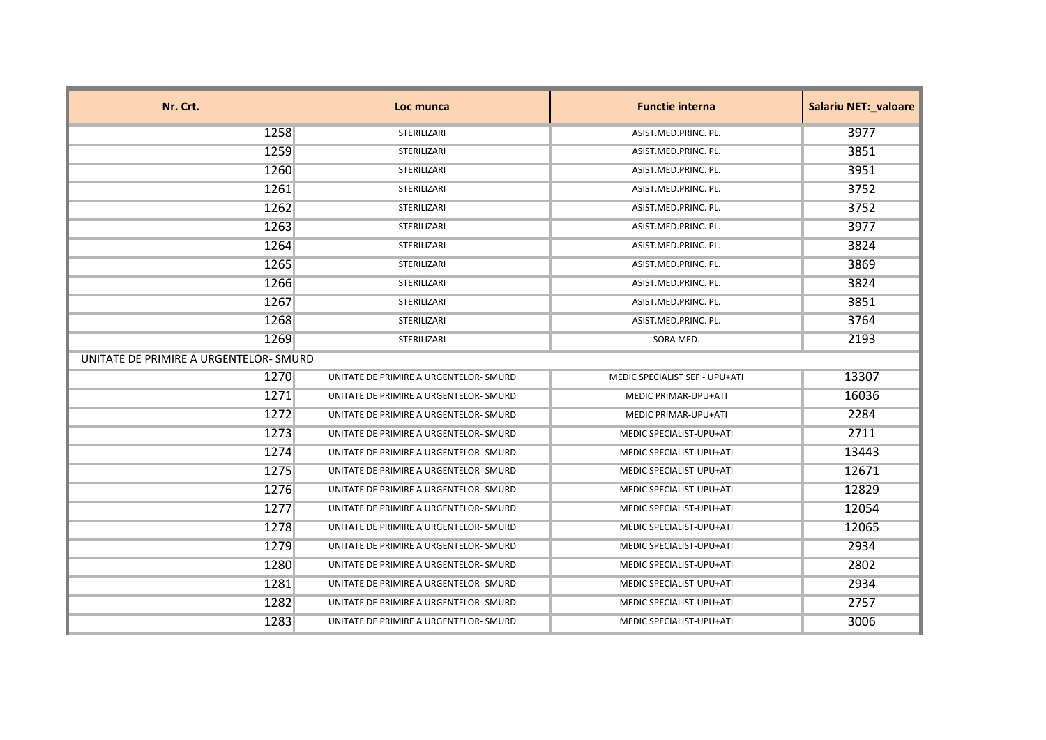| Nr. Crt.                               | Loc munca                              | <b>Functie interna</b>         | <b>Salariu NET:_valoare</b> |
|----------------------------------------|----------------------------------------|--------------------------------|-----------------------------|
| 1258                                   | STERILIZARI                            | ASIST.MED.PRINC. PL.           | 3977                        |
| 1259                                   | STERILIZARI                            | ASIST.MED.PRINC. PL.           | 3851                        |
| 1260                                   | STERILIZARI                            | ASIST.MED.PRINC. PL.           | 3951                        |
| 1261                                   | STERILIZARI                            | ASIST.MED.PRINC. PL.           | 3752                        |
| 1262                                   | STERILIZARI                            | ASIST.MED.PRINC. PL.           | 3752                        |
| 1263                                   | STERILIZARI                            | ASIST.MED.PRINC. PL.           | 3977                        |
| 1264                                   | STERILIZARI                            | ASIST.MED.PRINC. PL.           | 3824                        |
| 1265                                   | STERILIZARI                            | ASIST.MED.PRINC. PL.           | 3869                        |
| 1266                                   | STERILIZARI                            | ASIST.MED.PRINC. PL.           | 3824                        |
| 1267                                   | STERILIZARI                            | ASIST.MED.PRINC. PL.           | 3851                        |
| 1268                                   | STERILIZARI                            | ASIST.MED.PRINC. PL.           | 3764                        |
| 1269                                   | STERILIZARI                            | SORA MED.                      | 2193                        |
| UNITATE DE PRIMIRE A URGENTELOR- SMURD |                                        |                                |                             |
| 1270                                   | UNITATE DE PRIMIRE A URGENTELOR- SMURD | MEDIC SPECIALIST SEF - UPU+ATI | 13307                       |
| 1271                                   | UNITATE DE PRIMIRE A URGENTELOR- SMURD | MEDIC PRIMAR-UPU+ATI           | 16036                       |
| 1272                                   | UNITATE DE PRIMIRE A URGENTELOR- SMURD | MEDIC PRIMAR-UPU+ATI           | 2284                        |
| 1273                                   | UNITATE DE PRIMIRE A URGENTELOR- SMURD | MEDIC SPECIALIST-UPU+ATI       | 2711                        |
| 1274                                   | UNITATE DE PRIMIRE A URGENTELOR- SMURD | MEDIC SPECIALIST-UPU+ATI       | 13443                       |
| 1275                                   | UNITATE DE PRIMIRE A URGENTELOR- SMURD | MEDIC SPECIALIST-UPU+ATI       | 12671                       |
| 1276                                   | UNITATE DE PRIMIRE A URGENTELOR- SMURD | MEDIC SPECIALIST-UPU+ATI       | 12829                       |
| 1277                                   | UNITATE DE PRIMIRE A URGENTELOR- SMURD | MEDIC SPECIALIST-UPU+ATI       | 12054                       |
| 1278                                   | UNITATE DE PRIMIRE A URGENTELOR- SMURD | MEDIC SPECIALIST-UPU+ATI       | 12065                       |
| 1279                                   | UNITATE DE PRIMIRE A URGENTELOR- SMURD | MEDIC SPECIALIST-UPU+ATI       | 2934                        |
| 1280                                   | UNITATE DE PRIMIRE A URGENTELOR- SMURD | MEDIC SPECIALIST-UPU+ATI       | 2802                        |
| 1281                                   | UNITATE DE PRIMIRE A URGENTELOR- SMURD | MEDIC SPECIALIST-UPU+ATI       | 2934                        |
| 1282                                   | UNITATE DE PRIMIRE A URGENTELOR- SMURD | MEDIC SPECIALIST-UPU+ATI       | 2757                        |
| 1283                                   | UNITATE DE PRIMIRE A URGENTELOR- SMURD | MEDIC SPECIALIST-UPU+ATI       | 3006                        |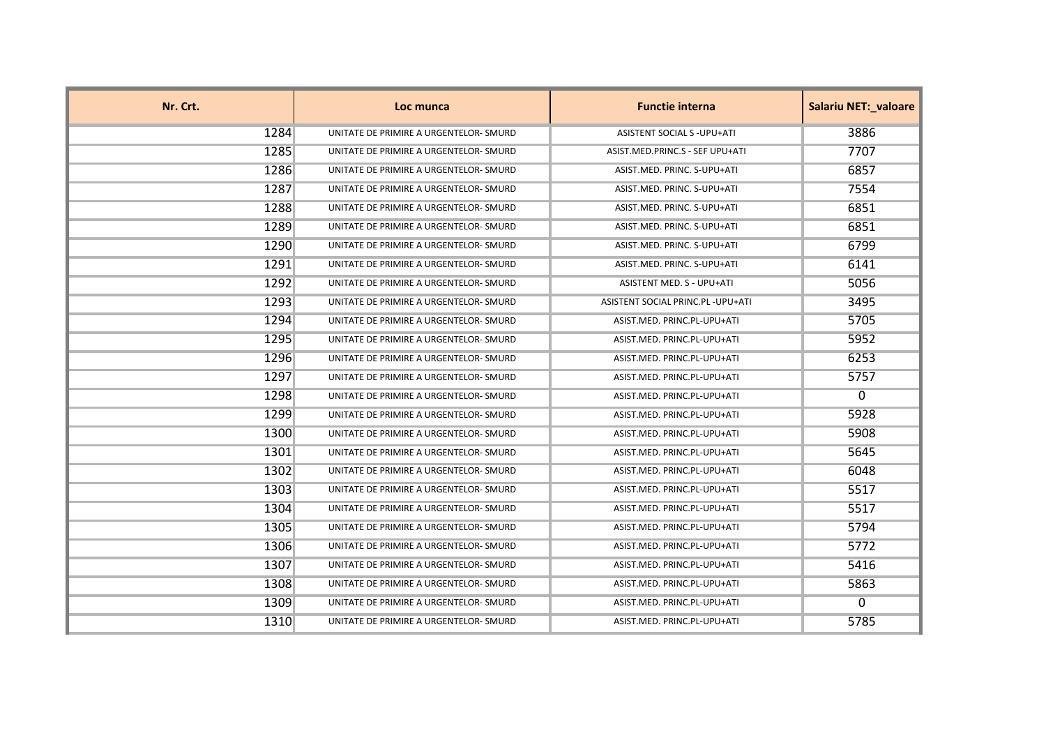| Nr. Crt. | Loc munca                              | <b>Functie interna</b>             | <b>Salariu NET:_valoare</b> |
|----------|----------------------------------------|------------------------------------|-----------------------------|
| 1284     | UNITATE DE PRIMIRE A URGENTELOR- SMURD | ASISTENT SOCIAL S - UPU+ATI        | 3886                        |
| 1285     | UNITATE DE PRIMIRE A URGENTELOR- SMURD | ASIST.MED.PRINC.S - SEF UPU+ATI    | 7707                        |
| 1286     | UNITATE DE PRIMIRE A URGENTELOR- SMURD | ASIST.MED. PRINC. S-UPU+ATI        | 6857                        |
| 1287     | UNITATE DE PRIMIRE A URGENTELOR- SMURD | ASIST.MED. PRINC. S-UPU+ATI        | 7554                        |
| 1288     | UNITATE DE PRIMIRE A URGENTELOR- SMURD | ASIST.MED. PRINC. S-UPU+ATI        | 6851                        |
| 1289     | UNITATE DE PRIMIRE A URGENTELOR- SMURD | ASIST.MED. PRINC. S-UPU+ATI        | 6851                        |
| 1290     | UNITATE DE PRIMIRE A URGENTELOR- SMURD | ASIST.MED. PRINC. S-UPU+ATI        | 6799                        |
| 1291     | UNITATE DE PRIMIRE A URGENTELOR- SMURD | ASIST.MED. PRINC. S-UPU+ATI        | 6141                        |
| 1292     | UNITATE DE PRIMIRE A URGENTELOR- SMURD | ASISTENT MED. S - UPU+ATI          | 5056                        |
| 1293     | UNITATE DE PRIMIRE A URGENTELOR- SMURD | ASISTENT SOCIAL PRINC.PL - UPU+ATI | 3495                        |
| 1294     | UNITATE DE PRIMIRE A URGENTELOR- SMURD | ASIST.MED. PRINC.PL-UPU+ATI        | 5705                        |
| 1295     | UNITATE DE PRIMIRE A URGENTELOR- SMURD | ASIST.MED. PRINC.PL-UPU+ATI        | 5952                        |
| 1296     | UNITATE DE PRIMIRE A URGENTELOR- SMURD | ASIST.MED. PRINC.PL-UPU+ATI        | 6253                        |
| 1297     | UNITATE DE PRIMIRE A URGENTELOR- SMURD | ASIST.MED. PRINC.PL-UPU+ATI        | 5757                        |
| 1298     | UNITATE DE PRIMIRE A URGENTELOR- SMURD | ASIST.MED. PRINC.PL-UPU+ATI        | $\Omega$                    |
| 1299     | UNITATE DE PRIMIRE A URGENTELOR- SMURD | ASIST.MED. PRINC.PL-UPU+ATI        | 5928                        |
| 1300     | UNITATE DE PRIMIRE A URGENTELOR- SMURD | ASIST.MED. PRINC.PL-UPU+ATI        | 5908                        |
| 1301     | UNITATE DE PRIMIRE A URGENTELOR- SMURD | ASIST.MED. PRINC.PL-UPU+ATI        | 5645                        |
| 1302     | UNITATE DE PRIMIRE A URGENTELOR- SMURD | ASIST.MED. PRINC.PL-UPU+ATI        | 6048                        |
| 1303     | UNITATE DE PRIMIRE A URGENTELOR- SMURD | ASIST.MED. PRINC.PL-UPU+ATI        | 5517                        |
| 1304     | UNITATE DE PRIMIRE A URGENTELOR- SMURD | ASIST.MED. PRINC.PL-UPU+ATI        | 5517                        |
| 1305     | UNITATE DE PRIMIRE A URGENTELOR- SMURD | ASIST.MED. PRINC.PL-UPU+ATI        | 5794                        |
| 1306     | UNITATE DE PRIMIRE A URGENTELOR- SMURD | ASIST.MED. PRINC.PL-UPU+ATI        | 5772                        |
| 1307     | UNITATE DE PRIMIRE A URGENTELOR- SMURD | ASIST.MED. PRINC.PL-UPU+ATI        | 5416                        |
| 1308     | UNITATE DE PRIMIRE A URGENTELOR- SMURD | ASIST.MED. PRINC.PL-UPU+ATI        | 5863                        |
| 1309     | UNITATE DE PRIMIRE A URGENTELOR- SMURD | ASIST.MED. PRINC.PL-UPU+ATI        | $\Omega$                    |
| 1310     | UNITATE DE PRIMIRE A URGENTELOR- SMURD | ASIST.MED. PRINC.PL-UPU+ATI        | 5785                        |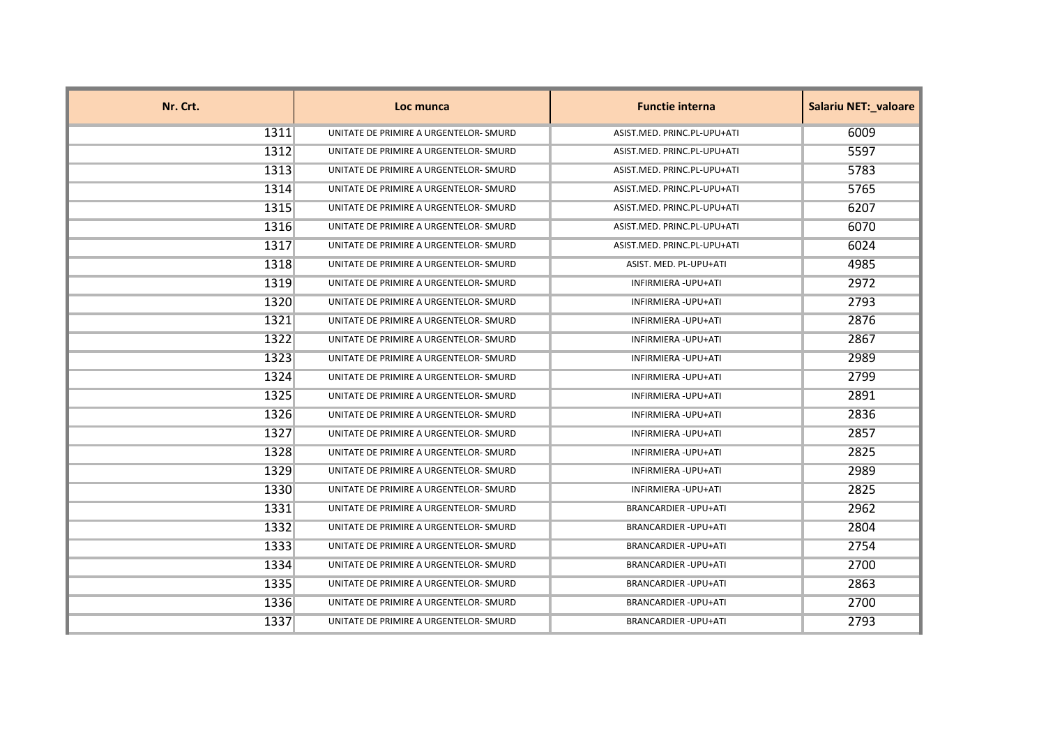| Nr. Crt. | Loc munca                              | <b>Functie interna</b>       | <b>Salariu NET:_valoare</b> |
|----------|----------------------------------------|------------------------------|-----------------------------|
| 1311     | UNITATE DE PRIMIRE A URGENTELOR- SMURD | ASIST.MED. PRINC.PL-UPU+ATI  | 6009                        |
| 1312     | UNITATE DE PRIMIRE A URGENTELOR- SMURD | ASIST.MED. PRINC.PL-UPU+ATI  | 5597                        |
| 1313     | UNITATE DE PRIMIRE A URGENTELOR- SMURD | ASIST.MED. PRINC.PL-UPU+ATI  | 5783                        |
| 1314     | UNITATE DE PRIMIRE A URGENTELOR- SMURD | ASIST.MED. PRINC.PL-UPU+ATI  | 5765                        |
| 1315     | UNITATE DE PRIMIRE A URGENTELOR- SMURD | ASIST.MED. PRINC.PL-UPU+ATI  | 6207                        |
| 1316     | UNITATE DE PRIMIRE A URGENTELOR- SMURD | ASIST.MED. PRINC.PL-UPU+ATI  | 6070                        |
| 1317     | UNITATE DE PRIMIRE A URGENTELOR- SMURD | ASIST.MED. PRINC.PL-UPU+ATI  | 6024                        |
| 1318     | UNITATE DE PRIMIRE A URGENTELOR- SMURD | ASIST. MED. PL-UPU+ATI       | 4985                        |
| 1319     | UNITATE DE PRIMIRE A URGENTELOR- SMURD | INFIRMIERA - UPU+ATI         | 2972                        |
| 1320     | UNITATE DE PRIMIRE A URGENTELOR- SMURD | INFIRMIERA - UPU+ATI         | 2793                        |
| 1321     | UNITATE DE PRIMIRE A URGENTELOR- SMURD | INFIRMIERA - UPU+ATI         | 2876                        |
| 1322     | UNITATE DE PRIMIRE A URGENTELOR- SMURD | INFIRMIERA - UPU+ATI         | 2867                        |
| 1323     | UNITATE DE PRIMIRE A URGENTELOR- SMURD | INFIRMIERA - UPU+ATI         | 2989                        |
| 1324     | UNITATE DE PRIMIRE A URGENTELOR- SMURD | INFIRMIERA - UPU+ATI         | 2799                        |
| 1325     | UNITATE DE PRIMIRE A URGENTELOR- SMURD | INFIRMIERA - UPU+ATI         | 2891                        |
| 1326     | UNITATE DE PRIMIRE A URGENTELOR- SMURD | INFIRMIERA - UPU+ATI         | 2836                        |
| 1327     | UNITATE DE PRIMIRE A URGENTELOR- SMURD | INFIRMIERA - UPU+ATI         | 2857                        |
| 1328     | UNITATE DE PRIMIRE A URGENTELOR- SMURD | INFIRMIERA - UPU+ATI         | 2825                        |
| 1329     | UNITATE DE PRIMIRE A URGENTELOR- SMURD | INFIRMIERA - UPU+ATI         | 2989                        |
| 1330     | UNITATE DE PRIMIRE A URGENTELOR- SMURD | INFIRMIERA - UPU+ATI         | 2825                        |
| 1331     | UNITATE DE PRIMIRE A URGENTELOR- SMURD | <b>BRANCARDIER-UPU+ATI</b>   | 2962                        |
| 1332     | UNITATE DE PRIMIRE A URGENTELOR- SMURD | <b>BRANCARDIER - UPU+ATI</b> | 2804                        |
| 1333     | UNITATE DE PRIMIRE A URGENTELOR- SMURD | <b>BRANCARDIER - UPU+ATI</b> | 2754                        |
| 1334     | UNITATE DE PRIMIRE A URGENTELOR- SMURD | <b>BRANCARDIER - UPU+ATI</b> | 2700                        |
| 1335     | UNITATE DE PRIMIRE A URGENTELOR- SMURD | <b>BRANCARDIER-UPU+ATI</b>   | 2863                        |
| 1336     | UNITATE DE PRIMIRE A URGENTELOR- SMURD | <b>BRANCARDIER-UPU+ATI</b>   | 2700                        |
| 1337     | UNITATE DE PRIMIRE A URGENTELOR- SMURD | <b>BRANCARDIER - UPU+ATI</b> | 2793                        |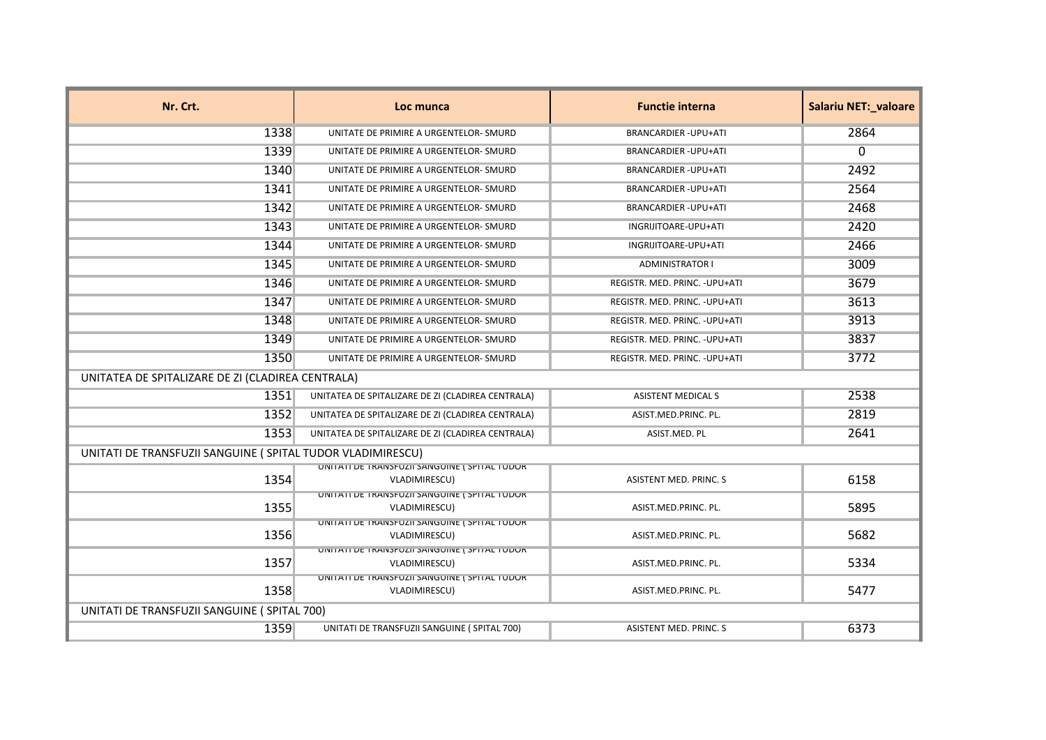| Nr. Crt.                                                    | Loc munca                                                      | <b>Functie interna</b>         | <b>Salariu NET: valoare</b> |
|-------------------------------------------------------------|----------------------------------------------------------------|--------------------------------|-----------------------------|
| 1338                                                        | UNITATE DE PRIMIRE A URGENTELOR- SMURD                         | <b>BRANCARDIER-UPU+ATI</b>     | 2864                        |
| 1339                                                        | UNITATE DE PRIMIRE A URGENTELOR- SMURD                         | <b>BRANCARDIER-UPU+ATI</b>     | $\Omega$                    |
| 1340                                                        | UNITATE DE PRIMIRE A URGENTELOR- SMURD                         | <b>BRANCARDIER - UPU+ATI</b>   | 2492                        |
| 1341                                                        | UNITATE DE PRIMIRE A URGENTELOR- SMURD                         | <b>BRANCARDIER - UPU+ATI</b>   | 2564                        |
| 1342                                                        | UNITATE DE PRIMIRE A URGENTELOR- SMURD                         | <b>BRANCARDIER-UPU+ATI</b>     | 2468                        |
| 1343                                                        | UNITATE DE PRIMIRE A URGENTELOR- SMURD                         | INGRIJITOARE-UPU+ATI           | 2420                        |
| 1344                                                        | UNITATE DE PRIMIRE A URGENTELOR- SMURD                         | INGRIJITOARE-UPU+ATI           | 2466                        |
| 1345                                                        | UNITATE DE PRIMIRE A URGENTELOR- SMURD                         | <b>ADMINISTRATOR I</b>         | 3009                        |
| 1346                                                        | UNITATE DE PRIMIRE A URGENTELOR- SMURD                         | REGISTR. MED. PRINC. - UPU+ATI | 3679                        |
| 1347                                                        | UNITATE DE PRIMIRE A URGENTELOR- SMURD                         | REGISTR. MED. PRINC. - UPU+ATI | 3613                        |
| 1348                                                        | UNITATE DE PRIMIRE A URGENTELOR- SMURD                         | REGISTR. MED. PRINC. - UPU+ATI | 3913                        |
| 1349                                                        | UNITATE DE PRIMIRE A URGENTELOR- SMURD                         | REGISTR. MED. PRINC. - UPU+ATI | 3837                        |
| 1350                                                        | UNITATE DE PRIMIRE A URGENTELOR- SMURD                         | REGISTR. MED. PRINC. - UPU+ATI | 3772                        |
| UNITATEA DE SPITALIZARE DE ZI (CLADIREA CENTRALA)           |                                                                |                                |                             |
| 1351                                                        | UNITATEA DE SPITALIZARE DE ZI (CLADIREA CENTRALA)              | <b>ASISTENT MEDICAL S</b>      | 2538                        |
| 1352                                                        | UNITATEA DE SPITALIZARE DE ZI (CLADIREA CENTRALA)              | ASIST.MED.PRINC. PL.           | 2819                        |
| 1353                                                        | UNITATEA DE SPITALIZARE DE ZI (CLADIREA CENTRALA)              | ASIST.MED. PL                  | 2641                        |
| UNITATI DE TRANSFUZII SANGUINE ( SPITAL TUDOR VLADIMIRESCU) |                                                                |                                |                             |
| 1354                                                        | UNITATI DE TRANSFUZII SANGUINE ( SPITAL TUDUR<br>VLADIMIRESCU) | <b>ASISTENT MED. PRINC. S</b>  | 6158                        |
| 1355                                                        | UNITATI DE TRANSFUZII SANGUINE ( SPITAL TUDUR<br>VLADIMIRESCU) | ASIST.MED.PRINC. PL.           | 5895                        |
| 1356                                                        | UNITATI DE TRANSFUZII SANGUINE ( SPITAL TUDUR<br>VLADIMIRESCU) | ASIST.MED.PRINC. PL.           | 5682                        |
| 1357                                                        | UNITATI DE TRANSFUZII SANGUINE ( SPITAL TUDUR<br>VLADIMIRESCU) | ASIST.MED.PRINC. PL.           | 5334                        |
| 1358                                                        | UNITATI DE TRANSFUZII SANGUINE ( SPITAL TUDUR<br>VLADIMIRESCU) | ASIST.MED.PRINC. PL.           | 5477                        |
| UNITATI DE TRANSFUZII SANGUINE (SPITAL 700)                 |                                                                |                                |                             |
| 1359                                                        | UNITATI DE TRANSFUZII SANGUINE (SPITAL 700)                    | ASISTENT MED. PRINC. S         | 6373                        |